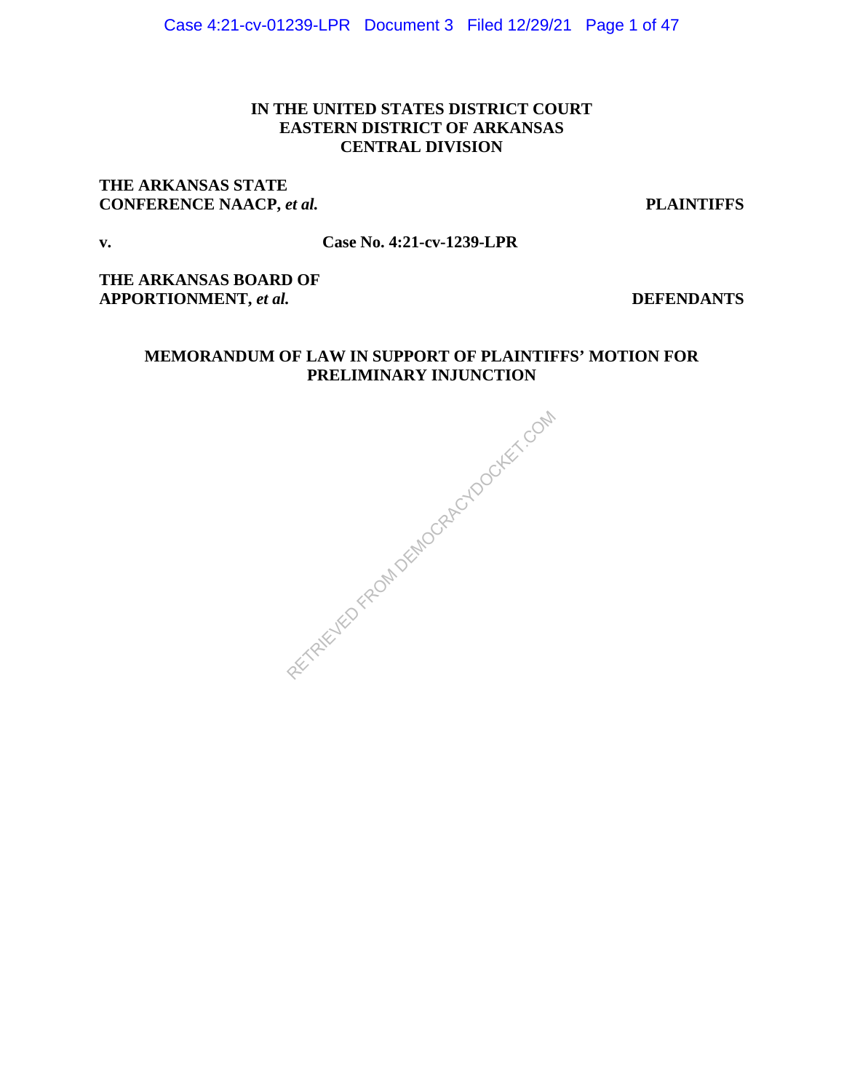## **IN THE UNITED STATES DISTRICT COURT EASTERN DISTRICT OF ARKANSAS CENTRAL DIVISION**

## **THE ARKANSAS STATE CONFERENCE NAACP,** *et al.* **PLAINTIFFS**

#### **v. Case No. 4:21-cv-1239-LPR**

**THE ARKANSAS BOARD OF APPORTIONMENT,** *et al.* **DEFENDANTS**

## **MEMORANDUM OF LAW IN SUPPORT OF PLAINTIFFS' MOTION FOR PRELIMINARY INJUNCTION**

RECTAIRD FROM DEMOCRACYDOCKET.COM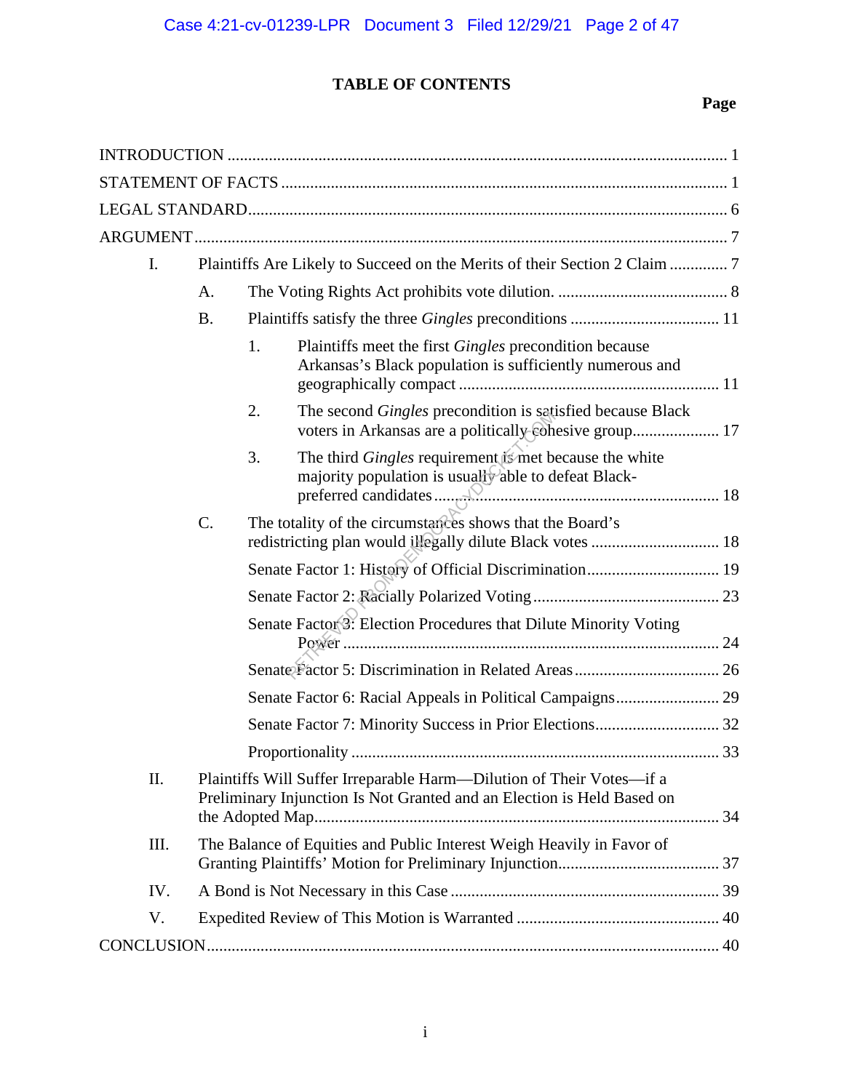## **TABLE OF CONTENTS**

# **Page**

| I.  |           |                                                                                                                                                |  |
|-----|-----------|------------------------------------------------------------------------------------------------------------------------------------------------|--|
|     | A.        |                                                                                                                                                |  |
|     | <b>B.</b> |                                                                                                                                                |  |
|     |           | 1.<br>Plaintiffs meet the first <i>Gingles</i> precondition because<br>Arkansas's Black population is sufficiently numerous and                |  |
|     |           | The second <i>Gingles</i> precondition is satisfied because Black<br>2.<br>voters in Arkansas are a politically cohesive group 17              |  |
|     |           | The third Gingles requirement is met because the white<br>3.<br>majority population is usually able to defeat Black-                           |  |
|     | C.        | The totality of the circumstances shows that the Board's<br>redistricting plan would illegally dilute Black votes  18                          |  |
|     |           | Senate Factor 1: History of Official Discrimination 19                                                                                         |  |
|     |           |                                                                                                                                                |  |
|     |           | Senate Factor 3: Election Procedures that Dilute Minority Voting                                                                               |  |
|     |           |                                                                                                                                                |  |
|     |           | Senate Factor 6: Racial Appeals in Political Campaigns 29                                                                                      |  |
|     |           |                                                                                                                                                |  |
|     |           |                                                                                                                                                |  |
| II. |           | Plaintiffs Will Suffer Irreparable Harm—Dilution of Their Votes—if a<br>Preliminary Injunction Is Not Granted and an Election is Held Based on |  |
| Ш.  |           | The Balance of Equities and Public Interest Weigh Heavily in Favor of                                                                          |  |
| IV. |           |                                                                                                                                                |  |
| V.  |           |                                                                                                                                                |  |
|     |           |                                                                                                                                                |  |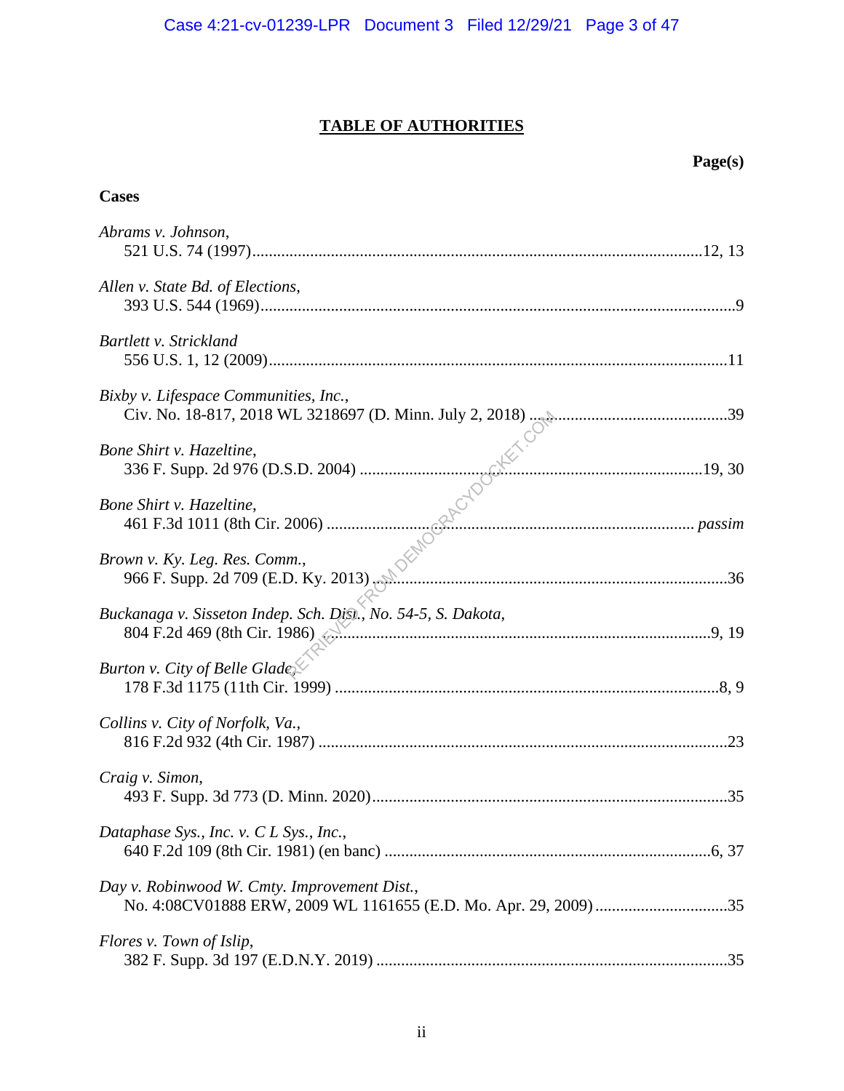# **TABLE OF AUTHORITIES**

|                                                                                               | Page(s) |
|-----------------------------------------------------------------------------------------------|---------|
| <b>Cases</b>                                                                                  |         |
| Abrams v. Johnson,                                                                            |         |
| Allen v. State Bd. of Elections,                                                              |         |
| Bartlett v. Strickland                                                                        |         |
| Bixby v. Lifespace Communities, Inc.,                                                         |         |
| Bone Shirt v. Hazeltine,                                                                      |         |
| Bone Shirt v. Hazeltine,                                                                      |         |
| Brown v. Ky. Leg. Res. Comm.,                                                                 |         |
| Buckanaga v. Sisseton Indep. Sch. Dist., No. 54-5, S. Dakota,<br>804 F.2d 469 (8th Cir. 1986) |         |
| Burton v. City of Belle Glade,                                                                |         |
| Collins v. City of Norfolk, Va.,                                                              | .23     |
| Craig v. Simon,                                                                               |         |
| Dataphase Sys., Inc. v. $CL$ Sys., Inc.,                                                      |         |
| Day v. Robinwood W. Cmty. Improvement Dist.,                                                  |         |
| Flores v. Town of Islip,                                                                      |         |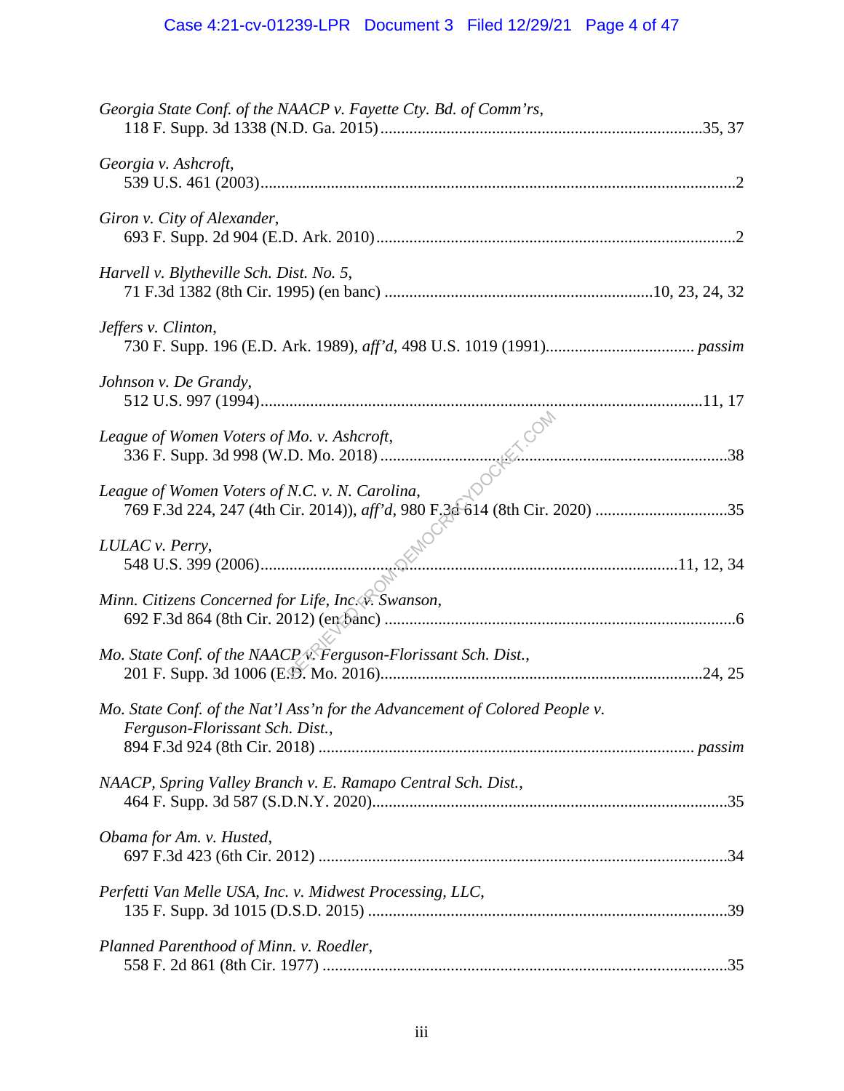# Case 4:21-cv-01239-LPR Document 3 Filed 12/29/21 Page 4 of 47

| Georgia State Conf. of the NAACP v. Fayette Cty. Bd. of Comm'rs,                                               |  |
|----------------------------------------------------------------------------------------------------------------|--|
| Georgia v. Ashcroft,                                                                                           |  |
| Giron v. City of Alexander,                                                                                    |  |
| Harvell v. Blytheville Sch. Dist. No. 5,                                                                       |  |
| Jeffers v. Clinton,                                                                                            |  |
| Johnson v. De Grandy,                                                                                          |  |
| League of Women Voters of Mo. v. Ashcroft,                                                                     |  |
| League of Women Voters of N.C. v. N. Carolina,                                                                 |  |
| LULAC v. Perry,                                                                                                |  |
| Minn. Citizens Concerned for Life, Inc. v. Swanson,                                                            |  |
| Mo. State Conf. of the NAACP v. Ferguson-Florissant Sch. Dist.,                                                |  |
| Mo. State Conf. of the Nat'l Ass'n for the Advancement of Colored People v.<br>Ferguson-Florissant Sch. Dist., |  |
| NAACP, Spring Valley Branch v. E. Ramapo Central Sch. Dist.,                                                   |  |
| Obama for Am. v. Husted,                                                                                       |  |
| Perfetti Van Melle USA, Inc. v. Midwest Processing, LLC,                                                       |  |
| Planned Parenthood of Minn. v. Roedler,                                                                        |  |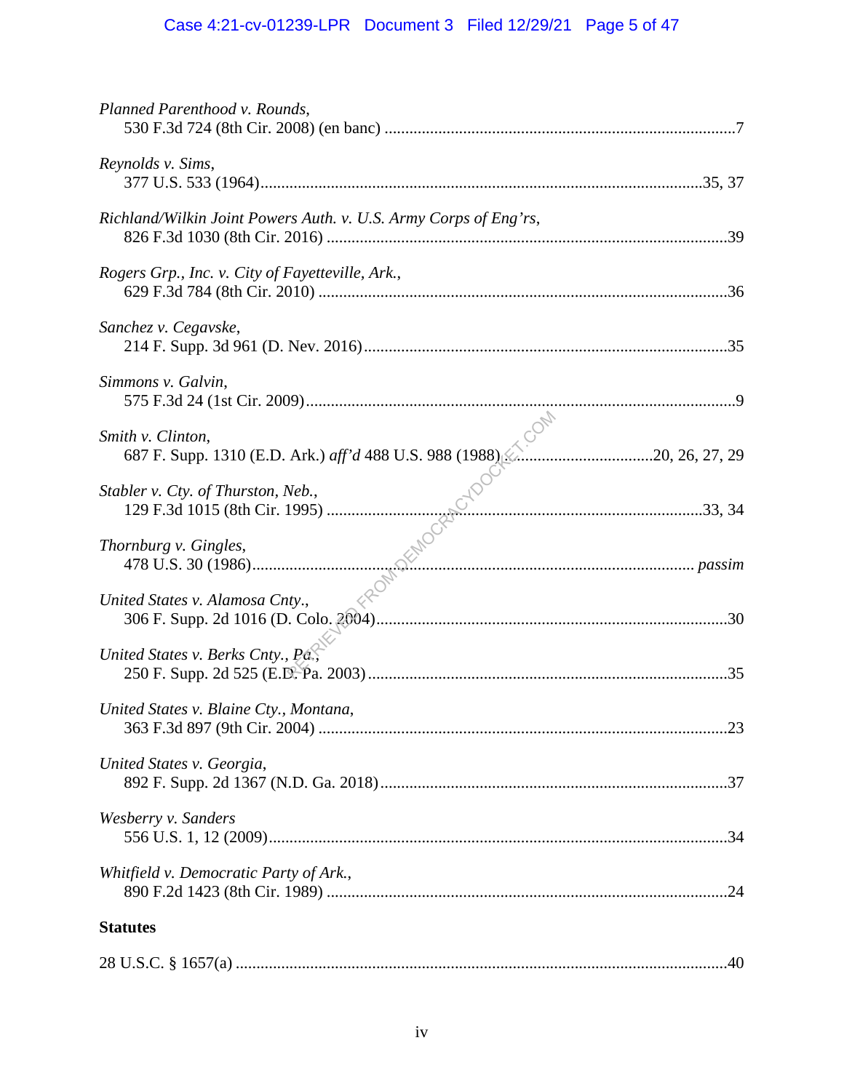# Case 4:21-cv-01239-LPR Document 3 Filed 12/29/21 Page 5 of 47

| Planned Parenthood v. Rounds,                                    |  |
|------------------------------------------------------------------|--|
| Reynolds v. Sims,                                                |  |
| Richland/Wilkin Joint Powers Auth. v. U.S. Army Corps of Eng'rs, |  |
| Rogers Grp., Inc. v. City of Fayetteville, Ark.,                 |  |
| Sanchez v. Cegavske,                                             |  |
| Simmons v. Galvin,                                               |  |
| Smith v. Clinton,                                                |  |
| Stabler v. Cty. of Thurston, Neb.,                               |  |
| Thornburg v. Gingles,                                            |  |
| United States v. Alamosa Cnty.,                                  |  |
| United States v. Berks Cnty., Pá.,                               |  |
| United States v. Blaine Cty., Montana,                           |  |
| United States v. Georgia,                                        |  |
| Wesberry v. Sanders                                              |  |
| Whitfield v. Democratic Party of Ark.,                           |  |
| <b>Statutes</b>                                                  |  |
|                                                                  |  |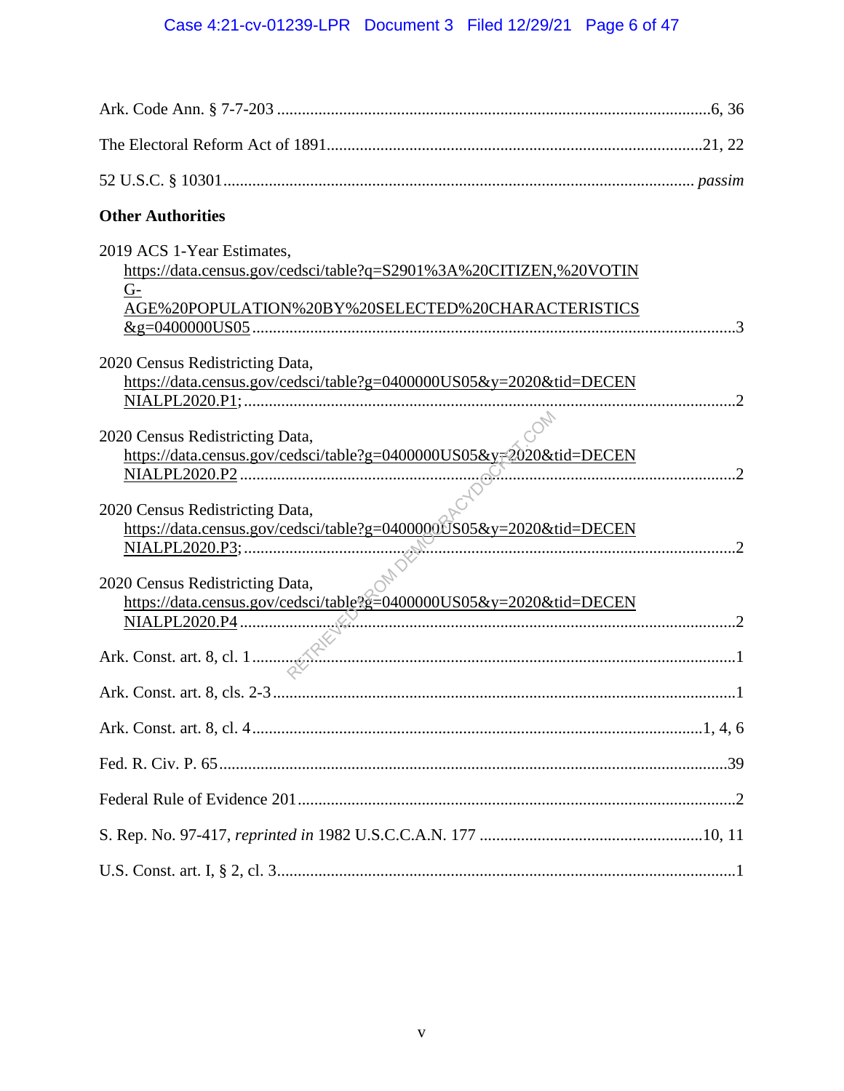# Case 4:21-cv-01239-LPR Document 3 Filed 12/29/21 Page 6 of 47

| <b>Other Authorities</b>                                                                                                                                       |  |
|----------------------------------------------------------------------------------------------------------------------------------------------------------------|--|
| 2019 ACS 1-Year Estimates,<br>https://data.census.gov/cedsci/table?q=S2901%3A%20CITIZEN,%20VOTIN<br>$G-$<br>AGE%20POPULATION%20BY%20SELECTED%20CHARACTERISTICS |  |
| 2020 Census Redistricting Data,<br>https://data.census.gov/cedsci/table?g=0400000US05&y=2020&tid=DECEN                                                         |  |
| 2020 Census Redistricting Data,<br>https://data.census.gov/cedsci/table?g=0400000US05&y=2020&tid=DECEN                                                         |  |
| 2020 Census Redistricting Data,<br>https://data.census.gov/cedsci/table?g=0400000US05&y=2020&tid=DECEN                                                         |  |
| 2020 Census Redistricting Data,                                                                                                                                |  |
|                                                                                                                                                                |  |
|                                                                                                                                                                |  |
|                                                                                                                                                                |  |
|                                                                                                                                                                |  |
|                                                                                                                                                                |  |
|                                                                                                                                                                |  |
|                                                                                                                                                                |  |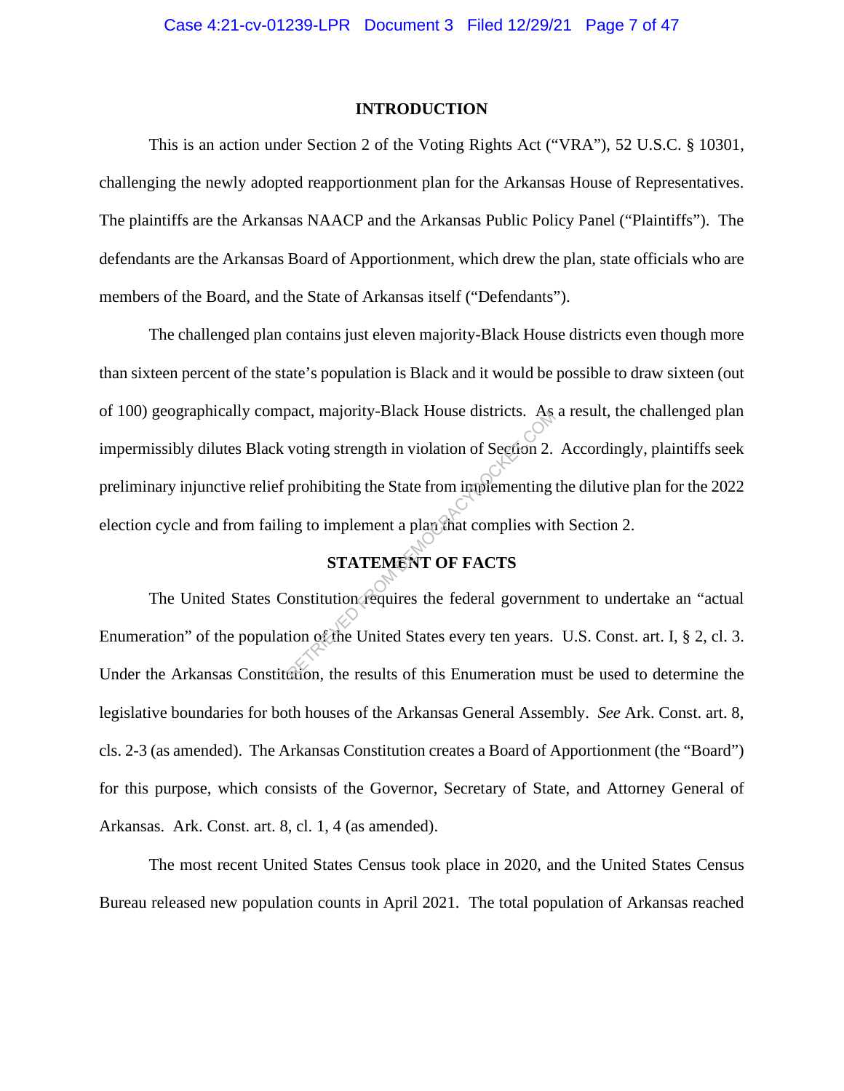#### **INTRODUCTION**

This is an action under Section 2 of the Voting Rights Act ("VRA"), 52 U.S.C. § 10301, challenging the newly adopted reapportionment plan for the Arkansas House of Representatives. The plaintiffs are the Arkansas NAACP and the Arkansas Public Policy Panel ("Plaintiffs"). The defendants are the Arkansas Board of Apportionment, which drew the plan, state officials who are members of the Board, and the State of Arkansas itself ("Defendants").

The challenged plan contains just eleven majority-Black House districts even though more than sixteen percent of the state's population is Black and it would be possible to draw sixteen (out of 100) geographically compact, majority-Black House districts. As a result, the challenged plan impermissibly dilutes Black voting strength in violation of Section 2. Accordingly, plaintiffs seek preliminary injunctive relief prohibiting the State from implementing the dilutive plan for the 2022 election cycle and from failing to implement a plan that complies with Section 2. Machine State From implementing<br>
robibiting the State from implementing<br>
ing to implement a plan final complies wit<br> **STATEMENT OF FACTS**<br>
constitution requires the federal governm<br>
ion of the United States every ten years

## **STATEMENT OF FACTS**

The United States Constitution requires the federal government to undertake an "actual Enumeration" of the population of the United States every ten years. U.S. Const. art. I, § 2, cl. 3. Under the Arkansas Constitution, the results of this Enumeration must be used to determine the legislative boundaries for both houses of the Arkansas General Assembly. *See* Ark. Const. art. 8, cls. 2-3 (as amended). The Arkansas Constitution creates a Board of Apportionment (the "Board") for this purpose, which consists of the Governor, Secretary of State, and Attorney General of Arkansas. Ark. Const. art. 8, cl. 1, 4 (as amended).

The most recent United States Census took place in 2020, and the United States Census Bureau released new population counts in April 2021. The total population of Arkansas reached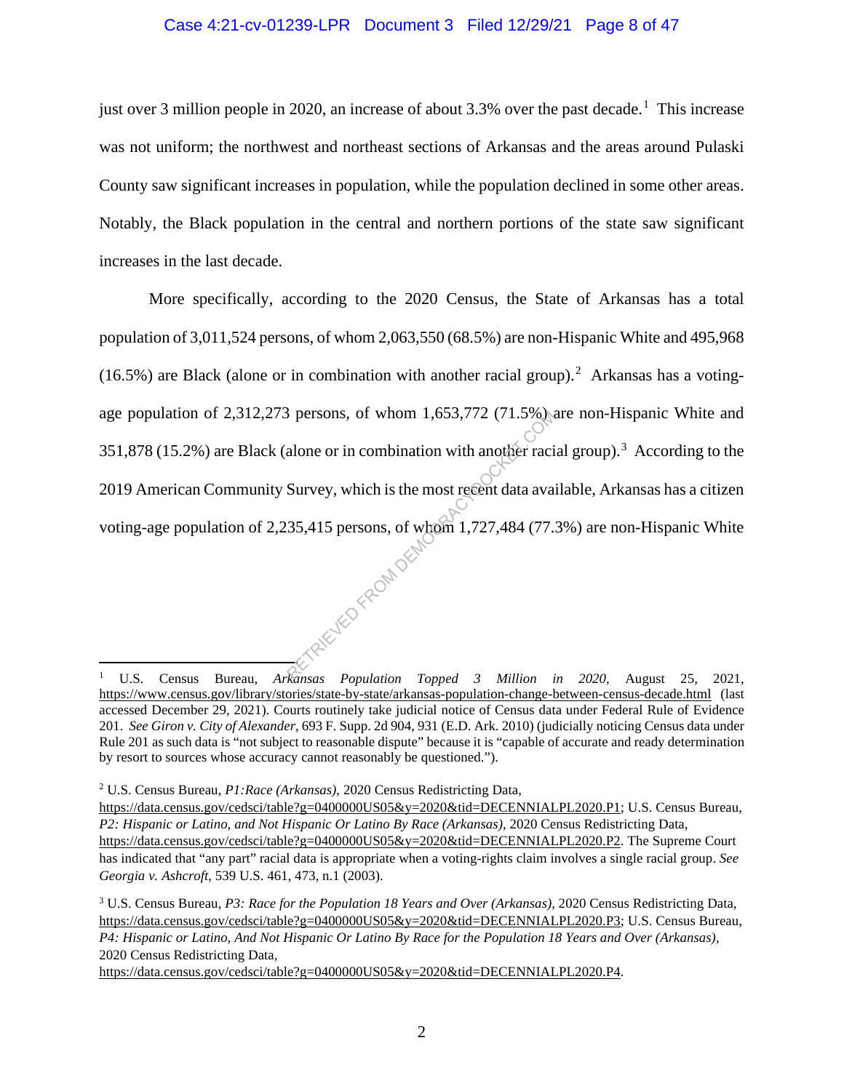#### Case 4:21-cv-01239-LPR Document 3 Filed 12/29/21 Page 8 of 47

just over 3 million people in 2020, an increase of about 3.3% over the past decade.<sup>1</sup> This increase was not uniform; the northwest and northeast sections of Arkansas and the areas around Pulaski County saw significant increases in population, while the population declined in some other areas. Notably, the Black population in the central and northern portions of the state saw significant increases in the last decade.

More specifically, according to the 2020 Census, the State of Arkansas has a total population of 3,011,524 persons, of whom 2,063,550 (68.5%) are non-Hispanic White and 495,968  $(16.5%)$  are Black (alone or in combination with another racial group).<sup>2</sup> Arkansas has a votingage population of 2,312,273 persons, of whom 1,653,772 (71.5%) are non-Hispanic White and 351,878 (15.2%) are Black (alone or in combination with another racial group).<sup>3</sup> According to the 2019 American Community Survey, which is the most recent data available, Arkansas has a citizen voting-age population of 2,235,415 persons, of whom 1,727,484 (77.3%) are non-Hispanic White RETRIED FROM DEMO

<sup>1</sup> U.S. Census Bureau, *Arkansas Population Topped 3 Million in 2020*, August 25, 2021, https://www.census.gov/library/stories/state-by-state/arkansas-population-change-between-census-decade.html (last accessed December 29, 2021). Courts routinely take judicial notice of Census data under Federal Rule of Evidence 201. *See Giron v. City of Alexander*, 693 F. Supp. 2d 904, 931 (E.D. Ark. 2010) (judicially noticing Census data under Rule 201 as such data is "not subject to reasonable dispute" because it is "capable of accurate and ready determination by resort to sources whose accuracy cannot reasonably be questioned.").

<sup>2</sup> U.S. Census Bureau, *P1:Race (Arkansas),* 2020 Census Redistricting Data,

https://data.census.gov/cedsci/table?g=0400000US05&y=2020&tid=DECENNIALPL2020.P1; U.S. Census Bureau, *P2: Hispanic or Latino, and Not Hispanic Or Latino By Race (Arkansas),* 2020 Census Redistricting Data, https://data.census.gov/cedsci/table?g=0400000US05&y=2020&tid=DECENNIALPL2020.P2. The Supreme Court has indicated that "any part" racial data is appropriate when a voting-rights claim involves a single racial group. *See Georgia v. Ashcroft*, 539 U.S. 461, 473, n.1 (2003).

<sup>3</sup> U.S. Census Bureau, *P3: Race for the Population 18 Years and Over (Arkansas)*, 2020 Census Redistricting Data, https://data.census.gov/cedsci/table?g=0400000US05&y=2020&tid=DECENNIALPL2020.P3; U.S. Census Bureau, *P4: Hispanic or Latino, And Not Hispanic Or Latino By Race for the Population 18 Years and Over (Arkansas)*, 2020 Census Redistricting Data,

https://data.census.gov/cedsci/table?g=0400000US05&y=2020&tid=DECENNIALPL2020.P4.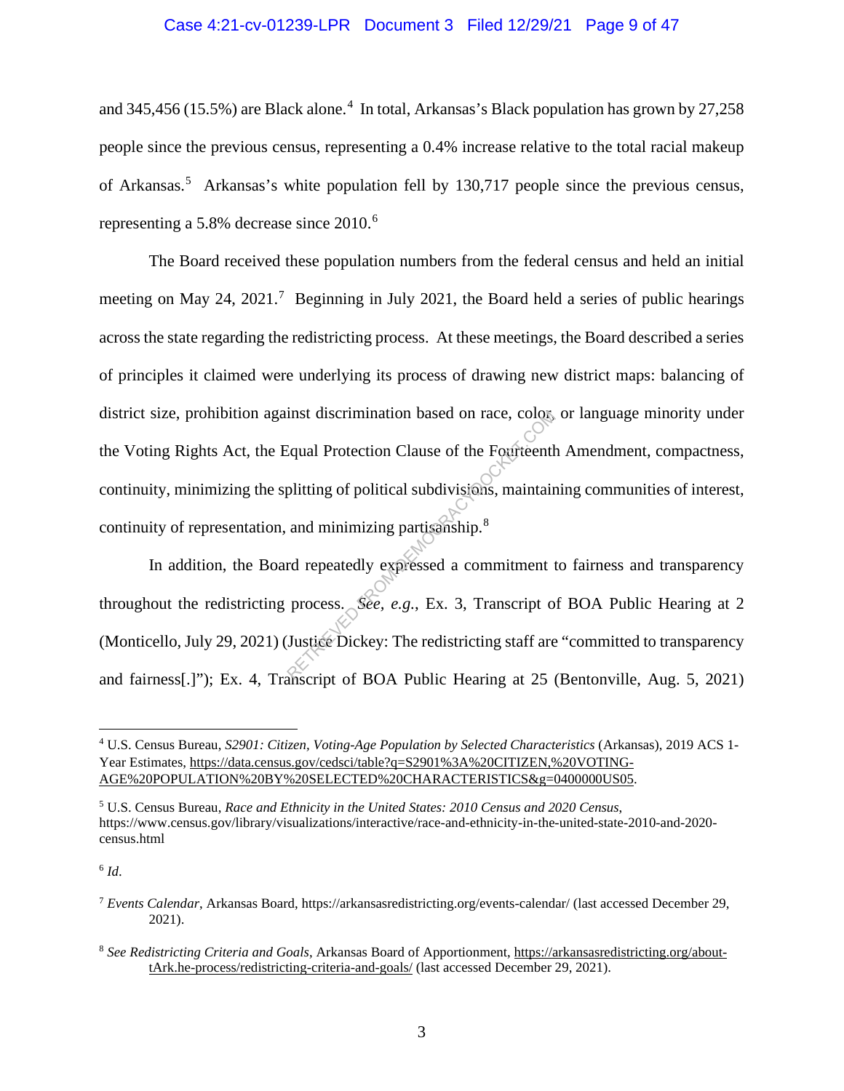#### Case 4:21-cv-01239-LPR Document 3 Filed 12/29/21 Page 9 of 47

and 345,456 (15.5%) are Black alone.<sup>4</sup> In total, Arkansas's Black population has grown by 27,258 people since the previous census, representing a 0.4% increase relative to the total racial makeup of Arkansas.<sup>5</sup> Arkansas's white population fell by 130,717 people since the previous census, representing a 5.8% decrease since 2010.<sup>6</sup>

The Board received these population numbers from the federal census and held an initial meeting on May 24, 2021.<sup>7</sup> Beginning in July 2021, the Board held a series of public hearings across the state regarding the redistricting process. At these meetings, the Board described a series of principles it claimed were underlying its process of drawing new district maps: balancing of district size, prohibition against discrimination based on race, color, or language minority under the Voting Rights Act, the Equal Protection Clause of the Fourteenth Amendment, compactness, continuity, minimizing the splitting of political subdivisions, maintaining communities of interest, continuity of representation, and minimizing partisanship.<sup>8</sup> Inst discrimination based on race, colors<br>Equal Protection Clause of the Fourteenth<br>plitting of political subdivisions, maintair<br>and minimizing partisanship.<sup>8</sup><br>rd repeatedly expressed a commitment t<br>process. See, e.g., Ex

In addition, the Board repeatedly expressed a commitment to fairness and transparency throughout the redistricting process. *See, e.g.*, Ex. 3, Transcript of BOA Public Hearing at 2 (Monticello, July 29, 2021) (Justice Dickey: The redistricting staff are "committed to transparency and fairness[.]"); Ex. 4, Transcript of BOA Public Hearing at 25 (Bentonville, Aug. 5, 2021)

<sup>4</sup> U.S. Census Bureau, *S2901: Citizen, Voting-Age Population by Selected Characteristics* (Arkansas), 2019 ACS 1- Year Estimates, https://data.census.gov/cedsci/table?q=S2901%3A%20CITIZEN,%20VOTING-AGE%20POPULATION%20BY%20SELECTED%20CHARACTERISTICS&g=0400000US05.

<sup>5</sup> U.S. Census Bureau, *Race and Ethnicity in the United States: 2010 Census and 2020 Census*, https://www.census.gov/library/visualizations/interactive/race-and-ethnicity-in-the-united-state-2010-and-2020 census.html

 $6$   $Id.$ 

<sup>7</sup> *Events Calendar*, Arkansas Board, https://arkansasredistricting.org/events-calendar/ (last accessed December 29, 2021).

<sup>8</sup> *See Redistricting Criteria and Goals*, Arkansas Board of Apportionment, https://arkansasredistricting.org/abouttArk.he-process/redistricting-criteria-and-goals/ (last accessed December 29, 2021).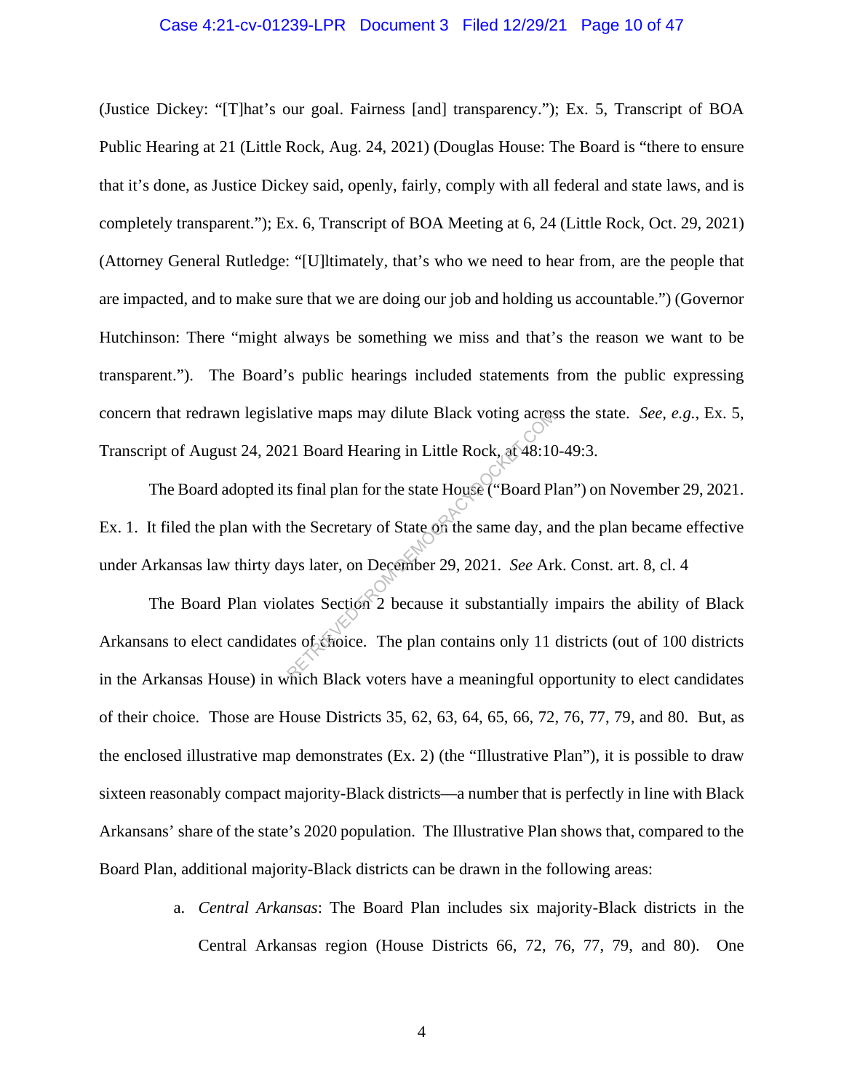#### Case 4:21-cv-01239-LPR Document 3 Filed 12/29/21 Page 10 of 47

(Justice Dickey: "[T]hat's our goal. Fairness [and] transparency."); Ex. 5, Transcript of BOA Public Hearing at 21 (Little Rock, Aug. 24, 2021) (Douglas House: The Board is "there to ensure that it's done, as Justice Dickey said, openly, fairly, comply with all federal and state laws, and is completely transparent."); Ex. 6, Transcript of BOA Meeting at 6, 24 (Little Rock, Oct. 29, 2021) (Attorney General Rutledge: "[U]ltimately, that's who we need to hear from, are the people that are impacted, and to make sure that we are doing our job and holding us accountable.") (Governor Hutchinson: There "might always be something we miss and that's the reason we want to be transparent."). The Board's public hearings included statements from the public expressing concern that redrawn legislative maps may dilute Black voting across the state. *See, e.g.*, Ex. 5, Transcript of August 24, 2021 Board Hearing in Little Rock, at 48:10-49:3.

The Board adopted its final plan for the state House ("Board Plan") on November 29, 2021. Ex. 1. It filed the plan with the Secretary of State on the same day, and the plan became effective under Arkansas law thirty days later, on December 29, 2021. *See* Ark. Const. art. 8, cl. 4 tive maps may dilute Black voting across<br>21 Board Hearing in Little Rock, at 48:10<br>5 final plan for the state House ("Board Pl<br>the Secretary of State on the same day, an<br>ays later, on December 29, 2021. *See* Arl<br>lates Sec

The Board Plan violates Section 2 because it substantially impairs the ability of Black Arkansans to elect candidates of choice. The plan contains only 11 districts (out of 100 districts in the Arkansas House) in which Black voters have a meaningful opportunity to elect candidates of their choice. Those are House Districts 35, 62, 63, 64, 65, 66, 72, 76, 77, 79, and 80. But, as the enclosed illustrative map demonstrates (Ex. 2) (the "Illustrative Plan"), it is possible to draw sixteen reasonably compact majority-Black districts—a number that is perfectly in line with Black Arkansans' share of the state's 2020 population. The Illustrative Plan shows that, compared to the Board Plan, additional majority-Black districts can be drawn in the following areas:

> a. *Central Arkansas*: The Board Plan includes six majority-Black districts in the Central Arkansas region (House Districts 66, 72, 76, 77, 79, and 80). One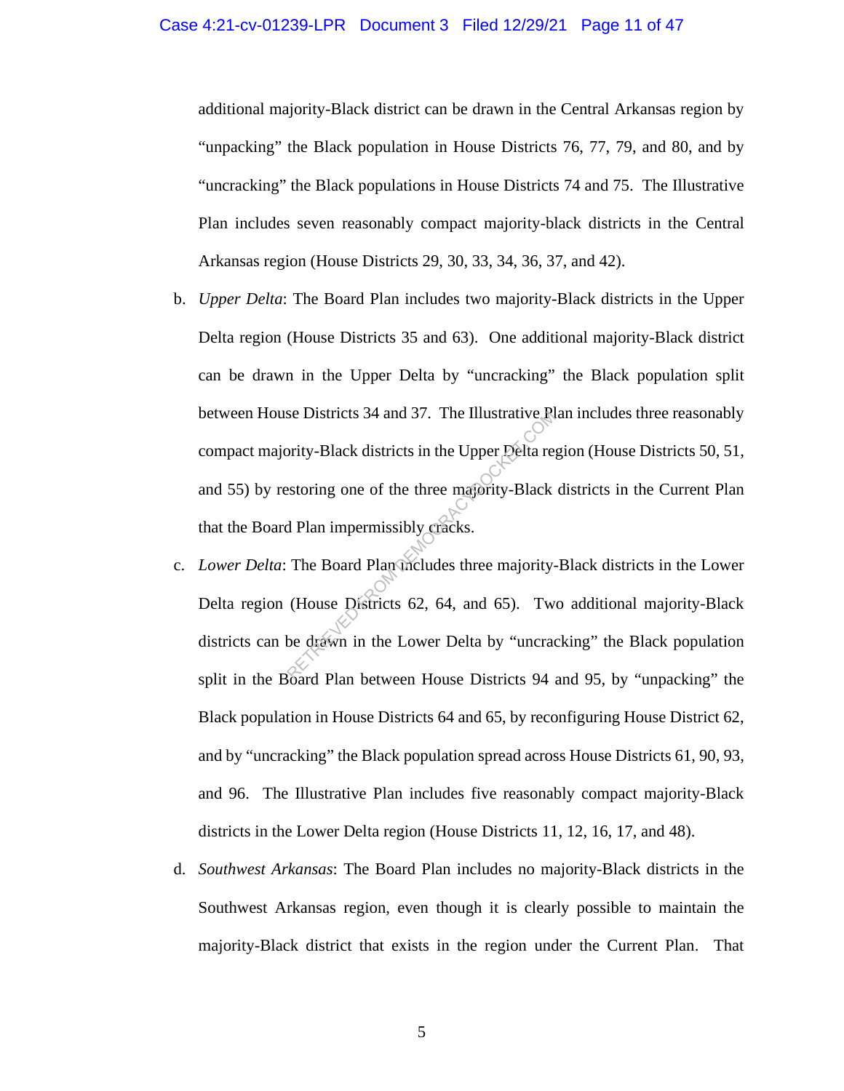additional majority-Black district can be drawn in the Central Arkansas region by "unpacking" the Black population in House Districts 76, 77, 79, and 80, and by "uncracking" the Black populations in House Districts 74 and 75. The Illustrative Plan includes seven reasonably compact majority-black districts in the Central Arkansas region (House Districts 29, 30, 33, 34, 36, 37, and 42).

- b. *Upper Delta*: The Board Plan includes two majority-Black districts in the Upper Delta region (House Districts 35 and 63). One additional majority-Black district can be drawn in the Upper Delta by "uncracking" the Black population split between House Districts 34 and 37. The Illustrative Plan includes three reasonably compact majority-Black districts in the Upper Delta region (House Districts 50, 51, and 55) by restoring one of the three majority-Black districts in the Current Plan that the Board Plan impermissibly cracks. Se Districts 34 and 37. The Illustrative Report<br>Districts in the Upper Delta restoring one of the three majority-Black<br>d Plan impermissibly cracks.<br>The Board Plan includes three majority<br>(House Districts 62, 64, and 65). T
- c. *Lower Delta*: The Board Plan includes three majority-Black districts in the Lower Delta region (House Districts 62, 64, and 65). Two additional majority-Black districts can be drawn in the Lower Delta by "uncracking" the Black population split in the Board Plan between House Districts 94 and 95, by "unpacking" the Black population in House Districts 64 and 65, by reconfiguring House District 62, and by "uncracking" the Black population spread across House Districts 61, 90, 93, and 96. The Illustrative Plan includes five reasonably compact majority-Black districts in the Lower Delta region (House Districts 11, 12, 16, 17, and 48).
- d. *Southwest Arkansas*: The Board Plan includes no majority-Black districts in the Southwest Arkansas region, even though it is clearly possible to maintain the majority-Black district that exists in the region under the Current Plan. That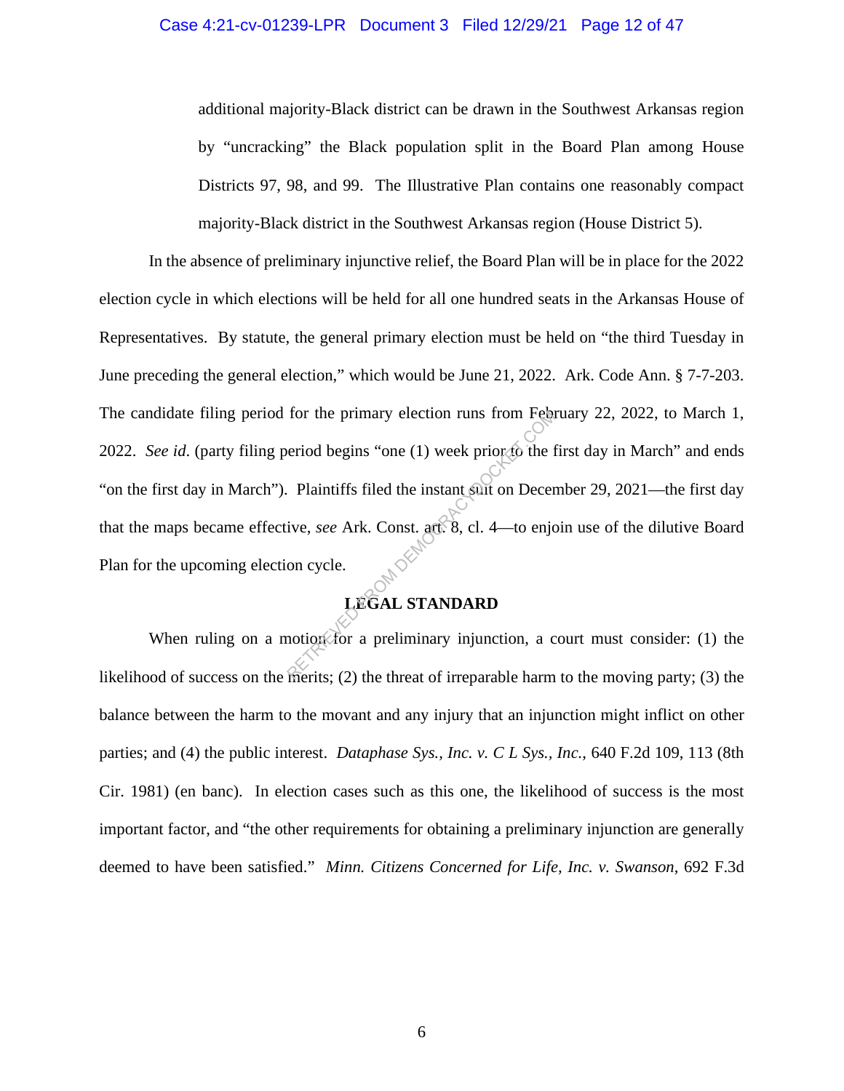#### Case 4:21-cv-01239-LPR Document 3 Filed 12/29/21 Page 12 of 47

additional majority-Black district can be drawn in the Southwest Arkansas region by "uncracking" the Black population split in the Board Plan among House Districts 97, 98, and 99. The Illustrative Plan contains one reasonably compact majority-Black district in the Southwest Arkansas region (House District 5).

In the absence of preliminary injunctive relief, the Board Plan will be in place for the 2022 election cycle in which elections will be held for all one hundred seats in the Arkansas House of Representatives. By statute, the general primary election must be held on "the third Tuesday in June preceding the general election," which would be June 21, 2022. Ark. Code Ann. § 7-7-203. The candidate filing period for the primary election runs from February 22, 2022, to March 1, 2022. *See id.* (party filing period begins "one (1) week prior to the first day in March" and ends "on the first day in March"). Plaintiffs filed the instant suit on December 29, 2021—the first day that the maps became effective, *see* Ark. Const. art. 8, cl. 4—to enjoin use of the dilutive Board Plan for the upcoming election cycle. From the primary election runs from Febre<br>
eriod begins "one (1) week prior to the 1<br>
Plaintiffs filed the instant surt on Decer<br>
ive, see Ark. Const. act. 8, cl. 4—to enjot<br>
on cycle.<br>
LEGAL STANDARD<br>
notion of a prelimin

## **LEGAL STANDARD**

When ruling on a motion for a preliminary injunction, a court must consider: (1) the likelihood of success on the merits; (2) the threat of irreparable harm to the moving party; (3) the balance between the harm to the movant and any injury that an injunction might inflict on other parties; and (4) the public interest. *Dataphase Sys., Inc. v. C L Sys., Inc.*, 640 F.2d 109, 113 (8th Cir. 1981) (en banc). In election cases such as this one, the likelihood of success is the most important factor, and "the other requirements for obtaining a preliminary injunction are generally deemed to have been satisfied." *Minn. Citizens Concerned for Life, Inc. v. Swanson*, 692 F.3d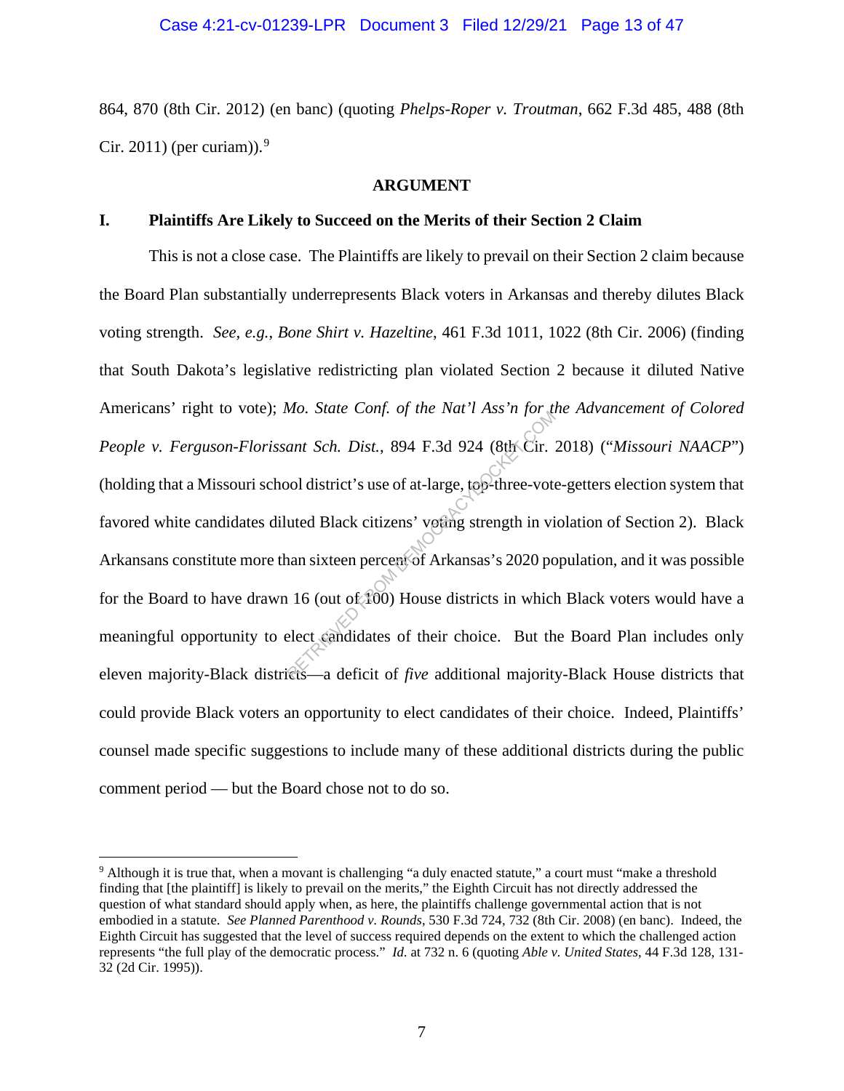864, 870 (8th Cir. 2012) (en banc) (quoting *Phelps-Roper v. Troutman*, 662 F.3d 485, 488 (8th Cir. 2011) (per curiam)).<sup>9</sup>

#### **ARGUMENT**

#### **I. Plaintiffs Are Likely to Succeed on the Merits of their Section 2 Claim**

This is not a close case. The Plaintiffs are likely to prevail on their Section 2 claim because the Board Plan substantially underrepresents Black voters in Arkansas and thereby dilutes Black voting strength. *See, e.g.*, *Bone Shirt v. Hazeltine*, 461 F.3d 1011, 1022 (8th Cir. 2006) (finding that South Dakota's legislative redistricting plan violated Section 2 because it diluted Native Americans' right to vote); *Mo. State Conf. of the Nat'l Ass'n for the Advancement of Colored People v. Ferguson-Florissant Sch. Dist.*, 894 F.3d 924 (8th Cir. 2018) ("*Missouri NAACP*") (holding that a Missouri school district's use of at-large, top-three-vote-getters election system that favored white candidates diluted Black citizens' voting strength in violation of Section 2). Black Arkansans constitute more than sixteen percent of Arkansas's 2020 population, and it was possible for the Board to have drawn 16 (out of 100) House districts in which Black voters would have a meaningful opportunity to elect candidates of their choice. But the Board Plan includes only eleven majority-Black districts—a deficit of *five* additional majority-Black House districts that could provide Black voters an opportunity to elect candidates of their choice. Indeed, Plaintiffs' counsel made specific suggestions to include many of these additional districts during the public comment period — but the Board chose not to do so. ant Sch. Dist., 894 F.3d 924 (8th Cir.<br>bol district's use of at-large, top-three-vote<br>uted Black citizens' voting strength in vi<br>an sixteen percent of Arkansas's 2020 po<br>16 (out of 100) House districts in which<br>elect cand

<sup>9</sup> Although it is true that, when a movant is challenging "a duly enacted statute," a court must "make a threshold finding that [the plaintiff] is likely to prevail on the merits," the Eighth Circuit has not directly addressed the question of what standard should apply when, as here, the plaintiffs challenge governmental action that is not embodied in a statute. *See Planned Parenthood v. Rounds*, 530 F.3d 724, 732 (8th Cir. 2008) (en banc). Indeed, the Eighth Circuit has suggested that the level of success required depends on the extent to which the challenged action represents "the full play of the democratic process." *Id.* at 732 n. 6 (quoting *Able v. United States*, 44 F.3d 128, 131- 32 (2d Cir. 1995)).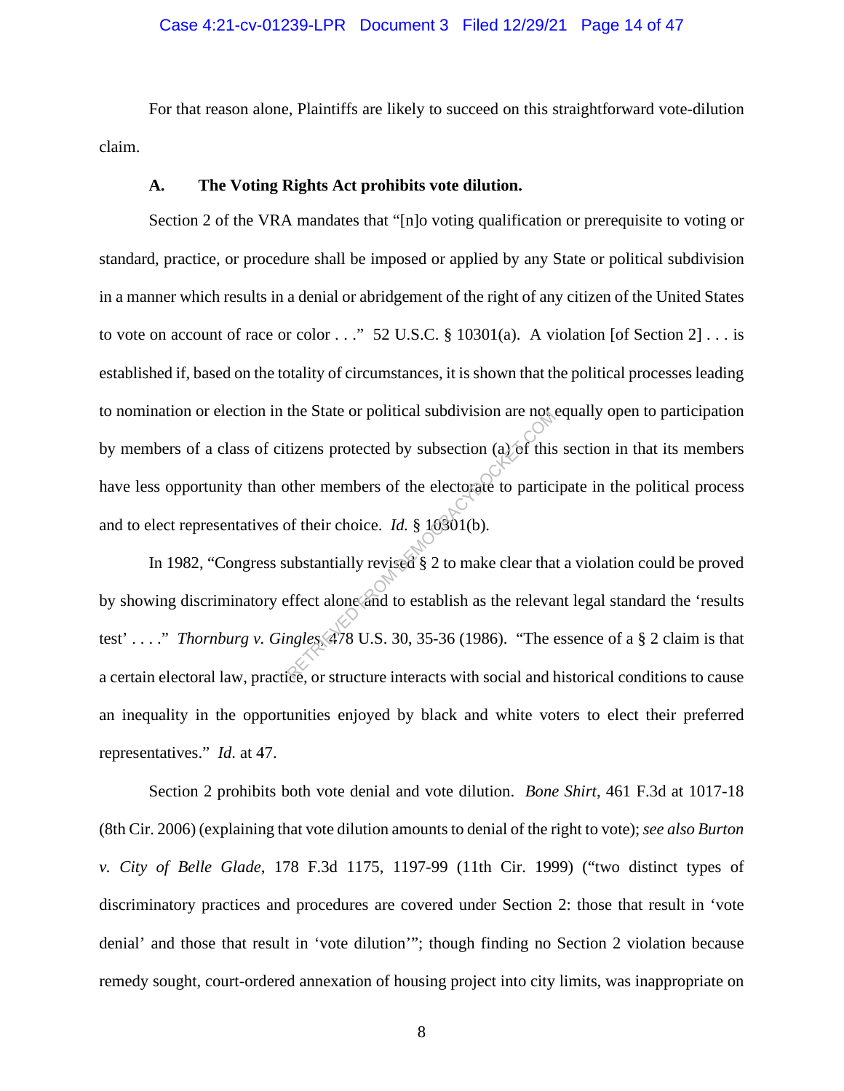#### Case 4:21-cv-01239-LPR Document 3 Filed 12/29/21 Page 14 of 47

For that reason alone, Plaintiffs are likely to succeed on this straightforward vote-dilution claim.

#### **A. The Voting Rights Act prohibits vote dilution.**

Section 2 of the VRA mandates that "[n]o voting qualification or prerequisite to voting or standard, practice, or procedure shall be imposed or applied by any State or political subdivision in a manner which results in a denial or abridgement of the right of any citizen of the United States to vote on account of race or color  $\dots$ " 52 U.S.C. § 10301(a). A violation [of Section 2]  $\dots$  is established if, based on the totality of circumstances, it is shown that the political processes leading to nomination or election in the State or political subdivision are not equally open to participation by members of a class of citizens protected by subsection (a) of this section in that its members have less opportunity than other members of the electorate to participate in the political process and to elect representatives of their choice. *Id.* § 10301(b). tizens protected by subsection (a) of this<br>ther members of the electorate to partic<br>of their choice. *Id.* § 10301(b).<br>ubstantially revised § 2 to make clear tha<br>effect alone and to establish as the releval<br>ngles, 478 U.S

In 1982, "Congress substantially revised § 2 to make clear that a violation could be proved by showing discriminatory effect alone and to establish as the relevant legal standard the 'results test' . . . ." *Thornburg v. Gingles*, 478 U.S. 30, 35-36 (1986). "The essence of a § 2 claim is that a certain electoral law, practice, or structure interacts with social and historical conditions to cause an inequality in the opportunities enjoyed by black and white voters to elect their preferred representatives." *Id*. at 47.

Section 2 prohibits both vote denial and vote dilution. *Bone Shirt*, 461 F.3d at 1017-18 (8th Cir. 2006) (explaining that vote dilution amounts to denial of the right to vote); *see also Burton v. City of Belle Glade*, 178 F.3d 1175, 1197-99 (11th Cir. 1999) ("two distinct types of discriminatory practices and procedures are covered under Section 2: those that result in 'vote denial' and those that result in 'vote dilution'"; though finding no Section 2 violation because remedy sought, court-ordered annexation of housing project into city limits, was inappropriate on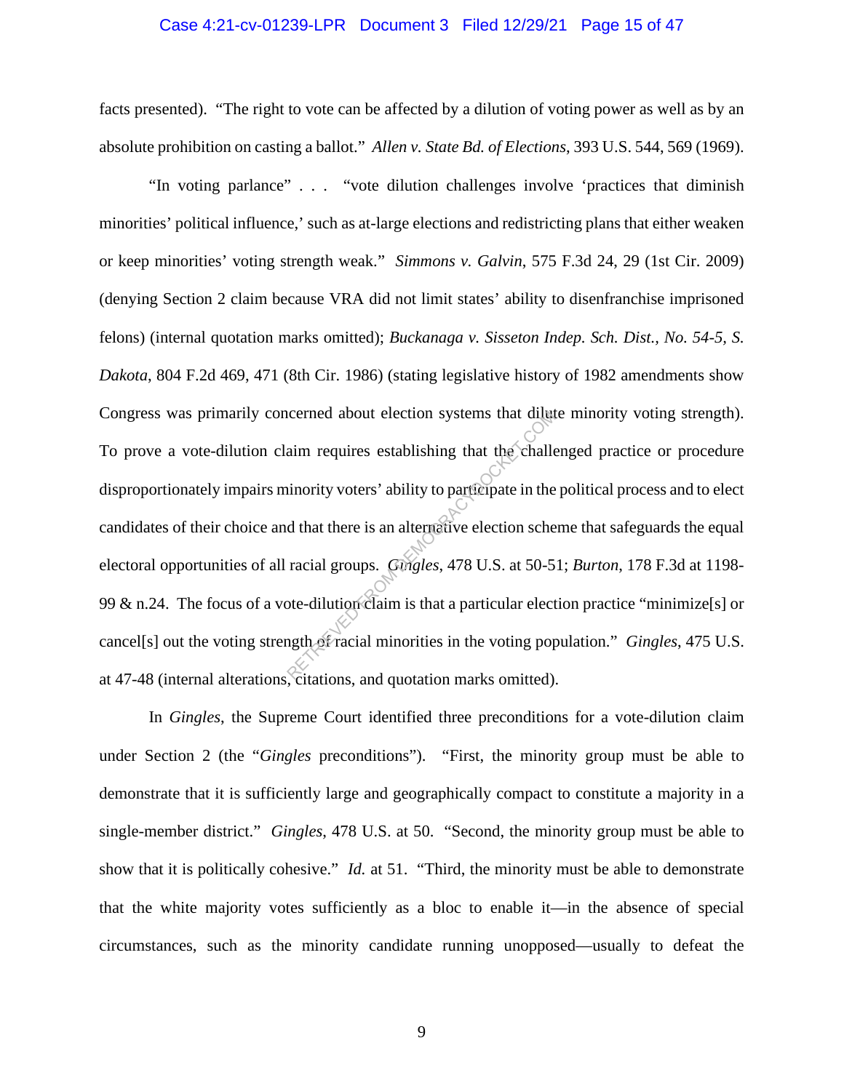#### Case 4:21-cv-01239-LPR Document 3 Filed 12/29/21 Page 15 of 47

facts presented). "The right to vote can be affected by a dilution of voting power as well as by an absolute prohibition on casting a ballot." *Allen v. State Bd. of Elections*, 393 U.S. 544, 569 (1969).

"In voting parlance" . . . "vote dilution challenges involve 'practices that diminish minorities' political influence,' such as at-large elections and redistricting plans that either weaken or keep minorities' voting strength weak." *Simmons v. Galvin*, 575 F.3d 24, 29 (1st Cir. 2009) (denying Section 2 claim because VRA did not limit states' ability to disenfranchise imprisoned felons) (internal quotation marks omitted); *Buckanaga v. Sisseton Indep. Sch. Dist., No. 54-5, S. Dakota*, 804 F.2d 469, 471 (8th Cir. 1986) (stating legislative history of 1982 amendments show Congress was primarily concerned about election systems that dilute minority voting strength). To prove a vote-dilution claim requires establishing that the challenged practice or procedure disproportionately impairs minority voters' ability to participate in the political process and to elect candidates of their choice and that there is an alternative election scheme that safeguards the equal electoral opportunities of all racial groups. *Gingles*, 478 U.S. at 50-51; *Burton*, 178 F.3d at 1198- 99 & n.24. The focus of a vote-dilution claim is that a particular election practice "minimize[s] or cancel[s] out the voting strength of racial minorities in the voting population." *Gingles*, 475 U.S. at 47-48 (internal alterations, citations, and quotation marks omitted). Example about election systems that diluted<br>aim requires establishing that the challe<br>iniority voters' ability to participate in the<br>d that there is an alternative election sche<br>racial groups. *Gingles*, 478 U.S. at 50-5<br>b

In *Gingles*, the Supreme Court identified three preconditions for a vote-dilution claim under Section 2 (the "*Gingles* preconditions"). "First, the minority group must be able to demonstrate that it is sufficiently large and geographically compact to constitute a majority in a single-member district." *Gingles*, 478 U.S. at 50. "Second, the minority group must be able to show that it is politically cohesive." *Id.* at 51. "Third, the minority must be able to demonstrate that the white majority votes sufficiently as a bloc to enable it—in the absence of special circumstances, such as the minority candidate running unopposed—usually to defeat the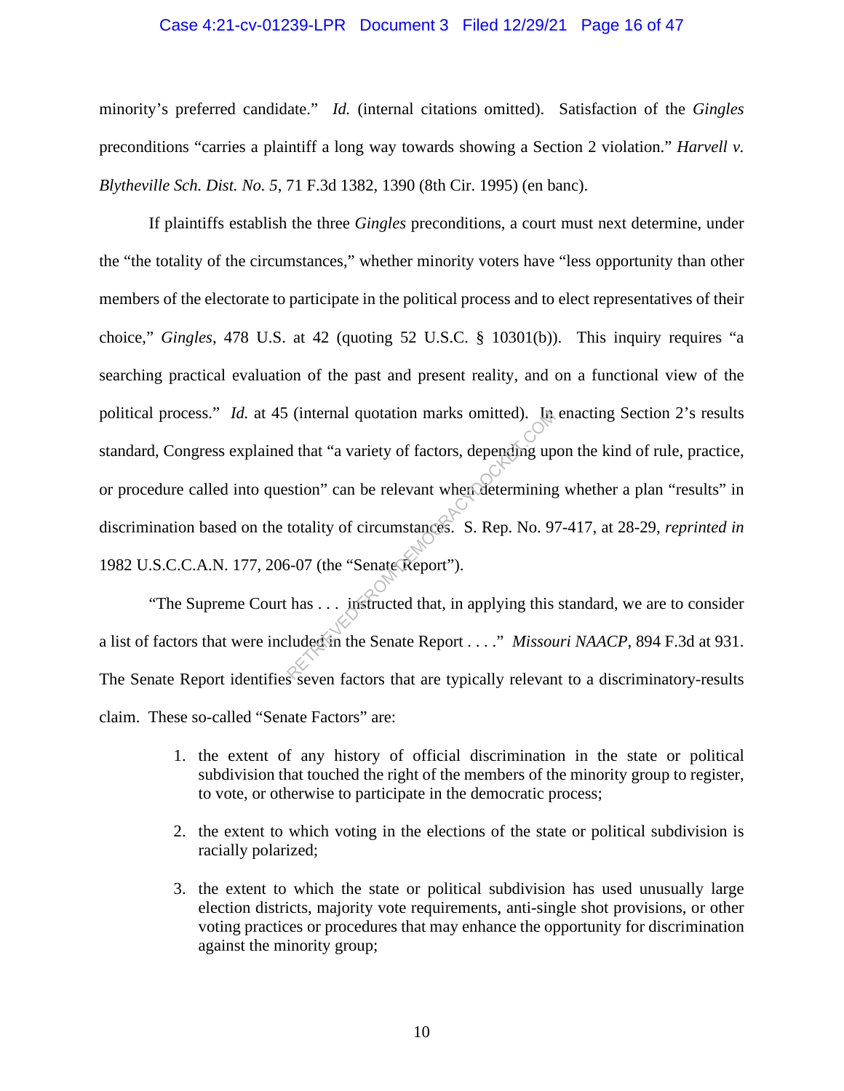#### Case 4:21-cv-01239-LPR Document 3 Filed 12/29/21 Page 16 of 47

minority's preferred candidate." *Id.* (internal citations omitted). Satisfaction of the *Gingles* preconditions "carries a plaintiff a long way towards showing a Section 2 violation." *Harvell v. Blytheville Sch. Dist. No. 5*, 71 F.3d 1382, 1390 (8th Cir. 1995) (en banc).

If plaintiffs establish the three *Gingles* preconditions, a court must next determine, under the "the totality of the circumstances," whether minority voters have "less opportunity than other members of the electorate to participate in the political process and to elect representatives of their choice," *Gingles*, 478 U.S. at 42 (quoting 52 U.S.C. § 10301(b)). This inquiry requires "a searching practical evaluation of the past and present reality, and on a functional view of the political process." *Id.* at 45 (internal quotation marks omitted). In enacting Section 2's results standard, Congress explained that "a variety of factors, depending upon the kind of rule, practice, or procedure called into question" can be relevant when determining whether a plan "results" in discrimination based on the totality of circumstances. S. Rep. No. 97-417, at 28-29, *reprinted in*  1982 U.S.C.C.A.N. 177, 206-07 (the "Senate Report"). (internal quotation marks omitted). In<br>d that "a variety of factors, depending up<br>stion" can be relevant when determining<br>totality of circumstances. S. Rep. No. 9<br>5-07 (the "Senate Report").<br>has ... instructed that, in ap

"The Supreme Court has . . . instructed that, in applying this standard, we are to consider a list of factors that were included in the Senate Report . . . ." *Missouri NAACP*, 894 F.3d at 931. The Senate Report identifies seven factors that are typically relevant to a discriminatory-results claim. These so-called "Senate Factors" are:

- 1. the extent of any history of official discrimination in the state or political subdivision that touched the right of the members of the minority group to register, to vote, or otherwise to participate in the democratic process;
- 2. the extent to which voting in the elections of the state or political subdivision is racially polarized;
- 3. the extent to which the state or political subdivision has used unusually large election districts, majority vote requirements, anti-single shot provisions, or other voting practices or procedures that may enhance the opportunity for discrimination against the minority group;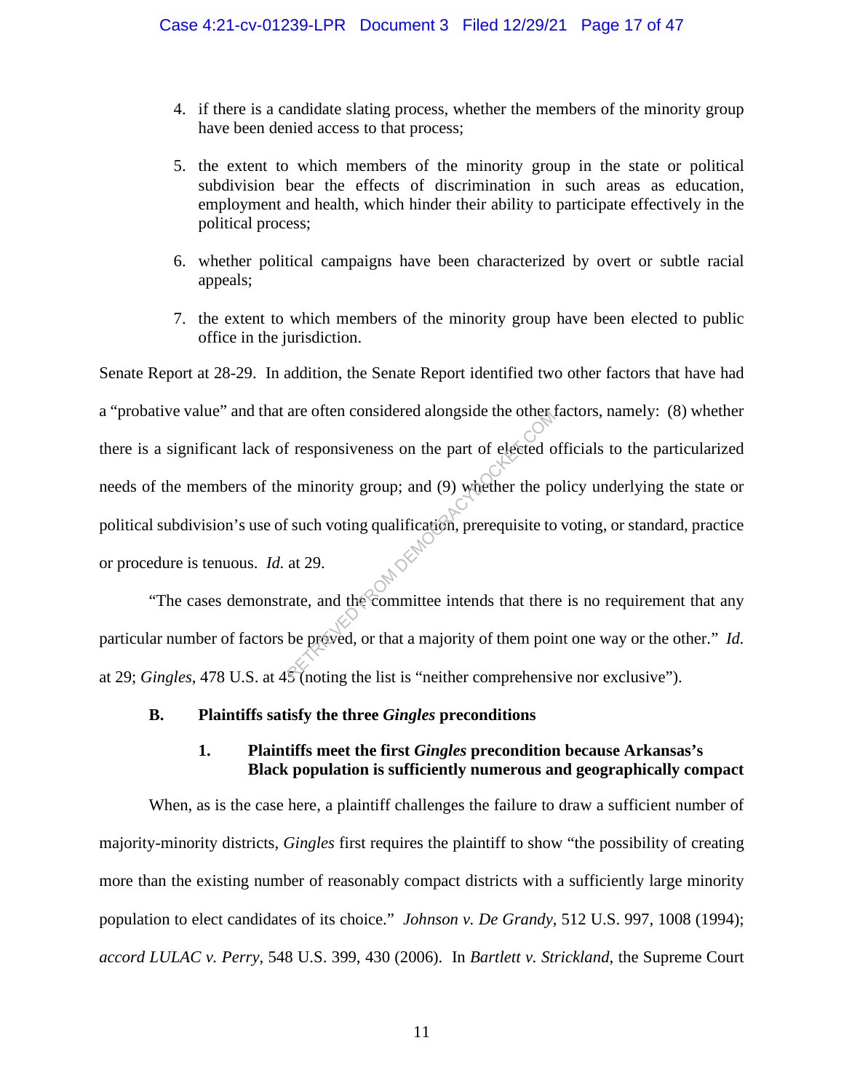- 4. if there is a candidate slating process, whether the members of the minority group have been denied access to that process;
- 5. the extent to which members of the minority group in the state or political subdivision bear the effects of discrimination in such areas as education, employment and health, which hinder their ability to participate effectively in the political process;
- 6. whether political campaigns have been characterized by overt or subtle racial appeals;
- 7. the extent to which members of the minority group have been elected to public office in the jurisdiction.

Senate Report at 28-29. In addition, the Senate Report identified two other factors that have had a "probative value" and that are often considered alongside the other factors, namely: (8) whether there is a significant lack of responsiveness on the part of elected officials to the particularized needs of the members of the minority group; and (9) whether the policy underlying the state or political subdivision's use of such voting qualification, prerequisite to voting, or standard, practice or procedure is tenuous. *Id.* at 29. Fresponsiveness on the part of elected of<br>e minority group; and (9) whether the person is such voting qualification, prerequisite to<br>at 29.<br>The mate, and the committee intends that then<br>be preved, or that a majority of the

"The cases demonstrate, and the committee intends that there is no requirement that any particular number of factors be proved, or that a majority of them point one way or the other." *Id.* at 29; *Gingles*, 478 U.S. at 45 (noting the list is "neither comprehensive nor exclusive").

### **B. Plaintiffs satisfy the three** *Gingles* **preconditions**

## **1. Plaintiffs meet the first** *Gingles* **precondition because Arkansas's Black population is sufficiently numerous and geographically compact**

When, as is the case here, a plaintiff challenges the failure to draw a sufficient number of majority-minority districts, *Gingles* first requires the plaintiff to show "the possibility of creating more than the existing number of reasonably compact districts with a sufficiently large minority population to elect candidates of its choice." *Johnson v. De Grandy*, 512 U.S. 997, 1008 (1994); *accord LULAC v. Perry*, 548 U.S. 399, 430 (2006). In *Bartlett v. Strickland*, the Supreme Court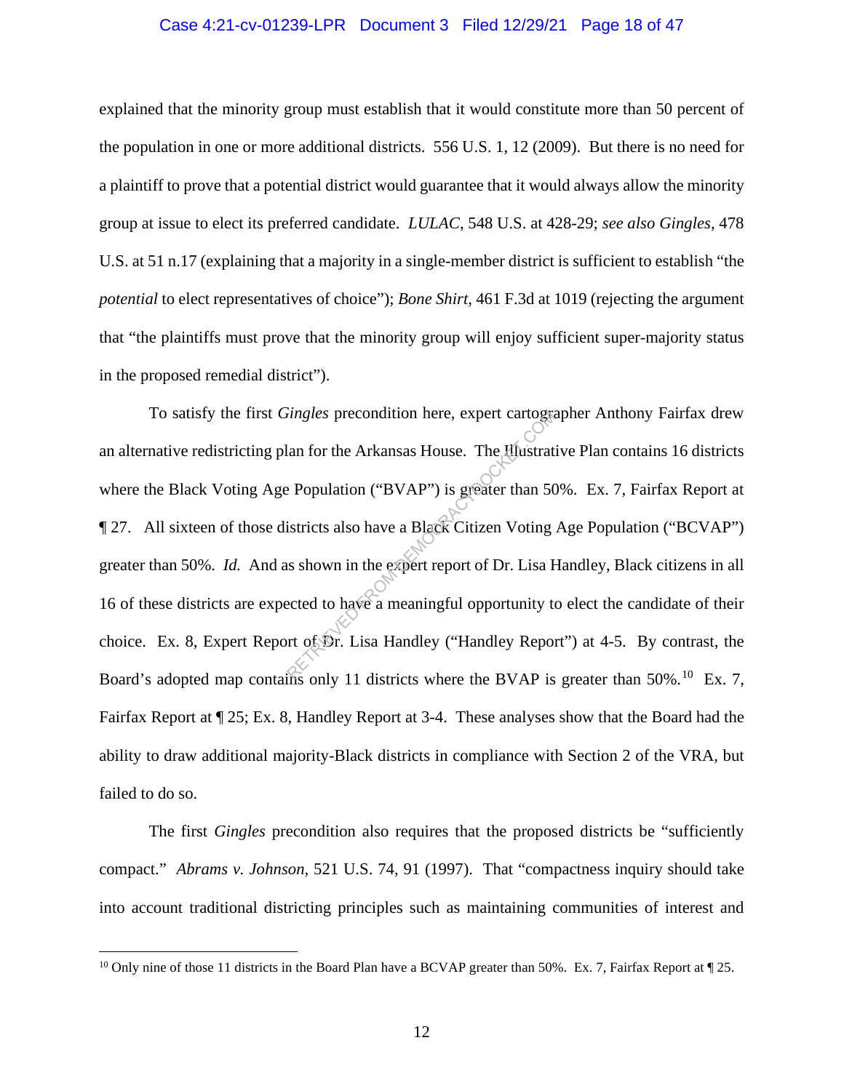#### Case 4:21-cv-01239-LPR Document 3 Filed 12/29/21 Page 18 of 47

explained that the minority group must establish that it would constitute more than 50 percent of the population in one or more additional districts. 556 U.S. 1, 12 (2009). But there is no need for a plaintiff to prove that a potential district would guarantee that it would always allow the minority group at issue to elect its preferred candidate. *LULAC*, 548 U.S. at 428-29; *see also Gingles*, 478 U.S. at 51 n.17 (explaining that a majority in a single-member district is sufficient to establish "the *potential* to elect representatives of choice"); *Bone Shirt*, 461 F.3d at 1019 (rejecting the argument that "the plaintiffs must prove that the minority group will enjoy sufficient super-majority status in the proposed remedial district").

To satisfy the first *Gingles* precondition here, expert cartographer Anthony Fairfax drew an alternative redistricting plan for the Arkansas House. The Illustrative Plan contains 16 districts where the Black Voting Age Population ("BVAP") is greater than 50%. Ex. 7, Fairfax Report at ¶ 27. All sixteen of those districts also have a Black Citizen Voting Age Population ("BCVAP") greater than 50%. *Id.* And as shown in the expert report of Dr. Lisa Handley, Black citizens in all 16 of these districts are expected to have a meaningful opportunity to elect the candidate of their choice. Ex. 8, Expert Report of Dr. Lisa Handley ("Handley Report") at 4-5. By contrast, the Board's adopted map contains only 11 districts where the BVAP is greater than 50%.<sup>10</sup> Ex. 7, Fairfax Report at ¶ 25; Ex. 8, Handley Report at 3-4. These analyses show that the Board had the ability to draw additional majority-Black districts in compliance with Section 2 of the VRA, but failed to do so. ringles precondition here, expert cartogram<br>
an for the Arkansas House. The Hustrat<br>
Population ("BVAP") is greater than 50<br>
istricts also have a Black Citizen Voting<br>
is shown in the expert report of Dr. Lisa B<br>
ected to

The first *Gingles* precondition also requires that the proposed districts be "sufficiently compact." *Abrams v. Johnson*, 521 U.S. 74, 91 (1997). That "compactness inquiry should take into account traditional districting principles such as maintaining communities of interest and

<sup>&</sup>lt;sup>10</sup> Only nine of those 11 districts in the Board Plan have a BCVAP greater than 50%. Ex. 7, Fairfax Report at  $\P$  25.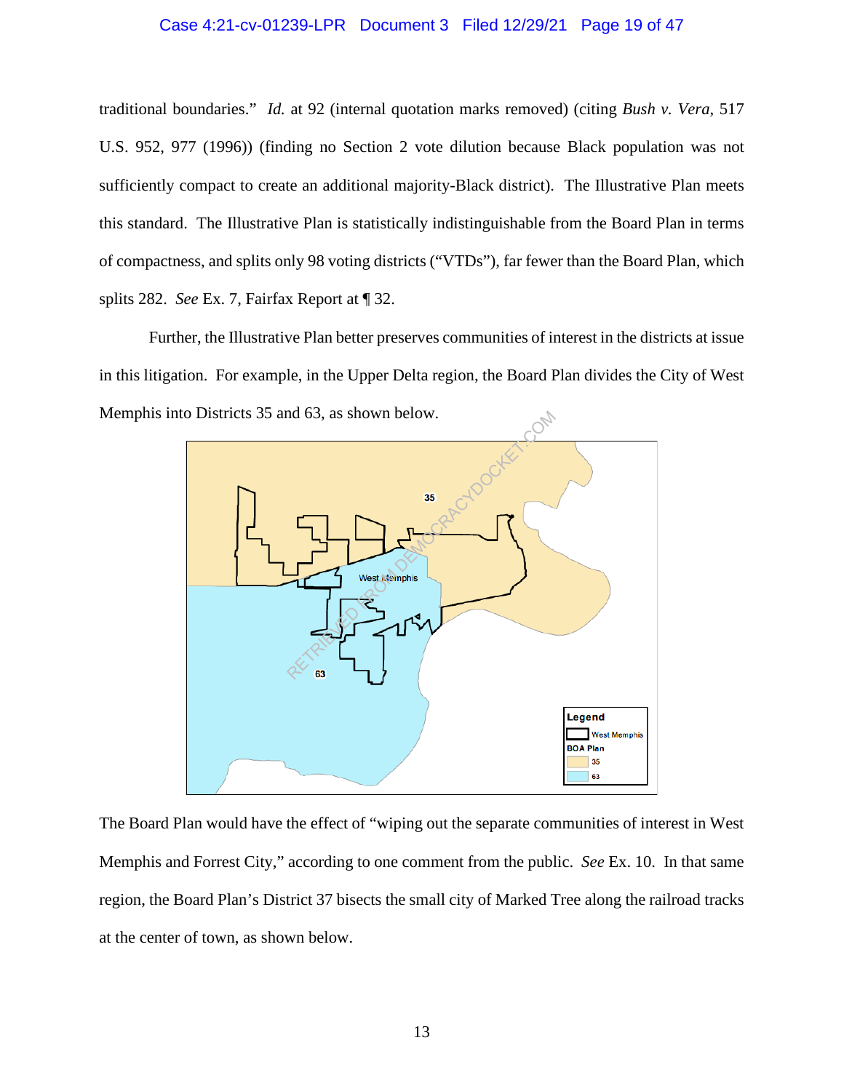#### Case 4:21-cv-01239-LPR Document 3 Filed 12/29/21 Page 19 of 47

traditional boundaries." *Id.* at 92 (internal quotation marks removed) (citing *Bush v. Vera*, 517 U.S. 952, 977 (1996)) (finding no Section 2 vote dilution because Black population was not sufficiently compact to create an additional majority-Black district). The Illustrative Plan meets this standard. The Illustrative Plan is statistically indistinguishable from the Board Plan in terms of compactness, and splits only 98 voting districts ("VTDs"), far fewer than the Board Plan, which splits 282. *See* Ex. 7, Fairfax Report at ¶ 32.

Further, the Illustrative Plan better preserves communities of interest in the districts at issue in this litigation. For example, in the Upper Delta region, the Board Plan divides the City of West Memphis into Districts 35 and 63, as shown below.



The Board Plan would have the effect of "wiping out the separate communities of interest in West Memphis and Forrest City," according to one comment from the public. *See* Ex. 10. In that same region, the Board Plan's District 37 bisects the small city of Marked Tree along the railroad tracks at the center of town, as shown below.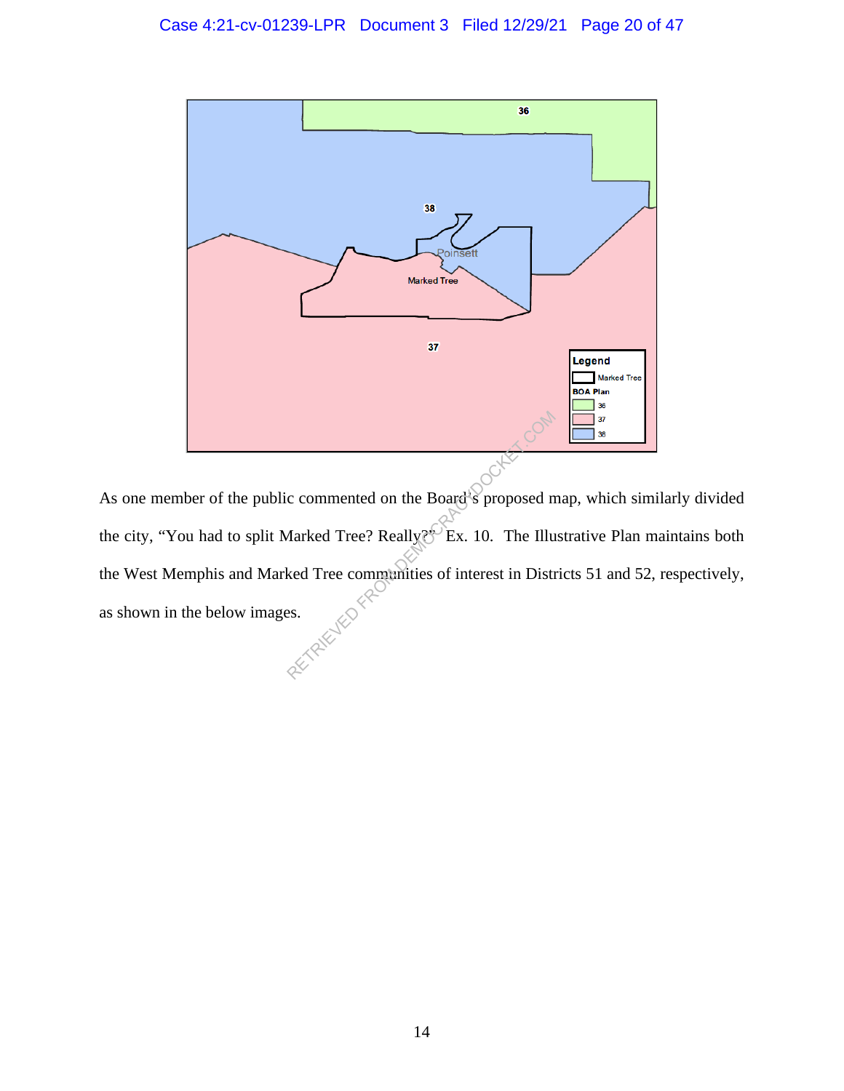

As one member of the public commented on the Board's proposed map, which similarly divided the city, "You had to split Marked Tree? Really?" Ex. 10. The Illustrative Plan maintains both the West Memphis and Marked Tree communities of interest in Districts 51 and 52, respectively, as shown in the below images. Commented on the Board's proposed not all the Board of Second Marked Tree? Really  $\mathbb{R}^{\mathbb{C}}$  Ex. 10. The Illum ked Tree communities of interest in Distress.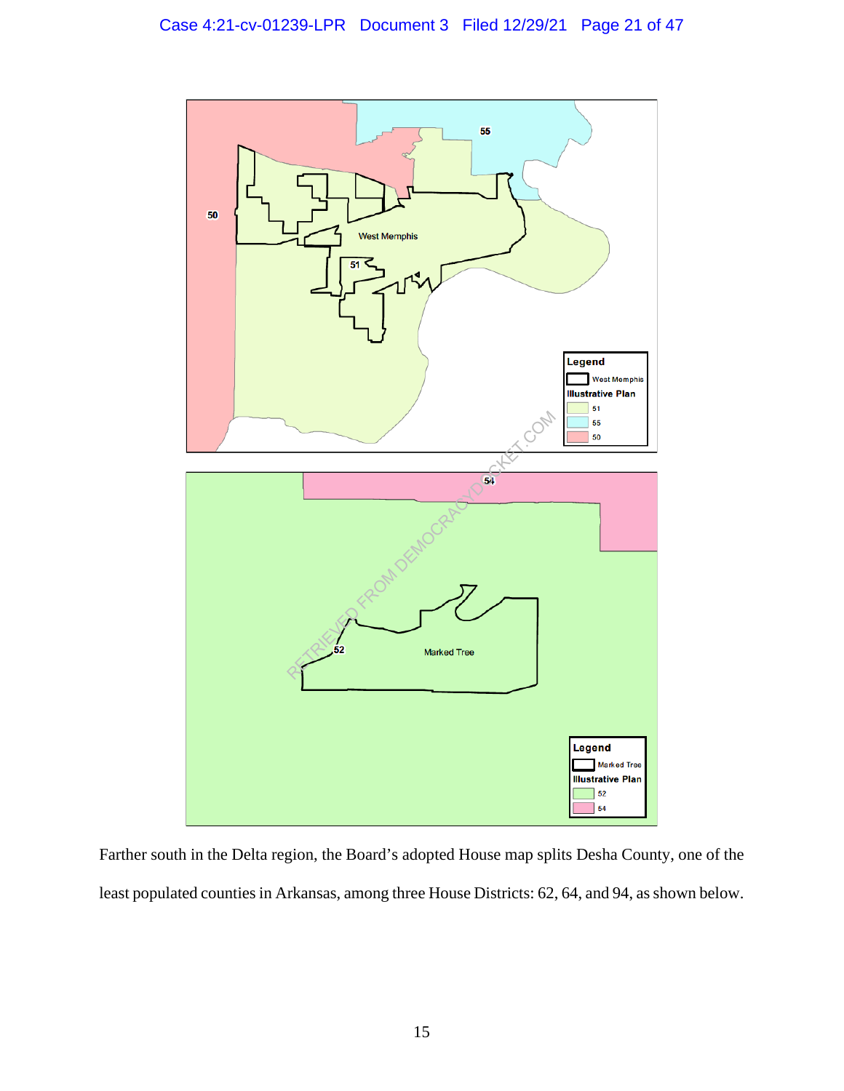

Farther south in the Delta region, the Board's adopted House map splits Desha County, one of the least populated counties in Arkansas, among three House Districts: 62, 64, and 94, as shown below.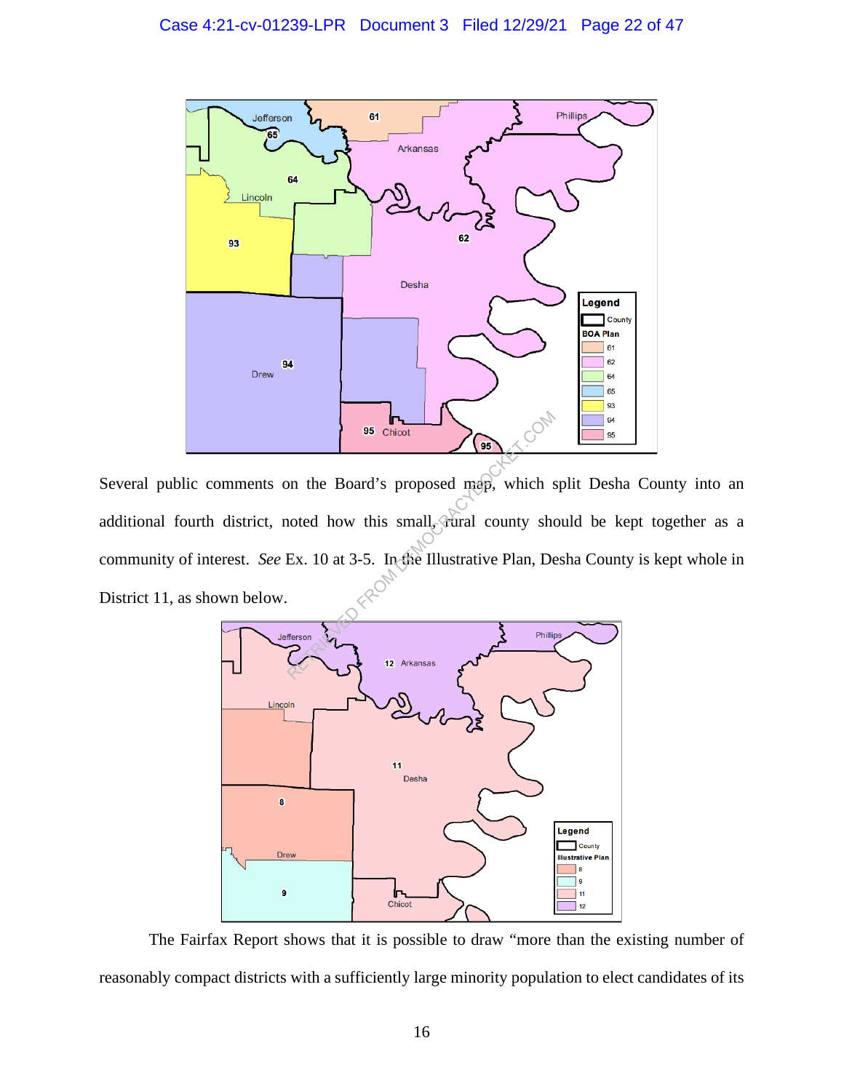

Several public comments on the Board's proposed map, which split Desha County into an additional fourth district, noted how this small, turnal county should be kept together as a community of interest. *See* Ex. 10 at 3-5. In the Illustrative Plan, Desha County is kept whole in District 11, as shown below. 95 Chicot<br>
Don the Board's proposed map, which is<br>
noted how this small, and county she<br>
Ex. 10 at 3-5. In the Illustrative Plan, De



The Fairfax Report shows that it is possible to draw "more than the existing number of reasonably compact districts with a sufficiently large minority population to elect candidates of its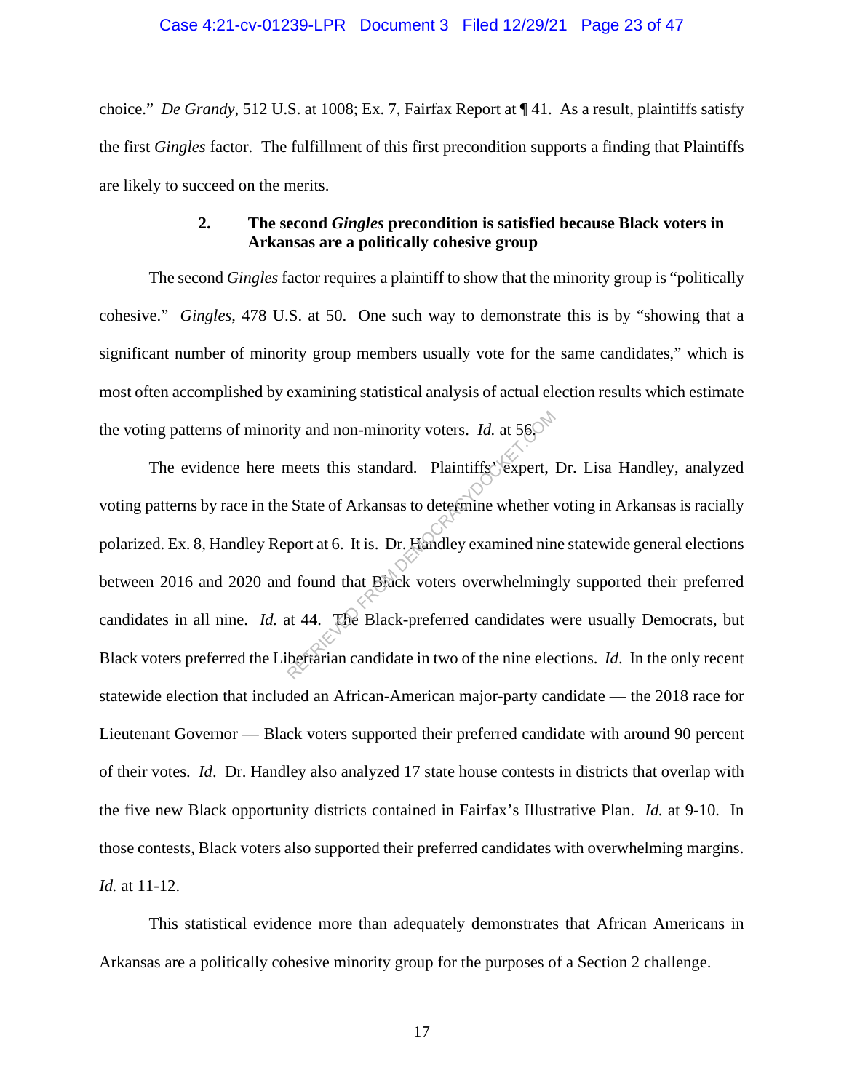#### Case 4:21-cv-01239-LPR Document 3 Filed 12/29/21 Page 23 of 47

choice." *De Grandy*, 512 U.S. at 1008; Ex. 7, Fairfax Report at ¶ 41. As a result, plaintiffs satisfy the first *Gingles* factor. The fulfillment of this first precondition supports a finding that Plaintiffs are likely to succeed on the merits.

## **2. The second** *Gingles* **precondition is satisfied because Black voters in Arkansas are a politically cohesive group**

The second *Gingles* factor requires a plaintiff to show that the minority group is "politically cohesive." *Gingles*, 478 U.S. at 50. One such way to demonstrate this is by "showing that a significant number of minority group members usually vote for the same candidates," which is most often accomplished by examining statistical analysis of actual election results which estimate the voting patterns of minority and non-minority voters. *Id.* at 56.

The evidence here meets this standard. Plaintiffs' expert, Dr. Lisa Handley, analyzed voting patterns by race in the State of Arkansas to determine whether voting in Arkansas is racially polarized. Ex. 8, Handley Report at 6. It is. Dr. Handley examined nine statewide general elections between 2016 and 2020 and found that Black voters overwhelmingly supported their preferred candidates in all nine. *Id.* at 44. The Black-preferred candidates were usually Democrats, but Black voters preferred the Libertarian candidate in two of the nine elections. *Id*. In the only recent statewide election that included an African-American major-party candidate — the 2018 race for Lieutenant Governor — Black voters supported their preferred candidate with around 90 percent of their votes. *Id*. Dr. Handley also analyzed 17 state house contests in districts that overlap with the five new Black opportunity districts contained in Fairfax's Illustrative Plan. *Id.* at 9-10. In those contests, Black voters also supported their preferred candidates with overwhelming margins. *Id.* at 11-12. The standard. Plaintiffs<sup>2</sup> expert.<br>
Returning the standard. Plaintiffs<sup>2</sup> expert.<br>
Returning whether vectors of Arkansas to determine whether vectors.<br>
From a found that Byack voters overwhelming<br>
at 44. The Black-prefer

This statistical evidence more than adequately demonstrates that African Americans in Arkansas are a politically cohesive minority group for the purposes of a Section 2 challenge.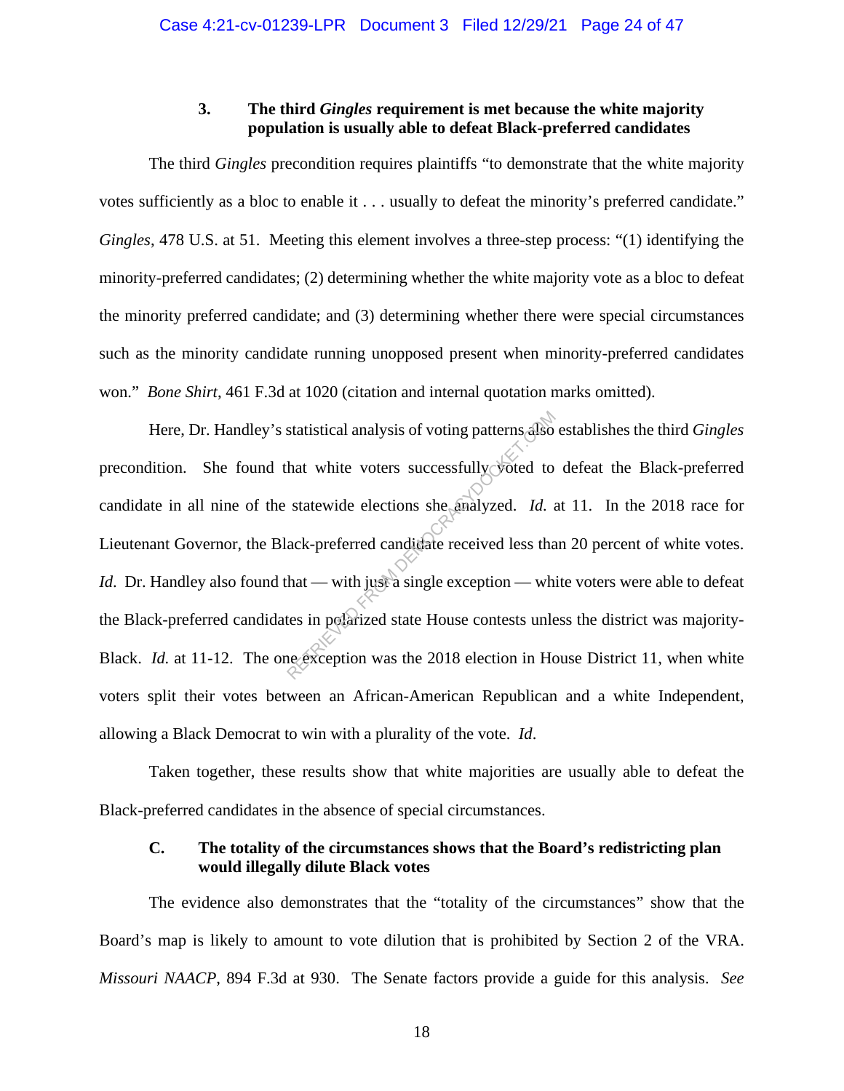### **3. The third** *Gingles* **requirement is met because the white majority population is usually able to defeat Black-preferred candidates**

The third *Gingles* precondition requires plaintiffs "to demonstrate that the white majority votes sufficiently as a bloc to enable it . . . usually to defeat the minority's preferred candidate." *Gingles*, 478 U.S. at 51. Meeting this element involves a three-step process: "(1) identifying the minority-preferred candidates; (2) determining whether the white majority vote as a bloc to defeat the minority preferred candidate; and (3) determining whether there were special circumstances such as the minority candidate running unopposed present when minority-preferred candidates won." *Bone Shirt*, 461 F.3d at 1020 (citation and internal quotation marks omitted).

Here, Dr. Handley's statistical analysis of voting patterns also establishes the third *Gingles* precondition. She found that white voters successfully voted to defeat the Black-preferred candidate in all nine of the statewide elections she analyzed. *Id.* at 11. In the 2018 race for Lieutenant Governor, the Black-preferred candidate received less than 20 percent of white votes. *Id.* Dr. Handley also found that — with just a single exception — white voters were able to defeat the Black-preferred candidates in polarized state House contests unless the district was majority-Black. *Id.* at 11-12. The one exception was the 2018 election in House District 11, when white voters split their votes between an African-American Republican and a white Independent, allowing a Black Democrat to win with a plurality of the vote. *Id*. statistical analysis of voting patterns also<br>hat white voters successfully voted to<br>statewide elections she analyzed. Id.<br>ack-preferred candidate received less tha<br>hat — with just a single exception — wh<br>tes in polarized s

Taken together, these results show that white majorities are usually able to defeat the Black-preferred candidates in the absence of special circumstances.

### **C. The totality of the circumstances shows that the Board's redistricting plan would illegally dilute Black votes**

The evidence also demonstrates that the "totality of the circumstances" show that the Board's map is likely to amount to vote dilution that is prohibited by Section 2 of the VRA. *Missouri NAACP*, 894 F.3d at 930. The Senate factors provide a guide for this analysis. *See*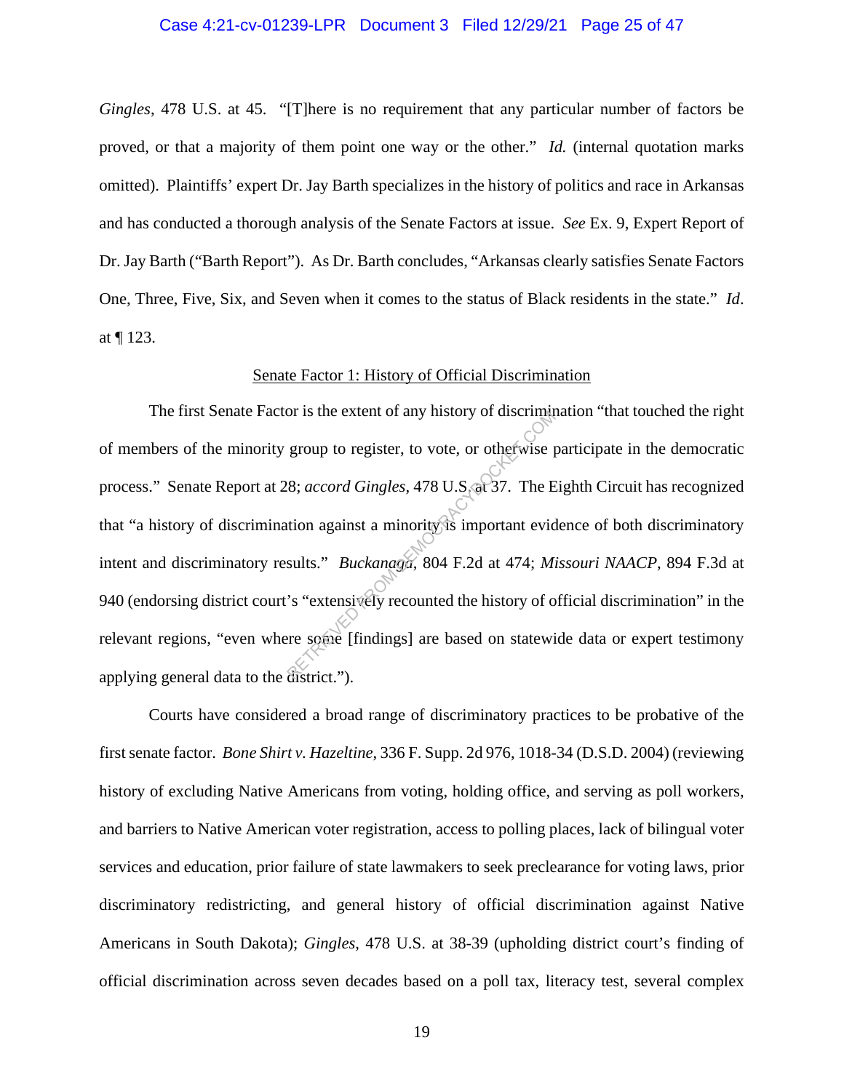#### Case 4:21-cv-01239-LPR Document 3 Filed 12/29/21 Page 25 of 47

*Gingles*, 478 U.S. at 45. "[T]here is no requirement that any particular number of factors be proved, or that a majority of them point one way or the other." *Id.* (internal quotation marks omitted). Plaintiffs' expert Dr. Jay Barth specializes in the history of politics and race in Arkansas and has conducted a thorough analysis of the Senate Factors at issue. *See* Ex. 9, Expert Report of Dr. Jay Barth ("Barth Report"). As Dr. Barth concludes, "Arkansas clearly satisfies Senate Factors One, Three, Five, Six, and Seven when it comes to the status of Black residents in the state." *Id*. at ¶ 123.

#### Senate Factor 1: History of Official Discrimination

The first Senate Factor is the extent of any history of discrimination "that touched the right of members of the minority group to register, to vote, or otherwise participate in the democratic process." Senate Report at 28; *accord Gingles*, 478 U.S. at 37. The Eighth Circuit has recognized that "a history of discrimination against a minority is important evidence of both discriminatory intent and discriminatory results." *Buckanaga*, 804 F.2d at 474; *Missouri NAACP*, 894 F.3d at 940 (endorsing district court's "extensively recounted the history of official discrimination" in the relevant regions, "even where some [findings] are based on statewide data or expert testimony applying general data to the district."). Solventies and the extent of any mistory of discriming<br>group to register, to vote, or otherwise p<br>8; accord Gingles, 478 U.S. at 37. The E<br>tion against a minority is important evid<br>sults." *Buckanaga*, 804 F.2d at 474; *Mi* 

Courts have considered a broad range of discriminatory practices to be probative of the first senate factor. *Bone Shirt v. Hazeltine*, 336 F. Supp. 2d 976, 1018-34 (D.S.D. 2004) (reviewing history of excluding Native Americans from voting, holding office, and serving as poll workers, and barriers to Native American voter registration, access to polling places, lack of bilingual voter services and education, prior failure of state lawmakers to seek preclearance for voting laws, prior discriminatory redistricting, and general history of official discrimination against Native Americans in South Dakota); *Gingles*, 478 U.S. at 38-39 (upholding district court's finding of official discrimination across seven decades based on a poll tax, literacy test, several complex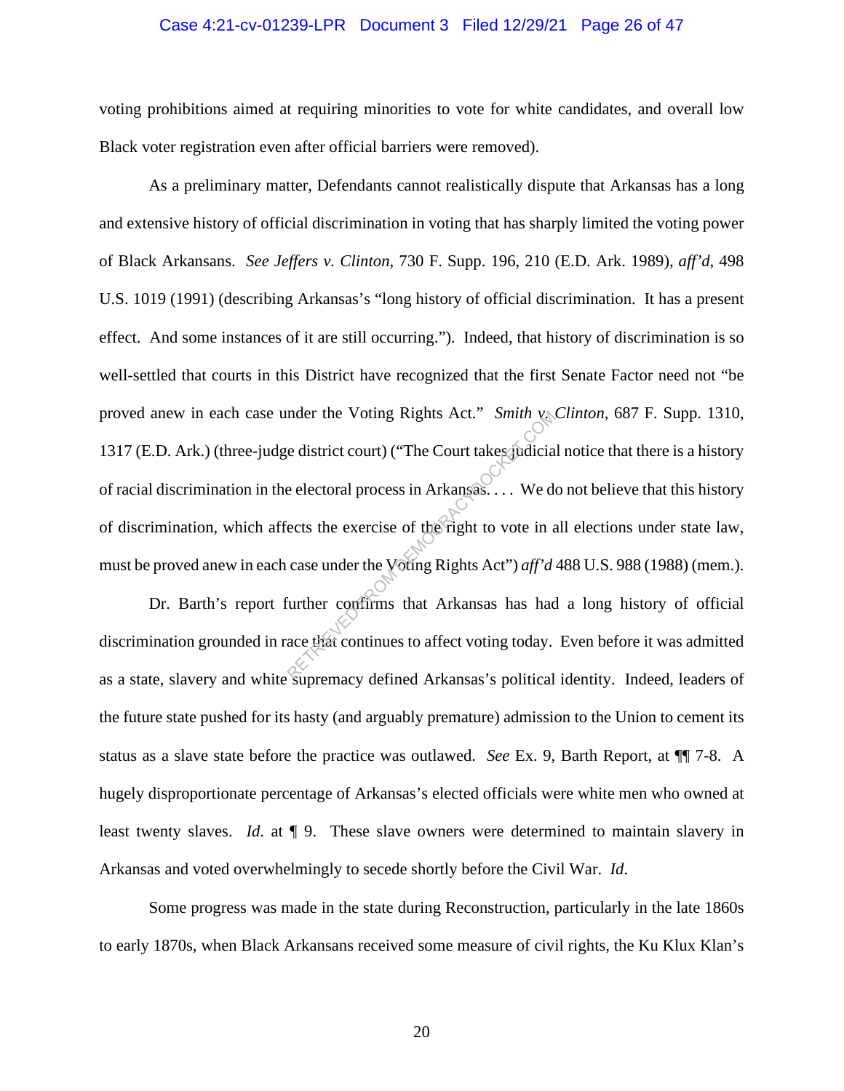#### Case 4:21-cv-01239-LPR Document 3 Filed 12/29/21 Page 26 of 47

voting prohibitions aimed at requiring minorities to vote for white candidates, and overall low Black voter registration even after official barriers were removed).

As a preliminary matter, Defendants cannot realistically dispute that Arkansas has a long and extensive history of official discrimination in voting that has sharply limited the voting power of Black Arkansans. *See Jeffers v. Clinton*, 730 F. Supp. 196, 210 (E.D. Ark. 1989), *aff'd*, 498 U.S. 1019 (1991) (describing Arkansas's "long history of official discrimination. It has a present effect. And some instances of it are still occurring."). Indeed, that history of discrimination is so well-settled that courts in this District have recognized that the first Senate Factor need not "be proved anew in each case under the Voting Rights Act." *Smith v. Clinton*, 687 F. Supp. 1310, 1317 (E.D. Ark.) (three-judge district court) ("The Court takes judicial notice that there is a history of racial discrimination in the electoral process in Arkansas. . . . We do not believe that this history of discrimination, which affects the exercise of the right to vote in all elections under state law, must be proved anew in each case under the Voting Rights Act") *aff'd* 488 U.S. 988 (1988) (mem.). nder the Voting Rights Act." Smith v.<br>
e district court) ("The Court takes judicial<br>
e electoral process in Arkansas.... We denote the exercise of the right to vote in a<br>
case under the Voting Rights Act") *aff'd*<br>
urther

Dr. Barth's report further confirms that Arkansas has had a long history of official discrimination grounded in race that continues to affect voting today. Even before it was admitted as a state, slavery and white supremacy defined Arkansas's political identity. Indeed, leaders of the future state pushed for its hasty (and arguably premature) admission to the Union to cement its status as a slave state before the practice was outlawed. *See* Ex. 9, Barth Report, at ¶¶ 7-8. A hugely disproportionate percentage of Arkansas's elected officials were white men who owned at least twenty slaves. *Id*. at ¶ 9. These slave owners were determined to maintain slavery in Arkansas and voted overwhelmingly to secede shortly before the Civil War. *Id*.

Some progress was made in the state during Reconstruction, particularly in the late 1860s to early 1870s, when Black Arkansans received some measure of civil rights, the Ku Klux Klan's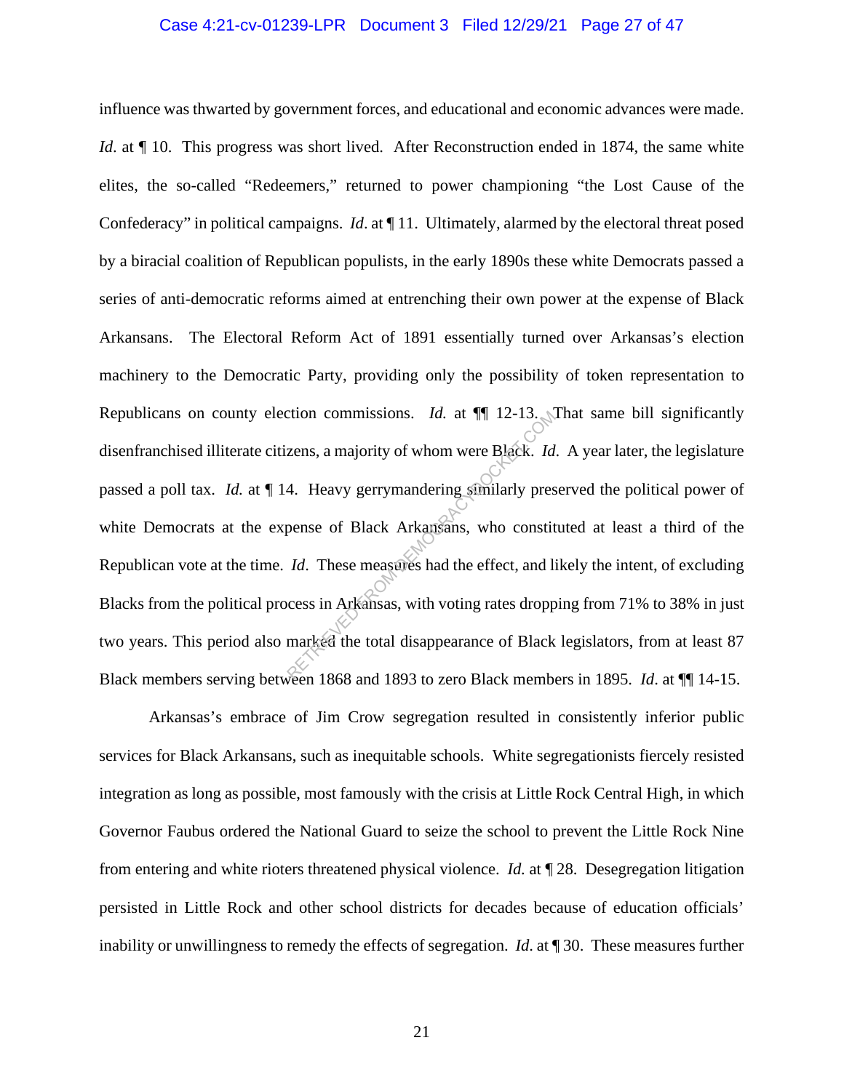#### Case 4:21-cv-01239-LPR Document 3 Filed 12/29/21 Page 27 of 47

influence was thwarted by government forces, and educational and economic advances were made. *Id.* at  $\P$  10. This progress was short lived. After Reconstruction ended in 1874, the same white elites, the so-called "Redeemers," returned to power championing "the Lost Cause of the Confederacy" in political campaigns. *Id.* at  $\P$  11. Ultimately, alarmed by the electoral threat posed by a biracial coalition of Republican populists, in the early 1890s these white Democrats passed a series of anti-democratic reforms aimed at entrenching their own power at the expense of Black Arkansans. The Electoral Reform Act of 1891 essentially turned over Arkansas's election machinery to the Democratic Party, providing only the possibility of token representation to Republicans on county election commissions. *Id.* at  $\P$  12-13. That same bill significantly disenfranchised illiterate citizens, a majority of whom were Black. *Id*. A year later, the legislature passed a poll tax. *Id.* at ¶ 14. Heavy gerrymandering similarly preserved the political power of white Democrats at the expense of Black Arkansans, who constituted at least a third of the Republican vote at the time. *Id*. These measures had the effect, and likely the intent, of excluding Blacks from the political process in Arkansas, with voting rates dropping from 71% to 38% in just two years. This period also marked the total disappearance of Black legislators, from at least 87 Black members serving between 1868 and 1893 to zero Black members in 1895. *Id*. at ¶¶ 14-15. Extrapressions. *Id.* at  $||||$  12-13.<br>
Extrapressed and a majority of whom were Black. *Id*<br>
4. Heavy gerrymandering similarly prespense of Black Arkansans, who constit<br> *Id.* These measures had the effect, and licenses in

Arkansas's embrace of Jim Crow segregation resulted in consistently inferior public services for Black Arkansans, such as inequitable schools. White segregationists fiercely resisted integration as long as possible, most famously with the crisis at Little Rock Central High, in which Governor Faubus ordered the National Guard to seize the school to prevent the Little Rock Nine from entering and white rioters threatened physical violence. *Id.* at ¶ 28. Desegregation litigation persisted in Little Rock and other school districts for decades because of education officials' inability or unwillingness to remedy the effects of segregation. *Id*. at ¶ 30. These measures further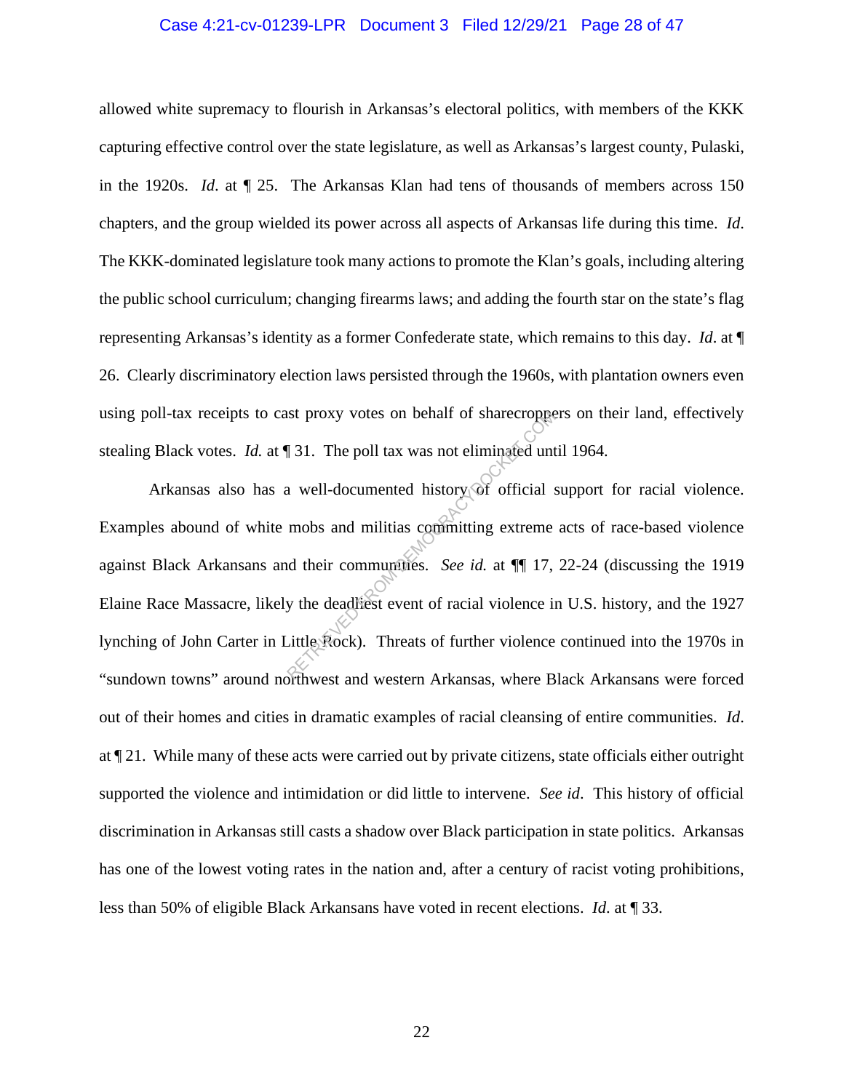#### Case 4:21-cv-01239-LPR Document 3 Filed 12/29/21 Page 28 of 47

allowed white supremacy to flourish in Arkansas's electoral politics, with members of the KKK capturing effective control over the state legislature, as well as Arkansas's largest county, Pulaski, in the 1920s. *Id*. at ¶ 25. The Arkansas Klan had tens of thousands of members across 150 chapters, and the group wielded its power across all aspects of Arkansas life during this time. *Id*. The KKK-dominated legislature took many actions to promote the Klan's goals, including altering the public school curriculum; changing firearms laws; and adding the fourth star on the state's flag representing Arkansas's identity as a former Confederate state, which remains to this day. *Id*. at ¶ 26. Clearly discriminatory election laws persisted through the 1960s, with plantation owners even using poll-tax receipts to cast proxy votes on behalf of sharecroppers on their land, effectively stealing Black votes. *Id.* at ¶ 31. The poll tax was not eliminated until 1964.

Arkansas also has a well-documented history of official support for racial violence. Examples abound of white mobs and militias committing extreme acts of race-based violence against Black Arkansans and their communities. *See id.* at ¶¶ 17, 22-24 (discussing the 1919 Elaine Race Massacre, likely the deadliest event of racial violence in U.S. history, and the 1927 lynching of John Carter in Little Rock). Threats of further violence continued into the 1970s in "sundown towns" around northwest and western Arkansas, where Black Arkansans were forced out of their homes and cities in dramatic examples of racial cleansing of entire communities. *Id*. at ¶ 21. While many of these acts were carried out by private citizens, state officials either outright supported the violence and intimidation or did little to intervene. *See id*. This history of official discrimination in Arkansas still casts a shadow over Black participation in state politics. Arkansas has one of the lowest voting rates in the nation and, after a century of racist voting prohibitions, less than 50% of eligible Black Arkansans have voted in recent elections. *Id*. at ¶ 33. Example 131. The poll tax was not eliminated unt<br>a well-documented history of official s<br>mobs and militias committing extreme<br>d their communities. *See id.* at  $\P$  17,<br>y the deadliest event of racial violence in<br>Little Ro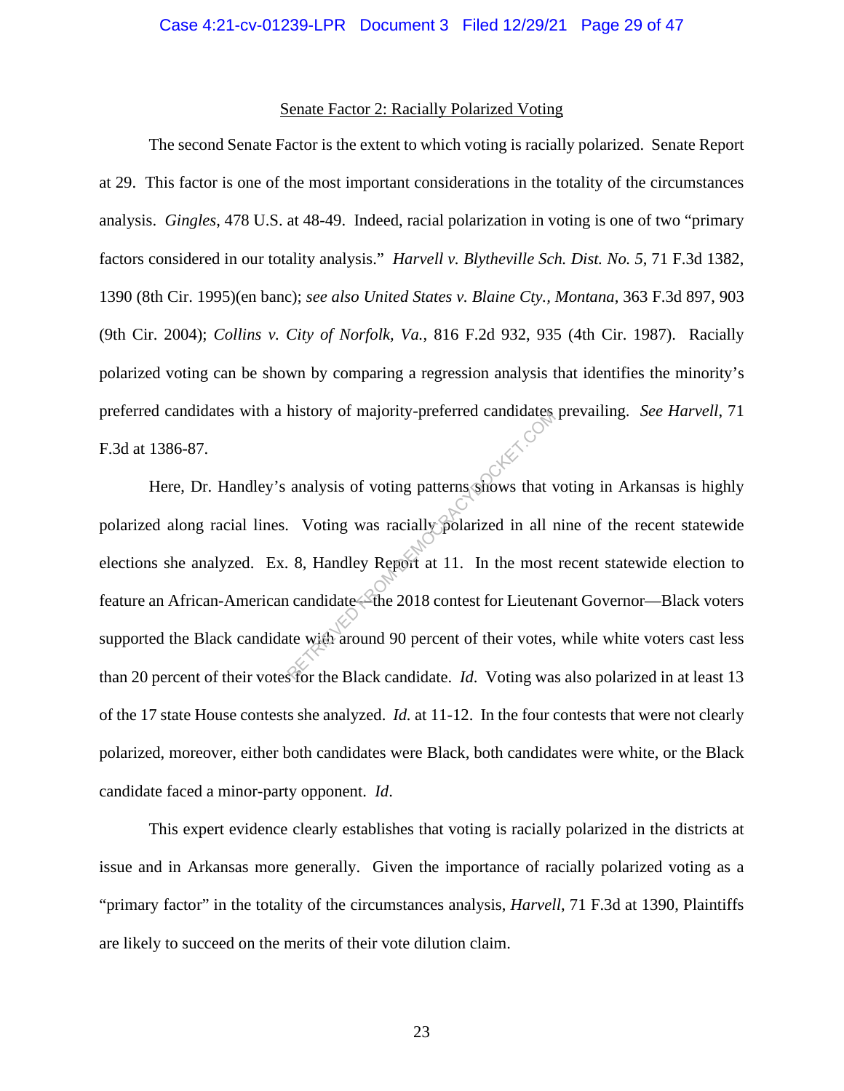#### Senate Factor 2: Racially Polarized Voting

The second Senate Factor is the extent to which voting is racially polarized. Senate Report at 29. This factor is one of the most important considerations in the totality of the circumstances analysis. *Gingles*, 478 U.S. at 48-49. Indeed, racial polarization in voting is one of two "primary factors considered in our totality analysis." *Harvell v. Blytheville Sch. Dist. No. 5*, 71 F.3d 1382, 1390 (8th Cir. 1995)(en banc); *see also United States v. Blaine Cty., Montana*, 363 F.3d 897, 903 (9th Cir. 2004); *Collins v. City of Norfolk, Va.*, 816 F.2d 932, 935 (4th Cir. 1987). Racially polarized voting can be shown by comparing a regression analysis that identifies the minority's preferred candidates with a history of majority-preferred candidates prevailing. *See Harvell*, 71 F.3d at 1386-87.

Here, Dr. Handley's analysis of voting patterns shows that voting in Arkansas is highly polarized along racial lines. Voting was racially polarized in all nine of the recent statewide elections she analyzed. Ex. 8, Handley Report at 11. In the most recent statewide election to feature an African-American candidate—the 2018 contest for Lieutenant Governor—Black voters supported the Black candidate with around 90 percent of their votes, while white voters cast less than 20 percent of their votes for the Black candidate. *Id*. Voting was also polarized in at least 13 of the 17 state House contests she analyzed. *Id.* at 11-12. In the four contests that were not clearly polarized, moreover, either both candidates were Black, both candidates were white, or the Black candidate faced a minor-party opponent. *Id*. analysis of voting patterns shows that v<br>analysis of voting patterns shows that v<br>Noting was racially polarized in all 1.<br>8, Handley Report at 11. In the most<br>and candidate the 2018 contest for Lieuten<br>te with around 90 pe

This expert evidence clearly establishes that voting is racially polarized in the districts at issue and in Arkansas more generally. Given the importance of racially polarized voting as a "primary factor" in the totality of the circumstances analysis, *Harvell*, 71 F.3d at 1390, Plaintiffs are likely to succeed on the merits of their vote dilution claim.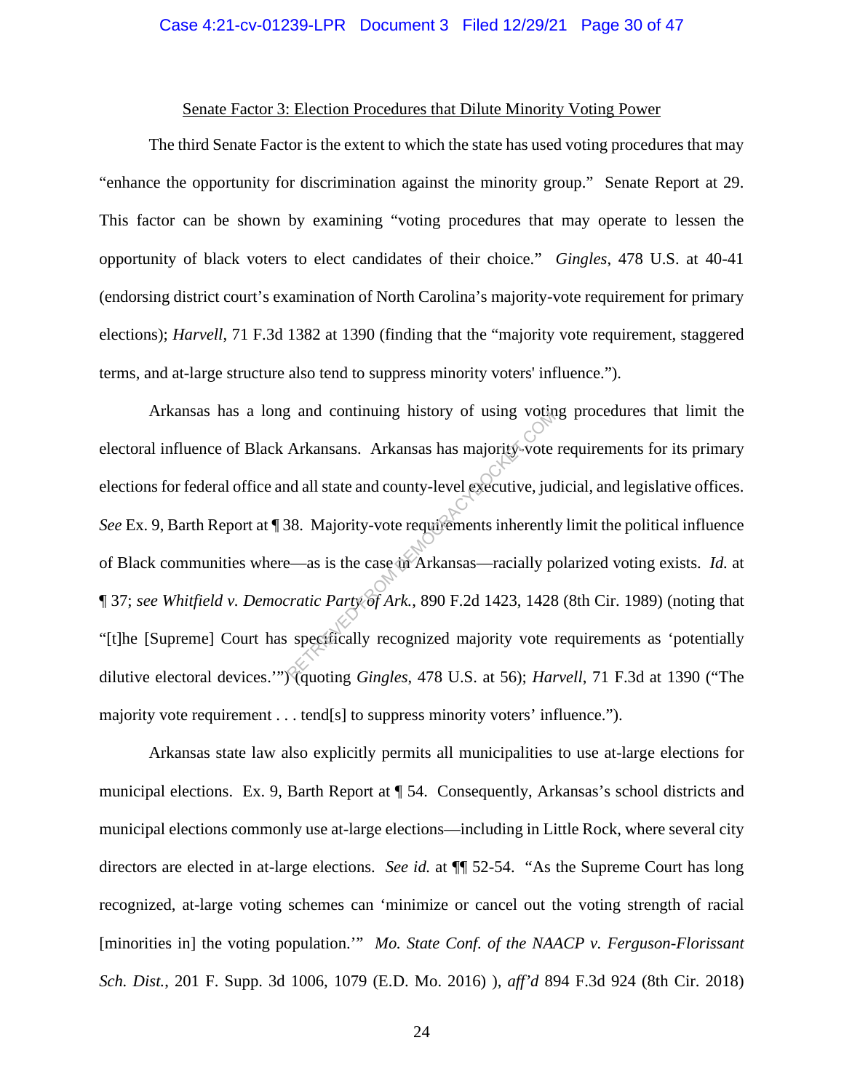#### Case 4:21-cv-01239-LPR Document 3 Filed 12/29/21 Page 30 of 47

#### Senate Factor 3: Election Procedures that Dilute Minority Voting Power

The third Senate Factor is the extent to which the state has used voting procedures that may "enhance the opportunity for discrimination against the minority group." Senate Report at 29. This factor can be shown by examining "voting procedures that may operate to lessen the opportunity of black voters to elect candidates of their choice." *Gingles*, 478 U.S. at 40-41 (endorsing district court's examination of North Carolina's majority-vote requirement for primary elections); *Harvell*, 71 F.3d 1382 at 1390 (finding that the "majority vote requirement, staggered terms, and at-large structure also tend to suppress minority voters' influence.").

Arkansas has a long and continuing history of using voting procedures that limit the electoral influence of Black Arkansans. Arkansas has majority-vote requirements for its primary elections for federal office and all state and county-level executive, judicial, and legislative offices. *See* Ex. 9, Barth Report at ¶ 38. Majority-vote requirements inherently limit the political influence of Black communities where—as is the case in Arkansas—racially polarized voting exists. *Id.* at ¶ 37; *see Whitfield v. Democratic Party of Ark.*, 890 F.2d 1423, 1428 (8th Cir. 1989) (noting that "[t]he [Supreme] Court has specifically recognized majority vote requirements as 'potentially dilutive electoral devices.'") (quoting *Gingles*, 478 U.S. at 56); *Harvell*, 71 F.3d at 1390 ("The majority vote requirement . . . tend[s] to suppress minority voters' influence."). and continuing instory of using volation<br>Arkansans. Arkansas has majority-vote<br>and all state and county-level executive, jue<br>38. Majority-vote requirements inherently<br>2-as is the case in Arkansas—racially p<br>2-as is the cas

Arkansas state law also explicitly permits all municipalities to use at-large elections for municipal elections. Ex. 9, Barth Report at ¶ 54. Consequently, Arkansas's school districts and municipal elections commonly use at-large elections—including in Little Rock, where several city directors are elected in at-large elections. *See id.* at ¶¶ 52-54. "As the Supreme Court has long recognized, at-large voting schemes can 'minimize or cancel out the voting strength of racial [minorities in] the voting population.'" *Mo. State Conf. of the NAACP v. Ferguson-Florissant Sch. Dist.*, 201 F. Supp. 3d 1006, 1079 (E.D. Mo. 2016) ), *aff'd* 894 F.3d 924 (8th Cir. 2018)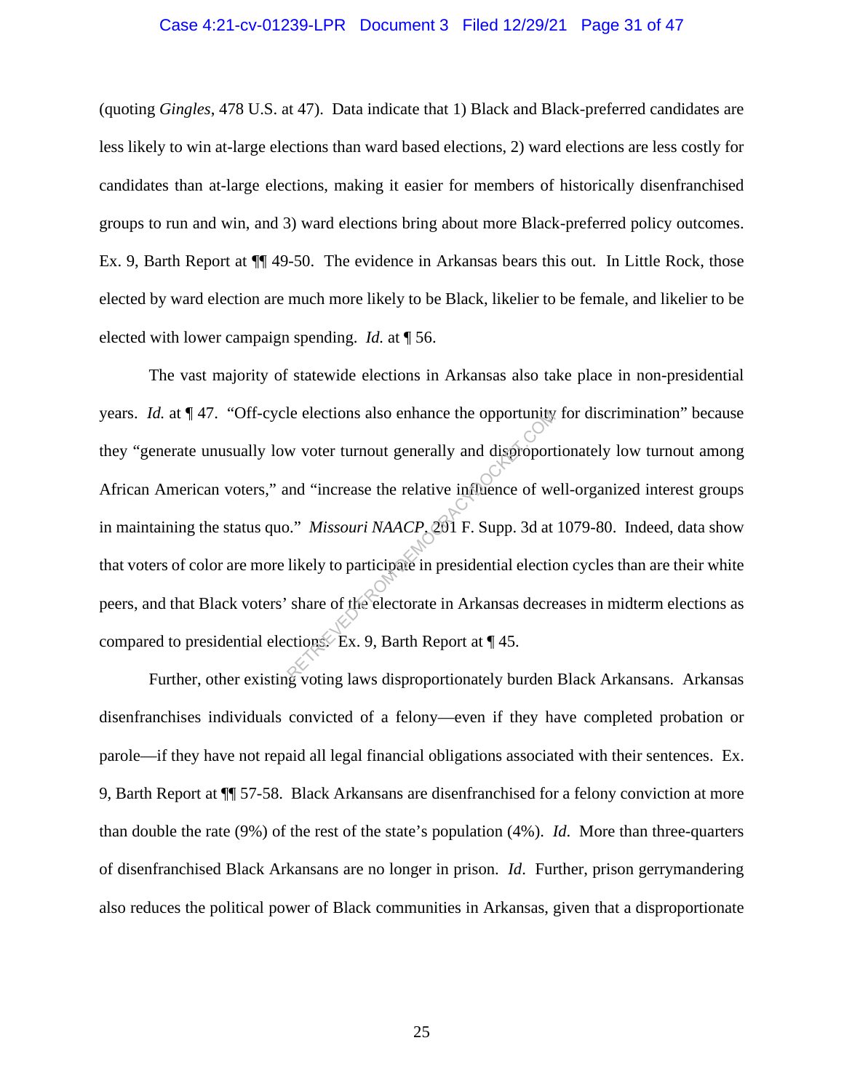#### Case 4:21-cv-01239-LPR Document 3 Filed 12/29/21 Page 31 of 47

(quoting *Gingles*, 478 U.S. at 47). Data indicate that 1) Black and Black-preferred candidates are less likely to win at-large elections than ward based elections, 2) ward elections are less costly for candidates than at-large elections, making it easier for members of historically disenfranchised groups to run and win, and 3) ward elections bring about more Black-preferred policy outcomes. Ex. 9, Barth Report at ¶¶ 49-50. The evidence in Arkansas bears this out. In Little Rock, those elected by ward election are much more likely to be Black, likelier to be female, and likelier to be elected with lower campaign spending. *Id.* at ¶ 56.

The vast majority of statewide elections in Arkansas also take place in non-presidential years. *Id.* at  $\P$  47. "Off-cycle elections also enhance the opportunity for discrimination" because they "generate unusually low voter turnout generally and disproportionately low turnout among African American voters," and "increase the relative influence of well-organized interest groups in maintaining the status quo." *Missouri NAACP*, 201 F. Supp. 3d at 1079-80. Indeed, data show that voters of color are more likely to participate in presidential election cycles than are their white peers, and that Black voters' share of the electorate in Arkansas decreases in midterm elections as compared to presidential elections. Ex. 9, Barth Report at ¶ 45. Le elections also enhance the opportunity<br>w voter turnout generally and disproport<br>and "increase the relative influence of we<br>or." Missouri NAACP 291 F. Supp. 3d at<br>likely to participate in presidential elections<br>share of

Further, other existing voting laws disproportionately burden Black Arkansans. Arkansas disenfranchises individuals convicted of a felony—even if they have completed probation or parole—if they have not repaid all legal financial obligations associated with their sentences. Ex. 9, Barth Report at ¶¶ 57-58. Black Arkansans are disenfranchised for a felony conviction at more than double the rate (9%) of the rest of the state's population (4%). *Id*. More than three-quarters of disenfranchised Black Arkansans are no longer in prison. *Id*. Further, prison gerrymandering also reduces the political power of Black communities in Arkansas, given that a disproportionate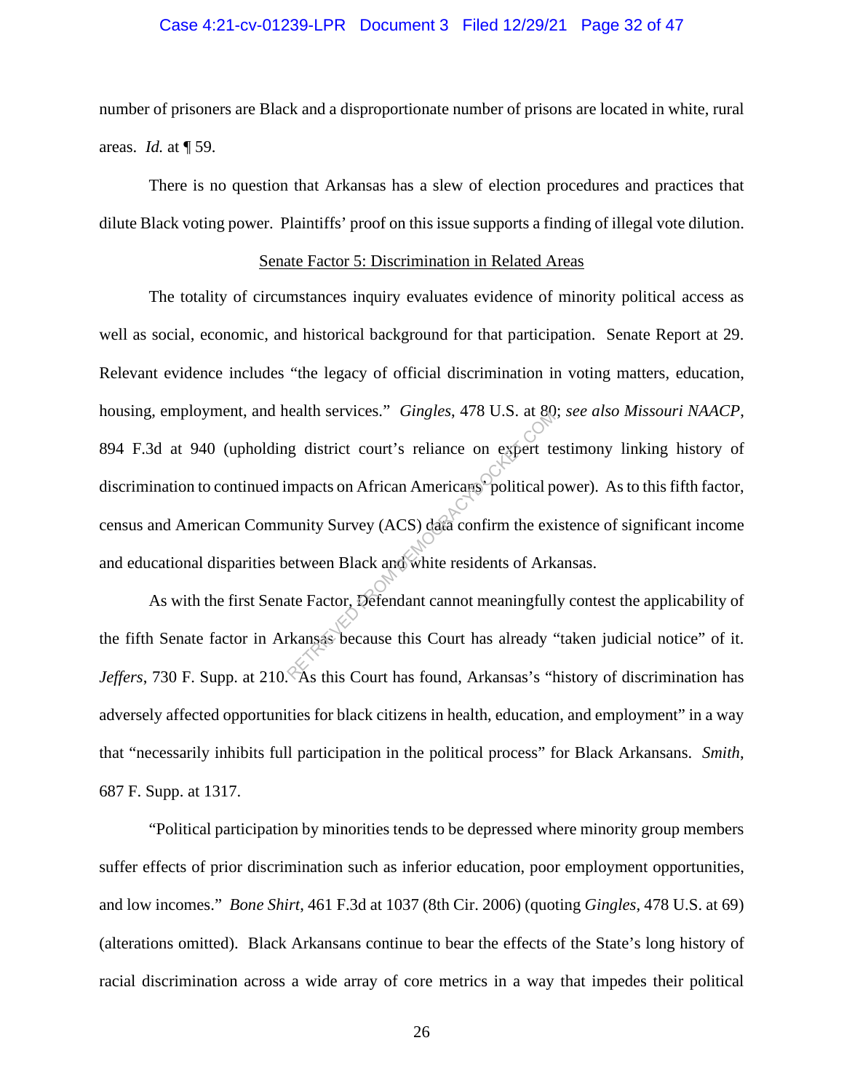#### Case 4:21-cv-01239-LPR Document 3 Filed 12/29/21 Page 32 of 47

number of prisoners are Black and a disproportionate number of prisons are located in white, rural areas. *Id.* at ¶ 59.

There is no question that Arkansas has a slew of election procedures and practices that dilute Black voting power. Plaintiffs' proof on this issue supports a finding of illegal vote dilution.

#### Senate Factor 5: Discrimination in Related Areas

The totality of circumstances inquiry evaluates evidence of minority political access as well as social, economic, and historical background for that participation. Senate Report at 29. Relevant evidence includes "the legacy of official discrimination in voting matters, education, housing, employment, and health services." *Gingles*, 478 U.S. at 80; *see also Missouri NAACP*, 894 F.3d at 940 (upholding district court's reliance on expert testimony linking history of discrimination to continued impacts on African Americans' political power). As to this fifth factor, census and American Community Survey (ACS) data confirm the existence of significant income and educational disparities between Black and white residents of Arkansas. reality services. Gingles, 478 U.S. at 89<br>Ig district court's reliance on expert to<br>mpacts on African Americans political p<br>nunity Survey (ACS) data confirm the existence<br>etween Black and white residents of Ark<br>atte Factor

As with the first Senate Factor, Defendant cannot meaningfully contest the applicability of the fifth Senate factor in Arkansas because this Court has already "taken judicial notice" of it. *Jeffers*, 730 F. Supp. at 210. As this Court has found, Arkansas's "history of discrimination has adversely affected opportunities for black citizens in health, education, and employment" in a way that "necessarily inhibits full participation in the political process" for Black Arkansans. *Smith*, 687 F. Supp. at 1317.

"Political participation by minorities tends to be depressed where minority group members suffer effects of prior discrimination such as inferior education, poor employment opportunities, and low incomes." *Bone Shirt*, 461 F.3d at 1037 (8th Cir. 2006) (quoting *Gingles*, 478 U.S. at 69) (alterations omitted). Black Arkansans continue to bear the effects of the State's long history of racial discrimination across a wide array of core metrics in a way that impedes their political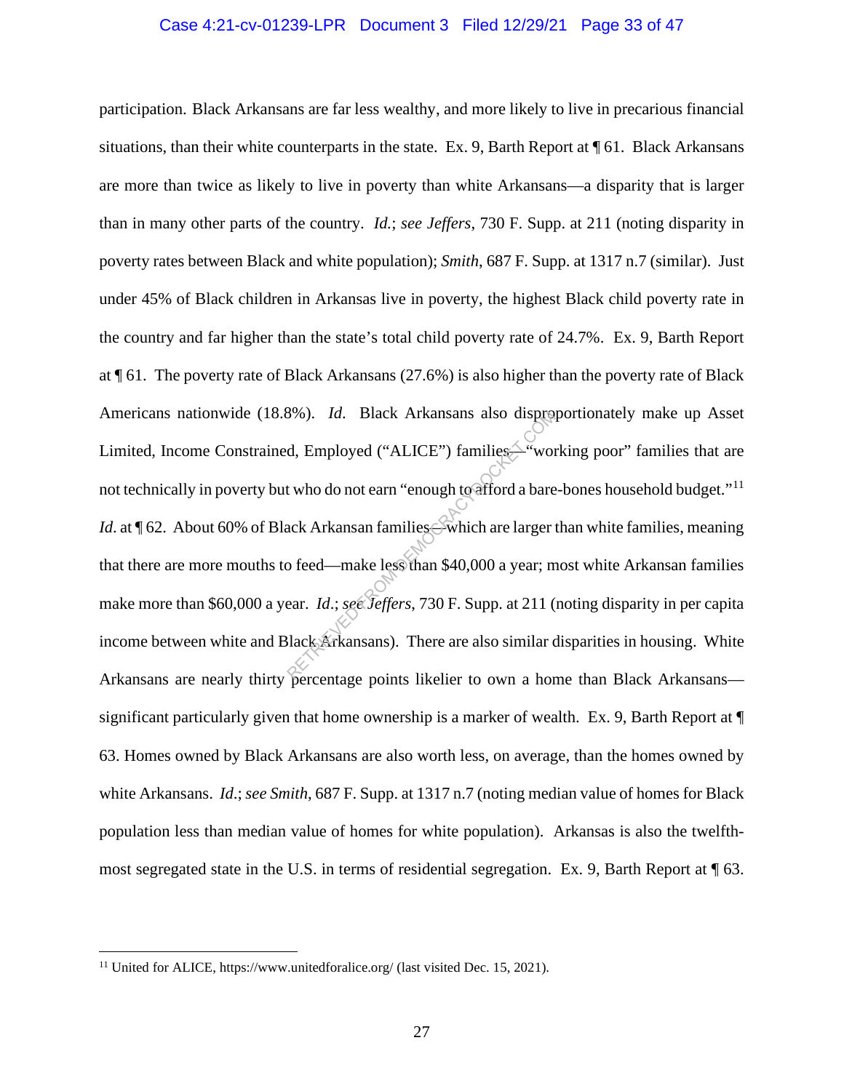#### Case 4:21-cv-01239-LPR Document 3 Filed 12/29/21 Page 33 of 47

participation. Black Arkansans are far less wealthy, and more likely to live in precarious financial situations, than their white counterparts in the state. Ex. 9, Barth Report at ¶ 61. Black Arkansans are more than twice as likely to live in poverty than white Arkansans—a disparity that is larger than in many other parts of the country. *Id.*; *see Jeffers*, 730 F. Supp. at 211 (noting disparity in poverty rates between Black and white population); *Smith*, 687 F. Supp. at 1317 n.7 (similar). Just under 45% of Black children in Arkansas live in poverty, the highest Black child poverty rate in the country and far higher than the state's total child poverty rate of 24.7%. Ex. 9, Barth Report at ¶ 61. The poverty rate of Black Arkansans (27.6%) is also higher than the poverty rate of Black Americans nationwide (18.8%). *Id*. Black Arkansans also disproportionately make up Asset Limited, Income Constrained, Employed ("ALICE") families<sup>2</sup> working poor" families that are not technically in poverty but who do not earn "enough to afford a bare-bones household budget."<sup>11</sup> *Id.* at ¶ 62. About 60% of Black Arkansan families—which are larger than white families, meaning that there are more mouths to feed—make less than \$40,000 a year; most white Arkansan families make more than \$60,000 a year. *Id*.; *see Jeffers*, 730 F. Supp. at 211 (noting disparity in per capita income between white and Black Arkansans). There are also similar disparities in housing. White Arkansans are nearly thirty percentage points likelier to own a home than Black Arkansans significant particularly given that home ownership is a marker of wealth. Ex. 9, Barth Report at ¶ 63. Homes owned by Black Arkansans are also worth less, on average, than the homes owned by white Arkansans. *Id*.; *see Smith*, 687 F. Supp. at 1317 n.7 (noting median value of homes for Black population less than median value of homes for white population). Arkansas is also the twelfthmost segregated state in the U.S. in terms of residential segregation. Ex. 9, Barth Report at ¶ 63.  $R$ Employed ("ALICE") families<br>
d, Employed ("ALICE") families<br>
wordt who do not earn "enough to afford a bare<br>
ack Arkansan families<br>
Swhich are larger<br>
o feed—make less than \$40,000 a year; m<br>
ear. Id.; see: Jeffers, 73

<sup>&</sup>lt;sup>11</sup> United for ALICE, https://www.unitedforalice.org/ (last visited Dec. 15, 2021).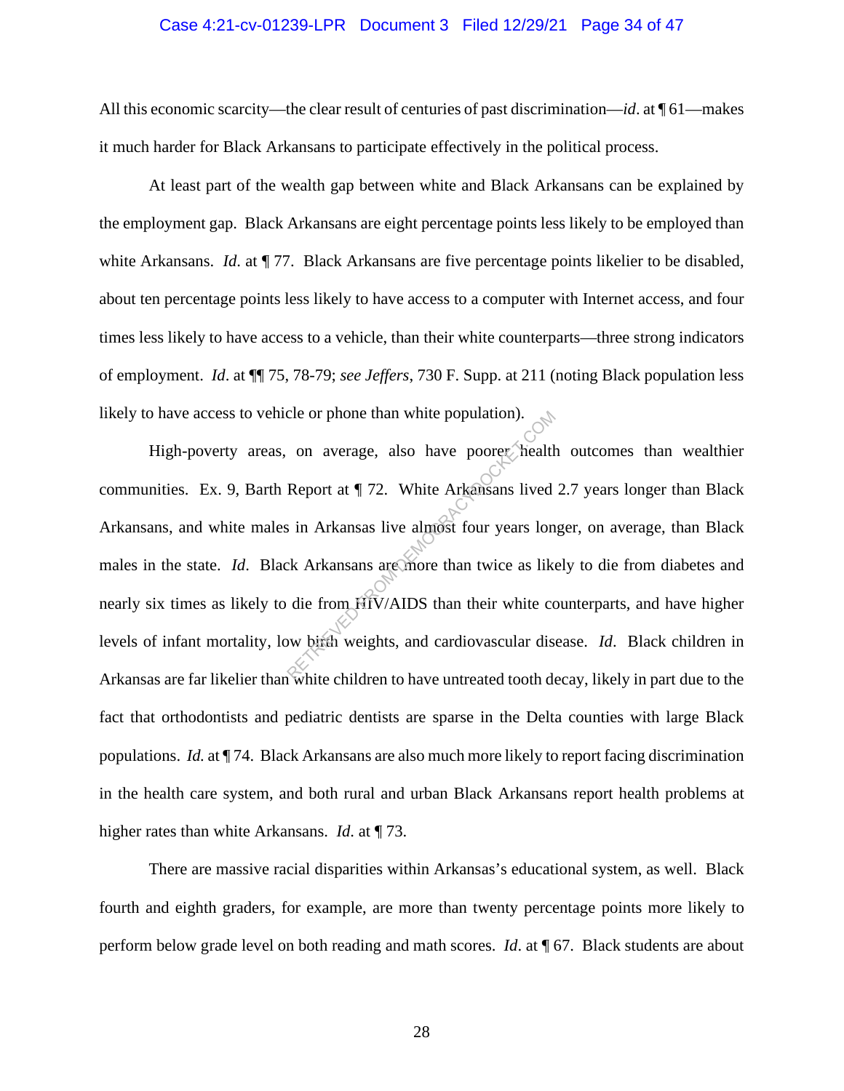#### Case 4:21-cv-01239-LPR Document 3 Filed 12/29/21 Page 34 of 47

All this economic scarcity—the clear result of centuries of past discrimination—*id*. at ¶ 61—makes it much harder for Black Arkansans to participate effectively in the political process.

At least part of the wealth gap between white and Black Arkansans can be explained by the employment gap. Black Arkansans are eight percentage points less likely to be employed than white Arkansans. *Id.* at  $\P$  77. Black Arkansans are five percentage points likelier to be disabled, about ten percentage points less likely to have access to a computer with Internet access, and four times less likely to have access to a vehicle, than their white counterparts—three strong indicators of employment. *Id*. at ¶¶ 75, 78-79; *see Jeffers*, 730 F. Supp. at 211 (noting Black population less likely to have access to vehicle or phone than white population).

High-poverty areas, on average, also have poorer health outcomes than wealthier communities. Ex. 9, Barth Report at ¶ 72. White Arkansans lived 2.7 years longer than Black Arkansans, and white males in Arkansas live almost four years longer, on average, than Black males in the state. *Id*. Black Arkansans are more than twice as likely to die from diabetes and nearly six times as likely to die from HIV/AIDS than their white counterparts, and have higher levels of infant mortality, low birth weights, and cardiovascular disease. *Id*. Black children in Arkansas are far likelier than white children to have untreated tooth decay, likely in part due to the fact that orthodontists and pediatric dentists are sparse in the Delta counties with large Black populations. *Id.* at ¶ 74. Black Arkansans are also much more likely to report facing discrimination in the health care system, and both rural and urban Black Arkansans report health problems at higher rates than white Arkansans. *Id*. at ¶ 73. cle or phone than white population).<br>
on average, also have poorer health<br>
Report at ¶ 72. White Arkansans lived<br>
is in Arkansas live almost four years lon<br>
ck Arkansans are more than twice as like<br>
die from HIV/AIDS than

There are massive racial disparities within Arkansas's educational system, as well. Black fourth and eighth graders, for example, are more than twenty percentage points more likely to perform below grade level on both reading and math scores. *Id*. at ¶ 67. Black students are about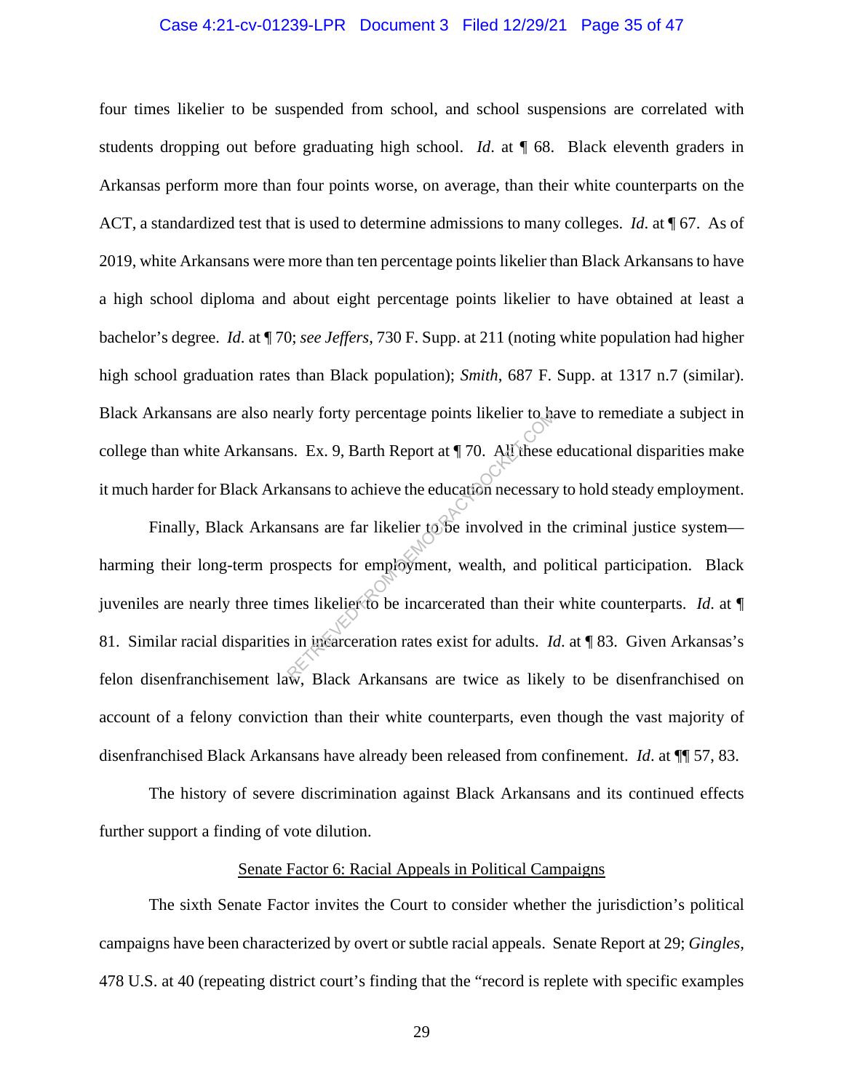#### Case 4:21-cv-01239-LPR Document 3 Filed 12/29/21 Page 35 of 47

four times likelier to be suspended from school, and school suspensions are correlated with students dropping out before graduating high school. *Id*. at ¶ 68. Black eleventh graders in Arkansas perform more than four points worse, on average, than their white counterparts on the ACT, a standardized test that is used to determine admissions to many colleges. *Id*. at ¶ 67. As of 2019, white Arkansans were more than ten percentage points likelier than Black Arkansans to have a high school diploma and about eight percentage points likelier to have obtained at least a bachelor's degree. *Id*. at ¶ 70; *see Jeffers*, 730 F. Supp. at 211 (noting white population had higher high school graduation rates than Black population); *Smith*, 687 F. Supp. at 1317 n.7 (similar). Black Arkansans are also nearly forty percentage points likelier to have to remediate a subject in college than white Arkansans. Ex. 9, Barth Report at ¶ 70. All these educational disparities make it much harder for Black Arkansans to achieve the education necessary to hold steady employment.

Finally, Black Arkansans are far likelier to be involved in the criminal justice system harming their long-term prospects for employment, wealth, and political participation. Black juveniles are nearly three times likelier to be incarcerated than their white counterparts. *Id*. at ¶ 81. Similar racial disparities in incarceration rates exist for adults. *Id*. at ¶ 83. Given Arkansas's felon disenfranchisement law, Black Arkansans are twice as likely to be disenfranchised on account of a felony conviction than their white counterparts, even though the vast majority of disenfranchised Black Arkansans have already been released from confinement. *Id*. at ¶¶ 57, 83. Example 9 and the ducation necessary<br>S. Ex. 9, Barth Report at  $\P$  70. All these<br>ansans to achieve the education necessary<br>sans are far likelier to be involved in the<br>ospects for employment, wealth, and po<br>mes likelier to

The history of severe discrimination against Black Arkansans and its continued effects further support a finding of vote dilution.

#### Senate Factor 6: Racial Appeals in Political Campaigns

The sixth Senate Factor invites the Court to consider whether the jurisdiction's political campaigns have been characterized by overt or subtle racial appeals. Senate Report at 29; *Gingles*, 478 U.S. at 40 (repeating district court's finding that the "record is replete with specific examples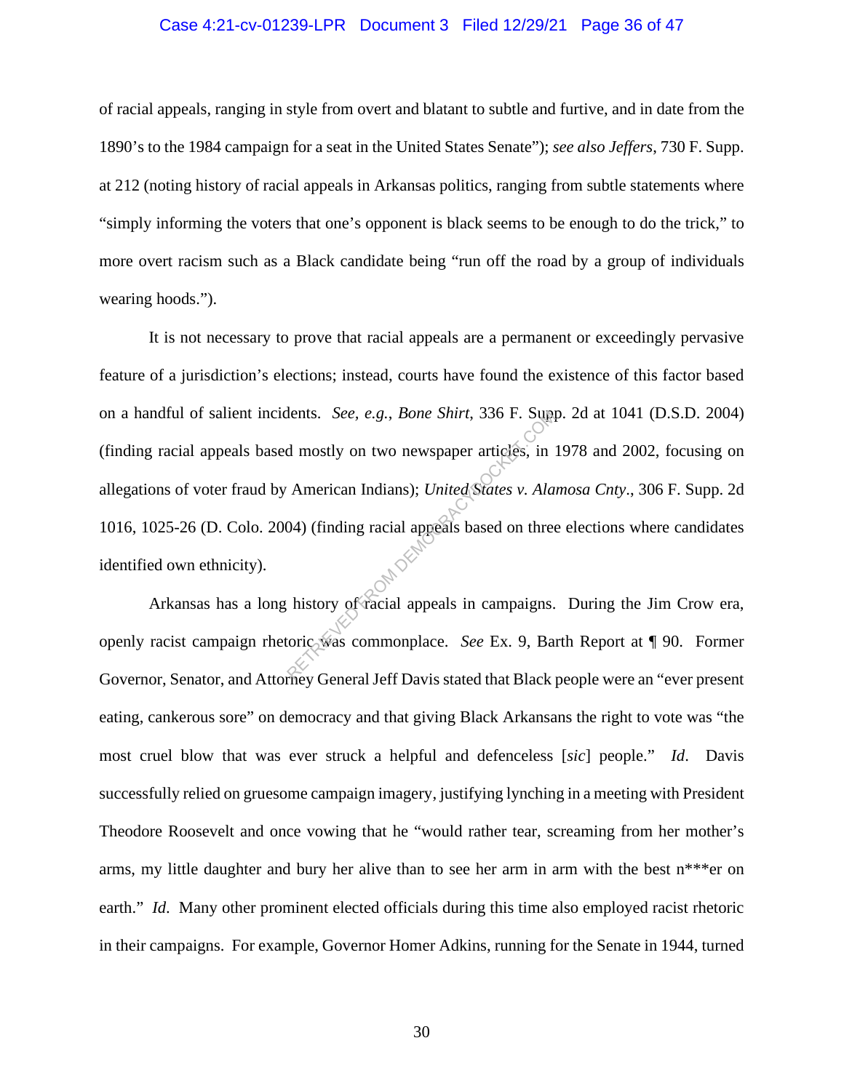#### Case 4:21-cv-01239-LPR Document 3 Filed 12/29/21 Page 36 of 47

of racial appeals, ranging in style from overt and blatant to subtle and furtive, and in date from the 1890's to the 1984 campaign for a seat in the United States Senate"); *see also Jeffers*, 730 F. Supp. at 212 (noting history of racial appeals in Arkansas politics, ranging from subtle statements where "simply informing the voters that one's opponent is black seems to be enough to do the trick," to more overt racism such as a Black candidate being "run off the road by a group of individuals wearing hoods.").

It is not necessary to prove that racial appeals are a permanent or exceedingly pervasive feature of a jurisdiction's elections; instead, courts have found the existence of this factor based on a handful of salient incidents. *See, e.g.*, *Bone Shirt*, 336 F. Supp. 2d at 1041 (D.S.D. 2004) (finding racial appeals based mostly on two newspaper articles, in 1978 and 2002, focusing on allegations of voter fraud by American Indians); *United States v. Alamosa Cnty*., 306 F. Supp. 2d 1016, 1025-26 (D. Colo. 2004) (finding racial appeals based on three elections where candidates identified own ethnicity). Ments. *See, e.g., Bone Shirt, 336 F. Supp*<br>d mostly on two newspaper articles, in<br>American Indians); *United States v. Ala*<br>04) (finding racial appeals based on three<br>history of racial appeals in campaigns.<br>oric was commo

Arkansas has a long history of racial appeals in campaigns. During the Jim Crow era, openly racist campaign rhetoric was commonplace. *See* Ex. 9, Barth Report at ¶ 90. Former Governor, Senator, and Attorney General Jeff Davis stated that Black people were an "ever present eating, cankerous sore" on democracy and that giving Black Arkansans the right to vote was "the most cruel blow that was ever struck a helpful and defenceless [*sic*] people." *Id*. Davis successfully relied on gruesome campaign imagery, justifying lynching in a meeting with President Theodore Roosevelt and once vowing that he "would rather tear, screaming from her mother's arms, my little daughter and bury her alive than to see her arm in arm with the best n\*\*\*er on earth." *Id.* Many other prominent elected officials during this time also employed racist rhetoric in their campaigns. For example, Governor Homer Adkins, running for the Senate in 1944, turned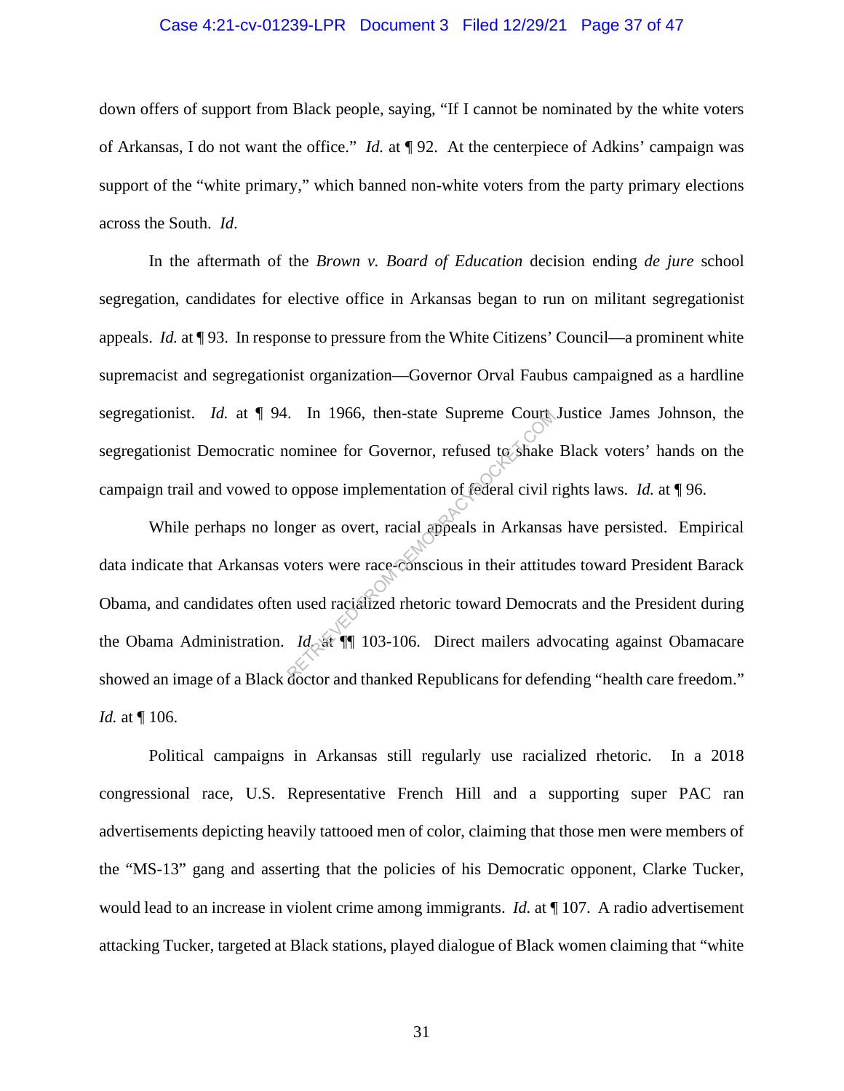#### Case 4:21-cv-01239-LPR Document 3 Filed 12/29/21 Page 37 of 47

down offers of support from Black people, saying, "If I cannot be nominated by the white voters of Arkansas, I do not want the office." *Id.* at ¶ 92. At the centerpiece of Adkins' campaign was support of the "white primary," which banned non-white voters from the party primary elections across the South. *Id*.

In the aftermath of the *Brown v. Board of Education* decision ending *de jure* school segregation, candidates for elective office in Arkansas began to run on militant segregationist appeals. *Id.* at ¶ 93. In response to pressure from the White Citizens' Council—a prominent white supremacist and segregationist organization—Governor Orval Faubus campaigned as a hardline segregationist. *Id.* at ¶ 94. In 1966, then-state Supreme Court Justice James Johnson, the segregationist Democratic nominee for Governor, refused to shake Black voters' hands on the campaign trail and vowed to oppose implementation of federal civil rights laws. *Id.* at ¶ 96.

While perhaps no longer as overt, racial appeals in Arkansas have persisted. Empirical data indicate that Arkansas voters were race-conscious in their attitudes toward President Barack Obama, and candidates often used racialized rhetoric toward Democrats and the President during the Obama Administration. *Id.* at ¶¶ 103-106. Direct mailers advocating against Obamacare showed an image of a Black doctor and thanked Republicans for defending "health care freedom." *Id.* at ¶ 106. In 1966, then-state Supreme Court<br>
in 1966, then-state Supreme Court<br>
in comminee for Governor, refused to shake<br>
oppose implementation of federal civil r<br>
in their attitude<br>
voters were race-conscious in their attitude<br>

Political campaigns in Arkansas still regularly use racialized rhetoric. In a 2018 congressional race, U.S. Representative French Hill and a supporting super PAC ran advertisements depicting heavily tattooed men of color, claiming that those men were members of the "MS-13" gang and asserting that the policies of his Democratic opponent, Clarke Tucker, would lead to an increase in violent crime among immigrants. *Id.* at ¶ 107. A radio advertisement attacking Tucker, targeted at Black stations, played dialogue of Black women claiming that "white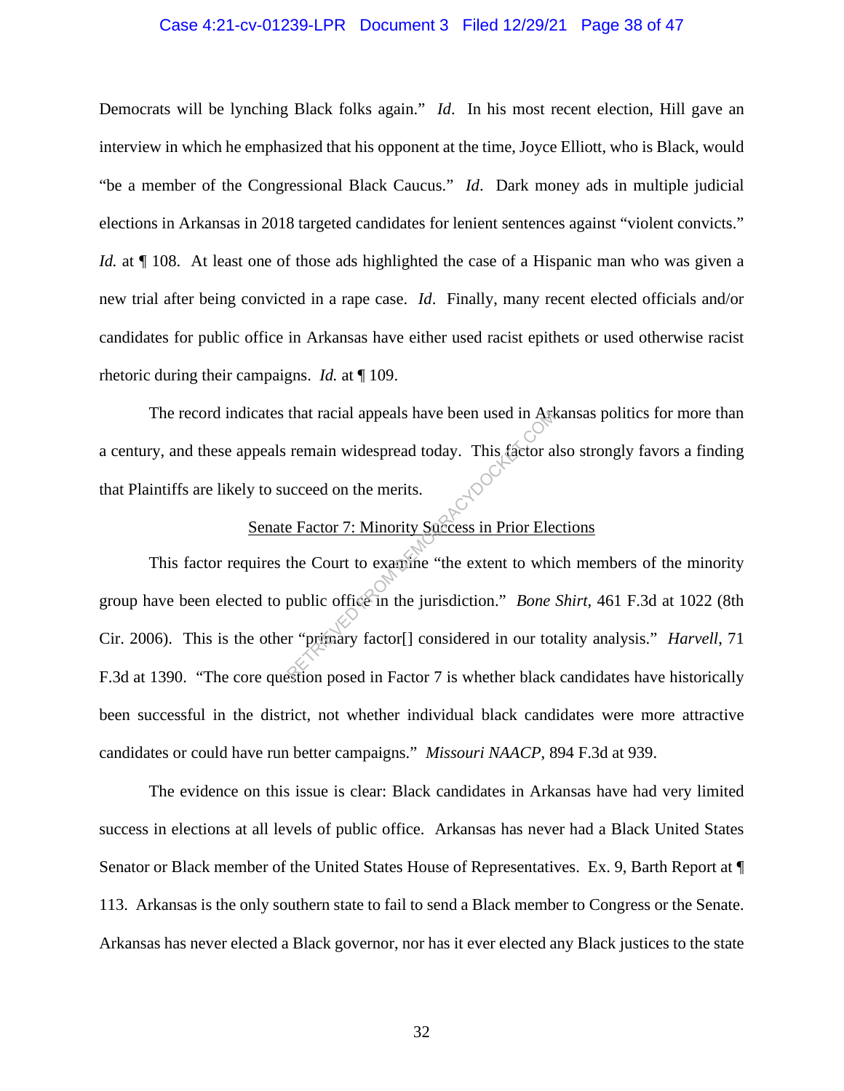#### Case 4:21-cv-01239-LPR Document 3 Filed 12/29/21 Page 38 of 47

Democrats will be lynching Black folks again." *Id*. In his most recent election, Hill gave an interview in which he emphasized that his opponent at the time, Joyce Elliott, who is Black, would "be a member of the Congressional Black Caucus." *Id*. Dark money ads in multiple judicial elections in Arkansas in 2018 targeted candidates for lenient sentences against "violent convicts." *Id.* at  $\P$  108. At least one of those ads highlighted the case of a Hispanic man who was given a new trial after being convicted in a rape case. *Id*. Finally, many recent elected officials and/or candidates for public office in Arkansas have either used racist epithets or used otherwise racist rhetoric during their campaigns. *Id.* at ¶ 109.

The record indicates that racial appeals have been used in Arkansas politics for more than a century, and these appeals remain widespread today. This factor also strongly favors a finding that Plaintiffs are likely to succeed on the merits.

## Senate Factor 7: Minority Success in Prior Elections

This factor requires the Court to examine "the extent to which members of the minority group have been elected to public office in the jurisdiction." *Bone Shirt*, 461 F.3d at 1022 (8th Cir. 2006). This is the other "primary factor[] considered in our totality analysis." *Harvell*, 71 F.3d at 1390. "The core question posed in Factor 7 is whether black candidates have historically been successful in the district, not whether individual black candidates were more attractive candidates or could have run better campaigns." *Missouri NAACP*, 894 F.3d at 939. that racial appeals have been used in Art<br>remain widespread today. This factor a<br>ucceed on the merits.<br>Exactor 7: Minority Saccess in Prior Ele<br>the Court to examine "the extent to which<br>public office in the jurisdiction."

The evidence on this issue is clear: Black candidates in Arkansas have had very limited success in elections at all levels of public office. Arkansas has never had a Black United States Senator or Black member of the United States House of Representatives. Ex. 9, Barth Report at ¶ 113. Arkansas is the only southern state to fail to send a Black member to Congress or the Senate. Arkansas has never elected a Black governor, nor has it ever elected any Black justices to the state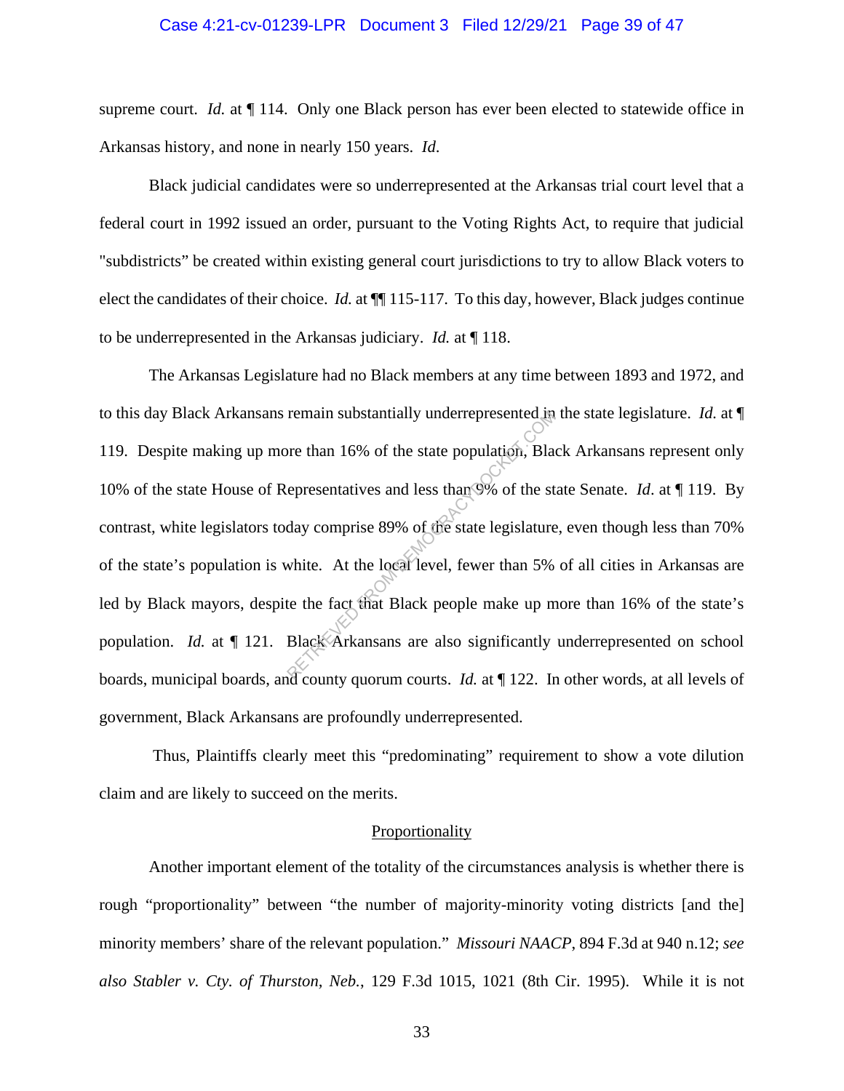#### Case 4:21-cv-01239-LPR Document 3 Filed 12/29/21 Page 39 of 47

supreme court. *Id.* at  $\P$  114. Only one Black person has ever been elected to statewide office in Arkansas history, and none in nearly 150 years. *Id*.

Black judicial candidates were so underrepresented at the Arkansas trial court level that a federal court in 1992 issued an order, pursuant to the Voting Rights Act, to require that judicial "subdistricts" be created within existing general court jurisdictions to try to allow Black voters to elect the candidates of their choice. *Id.* at ¶¶ 115-117. To this day, however, Black judges continue to be underrepresented in the Arkansas judiciary. *Id.* at ¶ 118.

The Arkansas Legislature had no Black members at any time between 1893 and 1972, and to this day Black Arkansans remain substantially underrepresented in the state legislature. *Id.* at ¶ 119. Despite making up more than 16% of the state population, Black Arkansans represent only 10% of the state House of Representatives and less than 9% of the state Senate. *Id*. at ¶ 119. By contrast, white legislators today comprise 89% of the state legislature, even though less than 70% of the state's population is white. At the local level, fewer than 5% of all cities in Arkansas are led by Black mayors, despite the fact that Black people make up more than 16% of the state's population. *Id.* at  $\P$  121. Black Arkansans are also significantly underrepresented on school boards, municipal boards, and county quorum courts. *Id.* at ¶ 122. In other words, at all levels of government, Black Arkansans are profoundly underrepresented. remain substantially underrepresented in<br>the state population, Black<br>epresentatives and less than 9% of the st<br>day comprise 89% of the state legislature<br>white. At the local level, fewer than 5%<br>te the fact that Black peopl

Thus, Plaintiffs clearly meet this "predominating" requirement to show a vote dilution claim and are likely to succeed on the merits.

#### **Proportionality**

Another important element of the totality of the circumstances analysis is whether there is rough "proportionality" between "the number of majority-minority voting districts [and the] minority members' share of the relevant population." *Missouri NAACP*, 894 F.3d at 940 n.12; *see also Stabler v. Cty. of Thurston, Neb.*, 129 F.3d 1015, 1021 (8th Cir. 1995). While it is not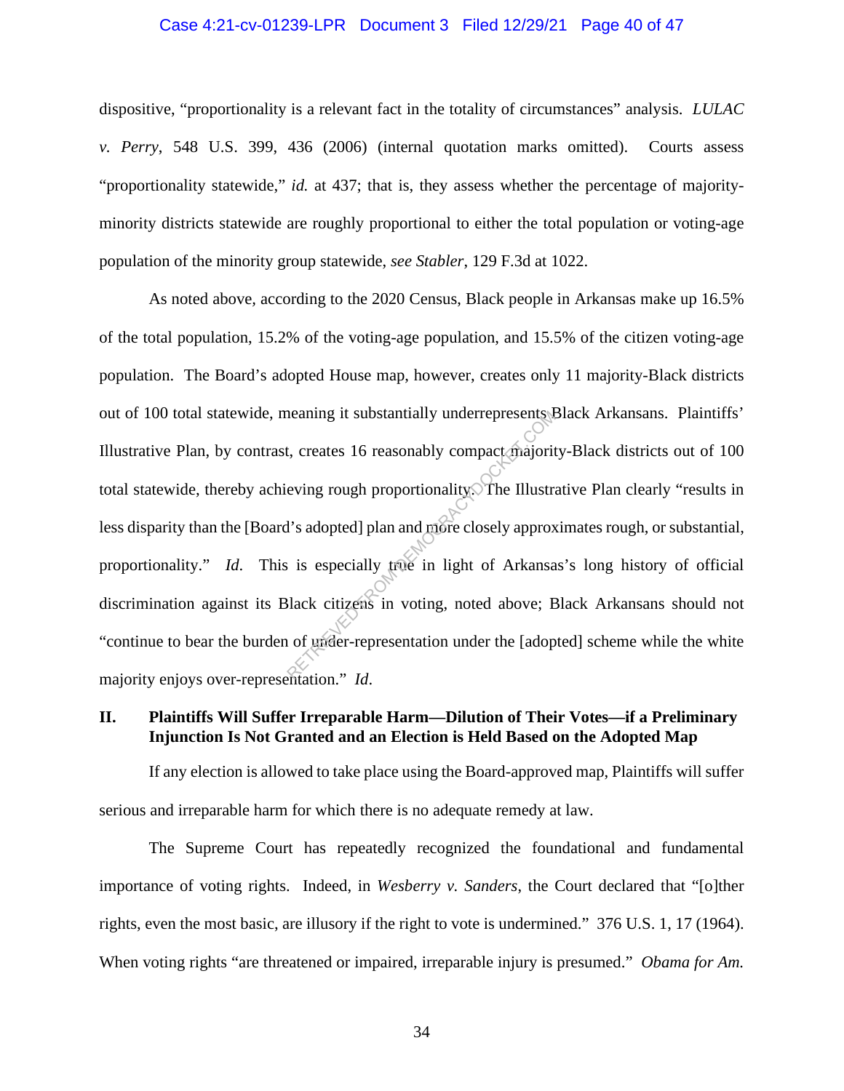#### Case 4:21-cv-01239-LPR Document 3 Filed 12/29/21 Page 40 of 47

dispositive, "proportionality is a relevant fact in the totality of circumstances" analysis. *LULAC v. Perry*, 548 U.S. 399, 436 (2006) (internal quotation marks omitted). Courts assess "proportionality statewide," *id.* at 437; that is, they assess whether the percentage of majorityminority districts statewide are roughly proportional to either the total population or voting-age population of the minority group statewide, *see Stabler*, 129 F.3d at 1022.

As noted above*,* according to the 2020 Census, Black people in Arkansas make up 16.5% of the total population, 15.2% of the voting-age population, and 15.5% of the citizen voting-age population. The Board's adopted House map, however, creates only 11 majority-Black districts out of 100 total statewide, meaning it substantially underrepresents Black Arkansans. Plaintiffs' Illustrative Plan, by contrast, creates 16 reasonably compact majority-Black districts out of 100 total statewide, thereby achieving rough proportionality. The Illustrative Plan clearly "results in less disparity than the [Board's adopted] plan and more closely approximates rough, or substantial, proportionality." *Id*. This is especially true in light of Arkansas's long history of official discrimination against its Black citizens in voting, noted above; Black Arkansans should not "continue to bear the burden of under-representation under the [adopted] scheme while the white majority enjoys over-representation." *Id*. Retaining it substantially underrepresents.<br>
Let, creates 16 reasonably compact majoritieving rough proportionality. The Illustration<br>
is adopted] plan and more closely approx<br>
is especially true in light of Arkansa<br>
Slack

#### **II. Plaintiffs Will Suffer Irreparable Harm—Dilution of Their Votes—if a Preliminary Injunction Is Not Granted and an Election is Held Based on the Adopted Map**

If any election is allowed to take place using the Board-approved map, Plaintiffs will suffer serious and irreparable harm for which there is no adequate remedy at law.

The Supreme Court has repeatedly recognized the foundational and fundamental importance of voting rights. Indeed, in *Wesberry v. Sanders*, the Court declared that "[o]ther rights, even the most basic, are illusory if the right to vote is undermined." 376 U.S. 1, 17 (1964). When voting rights "are threatened or impaired, irreparable injury is presumed." *Obama for Am.* 

34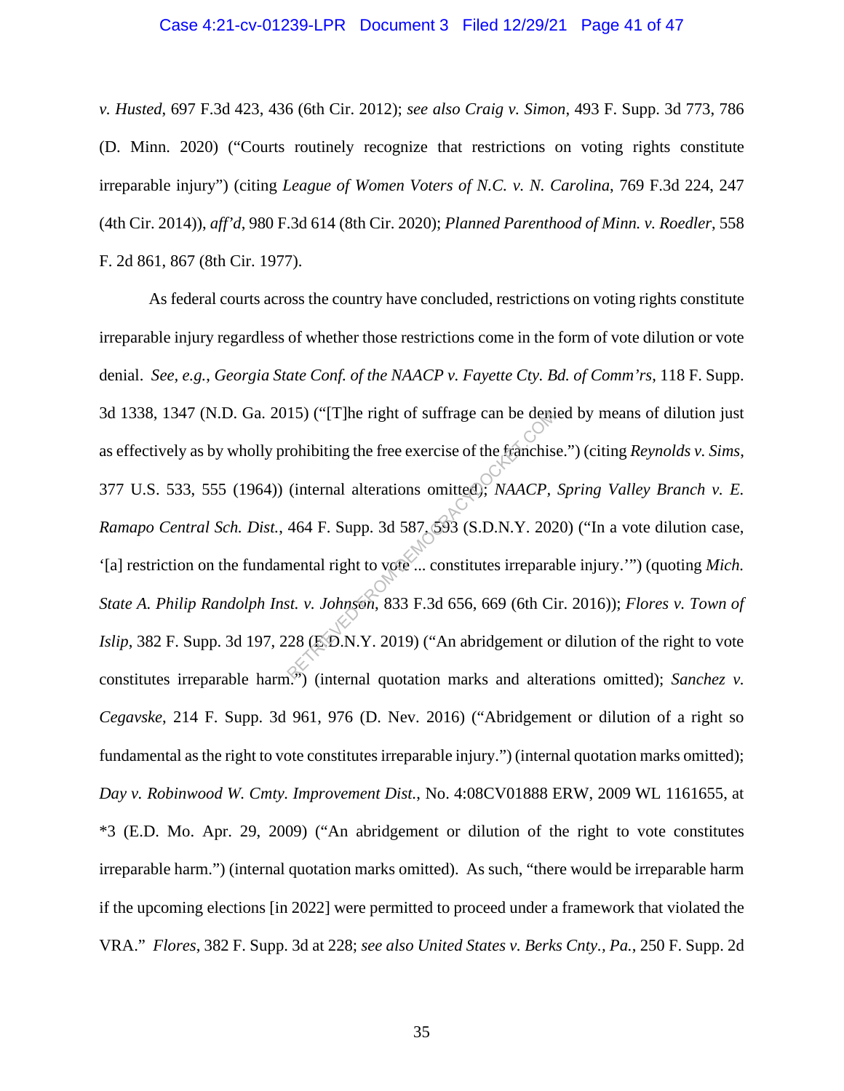#### Case 4:21-cv-01239-LPR Document 3 Filed 12/29/21 Page 41 of 47

*v. Husted*, 697 F.3d 423, 436 (6th Cir. 2012); *see also Craig v. Simon*, 493 F. Supp. 3d 773, 786 (D. Minn. 2020) ("Courts routinely recognize that restrictions on voting rights constitute irreparable injury") (citing *League of Women Voters of N.C. v. N. Carolina*, 769 F.3d 224, 247 (4th Cir. 2014)), *aff'd*, 980 F.3d 614 (8th Cir. 2020); *Planned Parenthood of Minn. v. Roedler*, 558 F. 2d 861, 867 (8th Cir. 1977).

As federal courts across the country have concluded, restrictions on voting rights constitute irreparable injury regardless of whether those restrictions come in the form of vote dilution or vote denial. *See, e.g.*, *Georgia State Conf. of the NAACP v. Fayette Cty. Bd. of Comm'rs*, 118 F. Supp. 3d 1338, 1347 (N.D. Ga. 2015) ("[T]he right of suffrage can be denied by means of dilution just as effectively as by wholly prohibiting the free exercise of the franchise.") (citing *Reynolds v. Sims*, 377 U.S. 533, 555 (1964)) (internal alterations omitted); *NAACP, Spring Valley Branch v. E. Ramapo Central Sch. Dist.*, 464 F. Supp. 3d 587, 593 (S.D.N.Y. 2020) ("In a vote dilution case, '[a] restriction on the fundamental right to vote ... constitutes irreparable injury.'") (quoting *Mich. State A. Philip Randolph Inst. v. Johnson*, 833 F.3d 656, 669 (6th Cir. 2016)); *Flores v. Town of Islip*, 382 F. Supp. 3d 197, 228 (E.D.N.Y. 2019) ("An abridgement or dilution of the right to vote constitutes irreparable harm.") (internal quotation marks and alterations omitted); *Sanchez v. Cegavske*, 214 F. Supp. 3d 961, 976 (D. Nev. 2016) ("Abridgement or dilution of a right so fundamental as the right to vote constitutes irreparable injury.") (internal quotation marks omitted); *Day v. Robinwood W. Cmty. Improvement Dist.*, No. 4:08CV01888 ERW, 2009 WL 1161655, at \*3 (E.D. Mo. Apr. 29, 2009) ("An abridgement or dilution of the right to vote constitutes irreparable harm.") (internal quotation marks omitted). As such, "there would be irreparable harm if the upcoming elections [in 2022] were permitted to proceed under a framework that violated the VRA." *Flores*, 382 F. Supp. 3d at 228; *see also United States v. Berks Cnty., Pa.*, 250 F. Supp. 2d The right of suffrage can be demonstrated as the frame of the frame is (internal alterations omitted); *NAACP*, 464 F. Supp. 3d 587, 593 (S.D.N.Y. 2020) and the metal right to vote ... constitutes irrepara st. v. Johnson,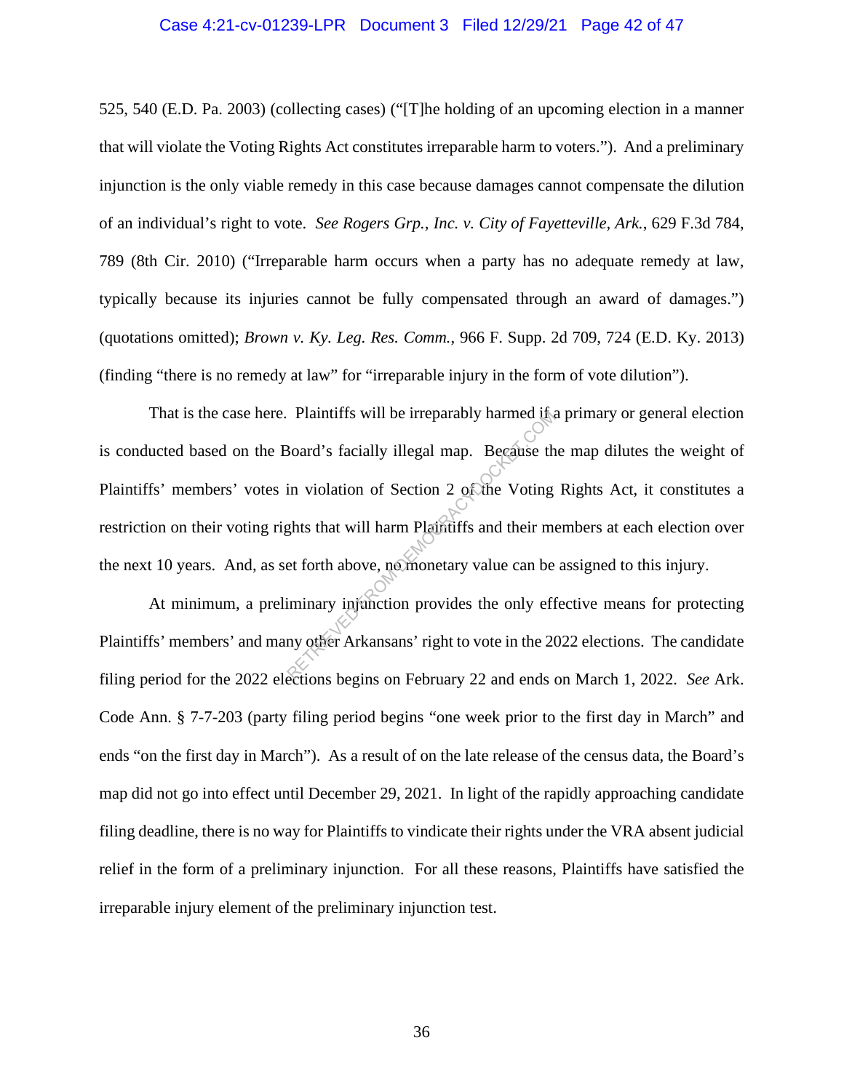#### Case 4:21-cv-01239-LPR Document 3 Filed 12/29/21 Page 42 of 47

525, 540 (E.D. Pa. 2003) (collecting cases) ("[T]he holding of an upcoming election in a manner that will violate the Voting Rights Act constitutes irreparable harm to voters."). And a preliminary injunction is the only viable remedy in this case because damages cannot compensate the dilution of an individual's right to vote. *See Rogers Grp., Inc. v. City of Fayetteville, Ark.*, 629 F.3d 784, 789 (8th Cir. 2010) ("Irreparable harm occurs when a party has no adequate remedy at law, typically because its injuries cannot be fully compensated through an award of damages.") (quotations omitted); *Brown v. Ky. Leg. Res. Comm.*, 966 F. Supp. 2d 709, 724 (E.D. Ky. 2013) (finding "there is no remedy at law" for "irreparable injury in the form of vote dilution").

That is the case here. Plaintiffs will be irreparably harmed if a primary or general election is conducted based on the Board's facially illegal map. Because the map dilutes the weight of Plaintiffs' members' votes in violation of Section 2 of the Voting Rights Act, it constitutes a restriction on their voting rights that will harm Plaintiffs and their members at each election over the next 10 years. And, as set forth above, no monetary value can be assigned to this injury. Plaintiffs will be irreparably harmed the<br>Board's facially illegal map. Because the<br>in violation of Section 2 of the Voting<br>ghts that will harm Plaintiffs and their me<br>et forth above, no monetary value can be<br>iminary injun

At minimum, a preliminary injunction provides the only effective means for protecting Plaintiffs' members' and many other Arkansans' right to vote in the 2022 elections. The candidate filing period for the 2022 elections begins on February 22 and ends on March 1, 2022. *See* Ark. Code Ann. § 7-7-203 (party filing period begins "one week prior to the first day in March" and ends "on the first day in March"). As a result of on the late release of the census data, the Board's map did not go into effect until December 29, 2021. In light of the rapidly approaching candidate filing deadline, there is no way for Plaintiffs to vindicate their rights under the VRA absent judicial relief in the form of a preliminary injunction. For all these reasons, Plaintiffs have satisfied the irreparable injury element of the preliminary injunction test.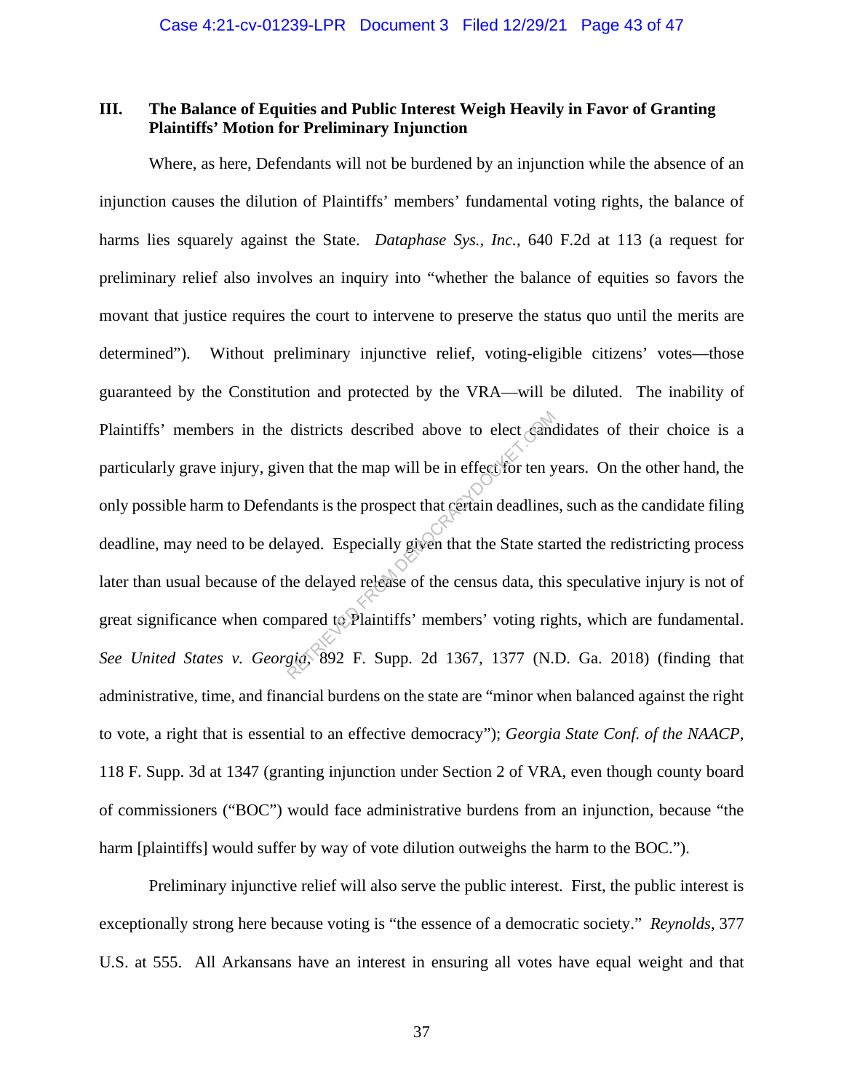## **III. The Balance of Equities and Public Interest Weigh Heavily in Favor of Granting Plaintiffs' Motion for Preliminary Injunction**

Where, as here, Defendants will not be burdened by an injunction while the absence of an injunction causes the dilution of Plaintiffs' members' fundamental voting rights, the balance of harms lies squarely against the State. *Dataphase Sys., Inc.*, 640 F.2d at 113 (a request for preliminary relief also involves an inquiry into "whether the balance of equities so favors the movant that justice requires the court to intervene to preserve the status quo until the merits are determined"). Without preliminary injunctive relief, voting-eligible citizens' votes—those guaranteed by the Constitution and protected by the VRA—will be diluted. The inability of Plaintiffs' members in the districts described above to elect candidates of their choice is a particularly grave injury, given that the map will be in effect for ten years. On the other hand, the only possible harm to Defendants is the prospect that certain deadlines, such as the candidate filing deadline, may need to be delayed. Especially given that the State started the redistricting process later than usual because of the delayed release of the census data, this speculative injury is not of great significance when compared to Plaintiffs' members' voting rights, which are fundamental. *See United States v. Georgia*, 892 F. Supp. 2d 1367, 1377 (N.D. Ga. 2018) (finding that administrative, time, and financial burdens on the state are "minor when balanced against the right to vote, a right that is essential to an effective democracy"); *Georgia State Conf. of the NAACP*, 118 F. Supp. 3d at 1347 (granting injunction under Section 2 of VRA, even though county board of commissioners ("BOC") would face administrative burdens from an injunction, because "the harm [plaintiffs] would suffer by way of vote dilution outweighs the harm to the BOC."). districts described above to elect cand<br>ven that the map will be in effect for ten y<br>dants is the prospect that certain deadlines<br>layed. Especially given that the State sta<br>he delayed release of the census data, thi<br>pared

Preliminary injunctive relief will also serve the public interest. First, the public interest is exceptionally strong here because voting is "the essence of a democratic society." *Reynolds*, 377 U.S. at 555. All Arkansans have an interest in ensuring all votes have equal weight and that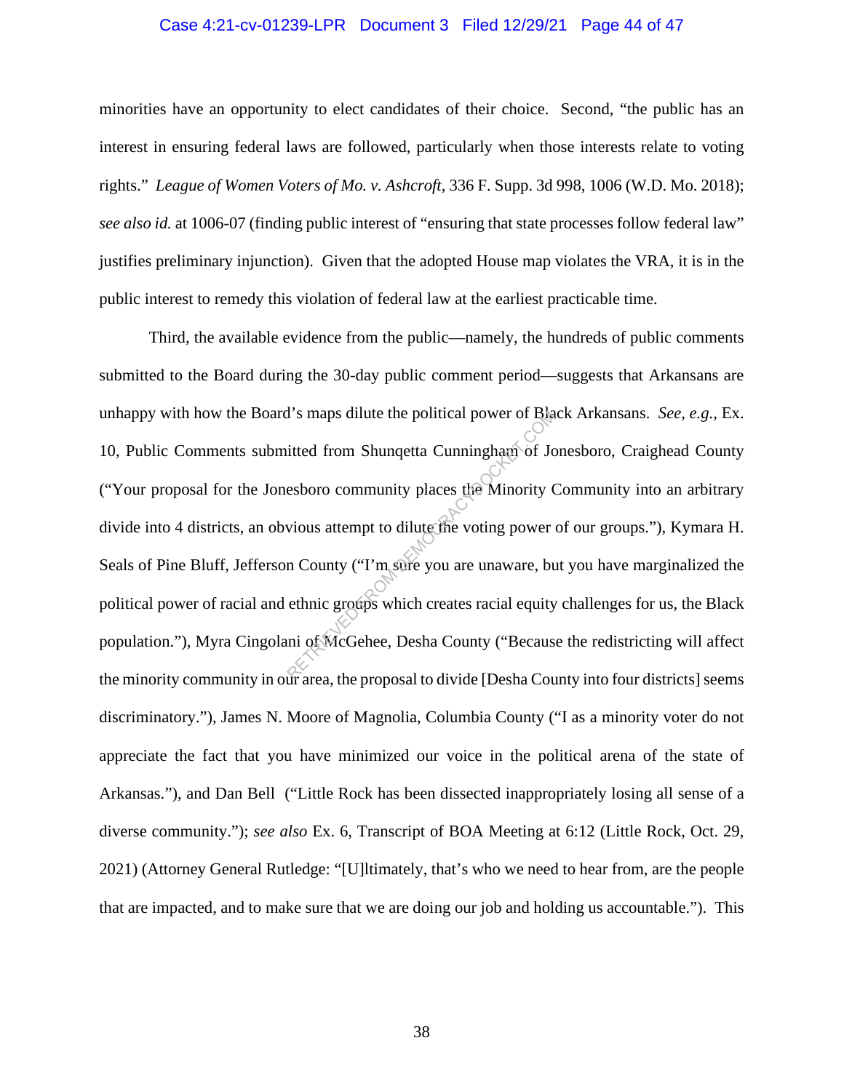#### Case 4:21-cv-01239-LPR Document 3 Filed 12/29/21 Page 44 of 47

minorities have an opportunity to elect candidates of their choice. Second, "the public has an interest in ensuring federal laws are followed, particularly when those interests relate to voting rights." *League of Women Voters of Mo. v. Ashcroft*, 336 F. Supp. 3d 998, 1006 (W.D. Mo. 2018); *see also id.* at 1006-07 (finding public interest of "ensuring that state processes follow federal law" justifies preliminary injunction). Given that the adopted House map violates the VRA, it is in the public interest to remedy this violation of federal law at the earliest practicable time.

Third, the available evidence from the public—namely, the hundreds of public comments submitted to the Board during the 30-day public comment period—suggests that Arkansans are unhappy with how the Board's maps dilute the political power of Black Arkansans. *See*, *e.g.*, Ex. 10, Public Comments submitted from Shunqetta Cunningham of Jonesboro, Craighead County ("Your proposal for the Jonesboro community places the Minority Community into an arbitrary divide into 4 districts, an obvious attempt to dilute the voting power of our groups."), Kymara H. Seals of Pine Bluff, Jefferson County ("I'm sure you are unaware, but you have marginalized the political power of racial and ethnic groups which creates racial equity challenges for us, the Black population."), Myra Cingolani of McGehee, Desha County ("Because the redistricting will affect the minority community in our area, the proposal to divide [Desha County into four districts] seems discriminatory."), James N. Moore of Magnolia, Columbia County ("I as a minority voter do not appreciate the fact that you have minimized our voice in the political arena of the state of Arkansas."), and Dan Bell ("Little Rock has been dissected inappropriately losing all sense of a diverse community."); *see also* Ex. 6, Transcript of BOA Meeting at 6:12 (Little Rock, Oct. 29, 2021) (Attorney General Rutledge: "[U]ltimately, that's who we need to hear from, are the people that are impacted, and to make sure that we are doing our job and holding us accountable."). This T's maps dilute the political power of Bia<br>itted from Shunqetta Cunningham of Jc<br>esboro community places the Minority (<br>vious attempt to dilute the voting power<br>in County ("I'm sure you are unaware, but<br>thnic groups which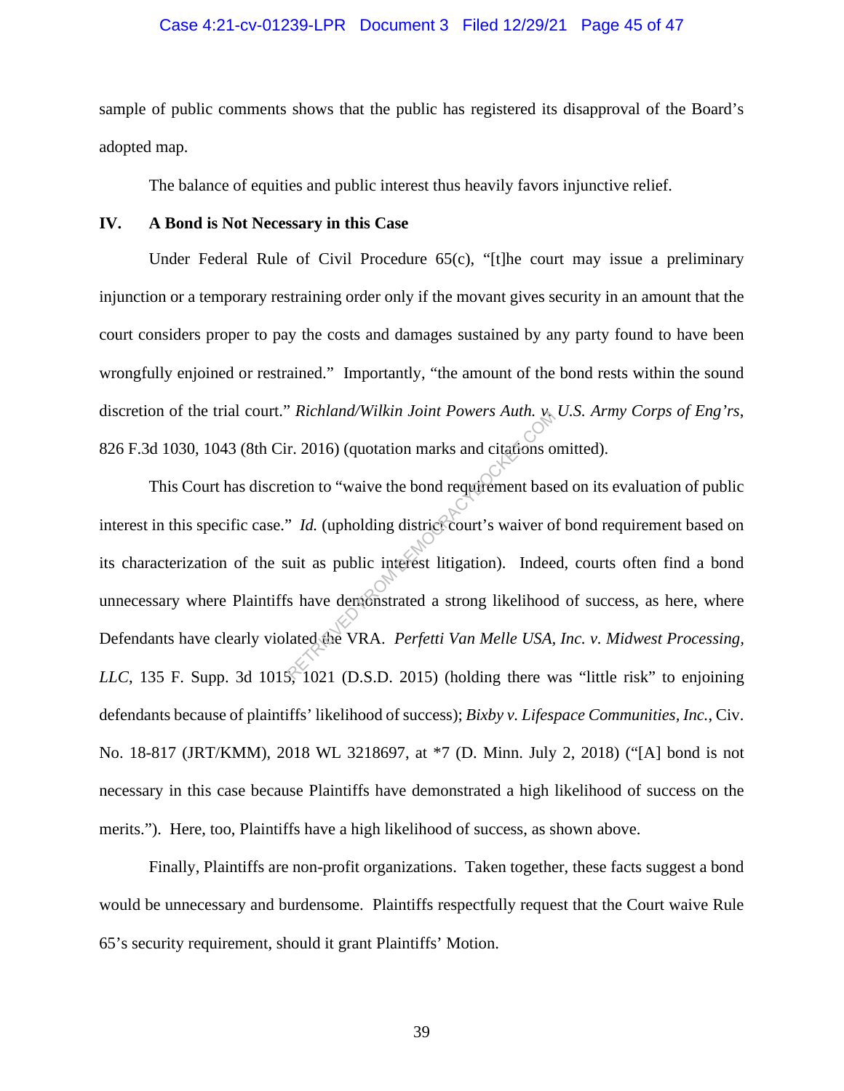#### Case 4:21-cv-01239-LPR Document 3 Filed 12/29/21 Page 45 of 47

sample of public comments shows that the public has registered its disapproval of the Board's adopted map.

The balance of equities and public interest thus heavily favors injunctive relief.

#### **IV. A Bond is Not Necessary in this Case**

Under Federal Rule of Civil Procedure 65(c), "[t]he court may issue a preliminary injunction or a temporary restraining order only if the movant gives security in an amount that the court considers proper to pay the costs and damages sustained by any party found to have been wrongfully enjoined or restrained." Importantly, "the amount of the bond rests within the sound discretion of the trial court." *Richland/Wilkin Joint Powers Auth. v. U.S. Army Corps of Eng'rs*, 826 F.3d 1030, 1043 (8th Cir. 2016) (quotation marks and citations omitted).

This Court has discretion to "waive the bond requirement based on its evaluation of public interest in this specific case." *Id.* (upholding district court's waiver of bond requirement based on its characterization of the suit as public interest litigation). Indeed, courts often find a bond unnecessary where Plaintiffs have demonstrated a strong likelihood of success, as here, where Defendants have clearly violated the VRA. *Perfetti Van Melle USA, Inc. v. Midwest Processing, LLC*, 135 F. Supp. 3d 1015, 1021 (D.S.D. 2015) (holding there was "little risk" to enjoining defendants because of plaintiffs' likelihood of success); *Bixby v. Lifespace Communities, Inc.*, Civ. No. 18-817 (JRT/KMM), 2018 WL 3218697, at \*7 (D. Minn. July 2, 2018) ("[A] bond is not necessary in this case because Plaintiffs have demonstrated a high likelihood of success on the merits."). Here, too, Plaintiffs have a high likelihood of success, as shown above. RETRIEVED FROM TOWER ALLET.<br>
T. 2016) (quotation marks and citations of<br>
tion to "waive the bond requirement base<br>
"*Id.* (upholding district court's waiver of<br>
uit as public interest litigation). Indee<br>
is have demonstra

Finally, Plaintiffs are non-profit organizations. Taken together, these facts suggest a bond would be unnecessary and burdensome. Plaintiffs respectfully request that the Court waive Rule 65's security requirement, should it grant Plaintiffs' Motion.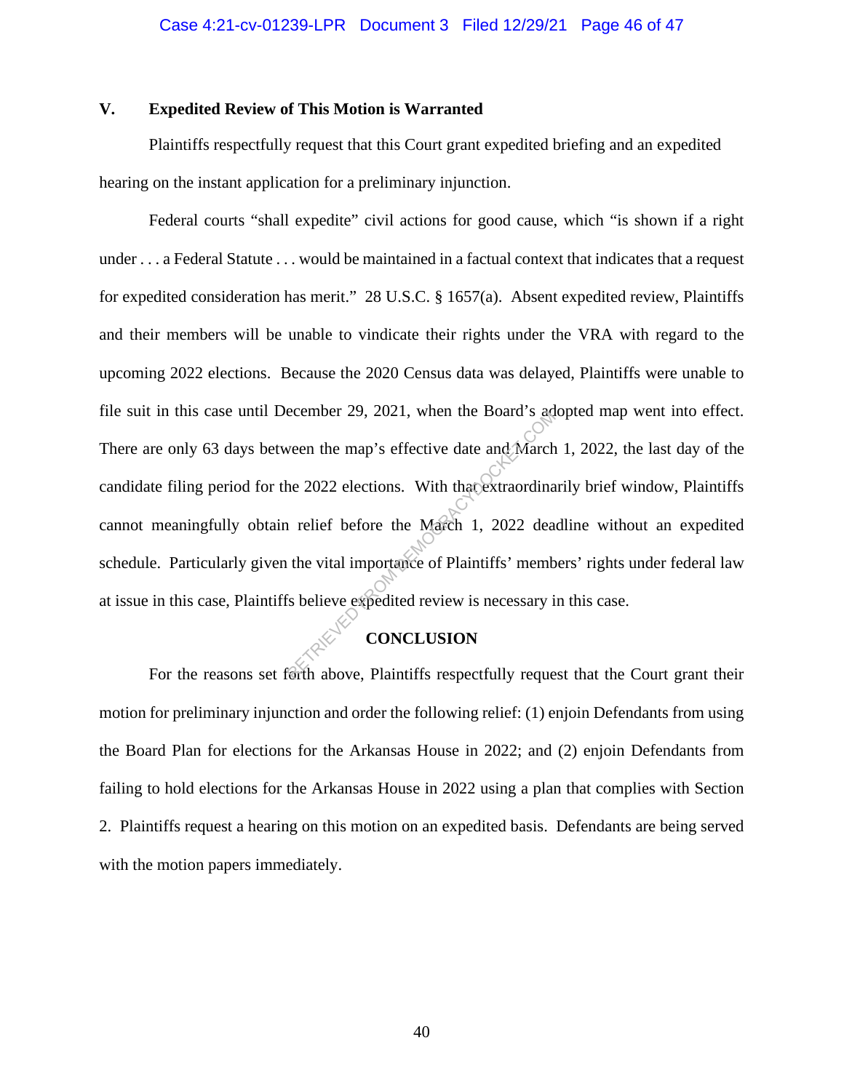#### **V. Expedited Review of This Motion is Warranted**

Plaintiffs respectfully request that this Court grant expedited briefing and an expedited hearing on the instant application for a preliminary injunction.

Federal courts "shall expedite" civil actions for good cause, which "is shown if a right under . . . a Federal Statute . . . would be maintained in a factual context that indicates that a request for expedited consideration has merit." 28 U.S.C. § 1657(a). Absent expedited review, Plaintiffs and their members will be unable to vindicate their rights under the VRA with regard to the upcoming 2022 elections. Because the 2020 Census data was delayed, Plaintiffs were unable to file suit in this case until December 29, 2021, when the Board's adopted map went into effect. There are only 63 days between the map's effective date and March 1, 2022, the last day of the candidate filing period for the 2022 elections. With that extraordinarily brief window, Plaintiffs cannot meaningfully obtain relief before the March 1, 2022 deadline without an expedited schedule. Particularly given the vital importance of Plaintiffs' members' rights under federal law at issue in this case, Plaintiffs believe expedited review is necessary in this case. ecember 29, 2021, when the Board's age<br>ween the map's effective date and March<br>he 2022 elections. With that extraordina<br>i relief before the March 1, 2022 dea<br>the vital importance of Plaintiffs' memb<br>si believe expedited re

## **CONCLUSION**

For the reasons set forth above, Plaintiffs respectfully request that the Court grant their motion for preliminary injunction and order the following relief: (1) enjoin Defendants from using the Board Plan for elections for the Arkansas House in 2022; and (2) enjoin Defendants from failing to hold elections for the Arkansas House in 2022 using a plan that complies with Section 2. Plaintiffs request a hearing on this motion on an expedited basis. Defendants are being served with the motion papers immediately.